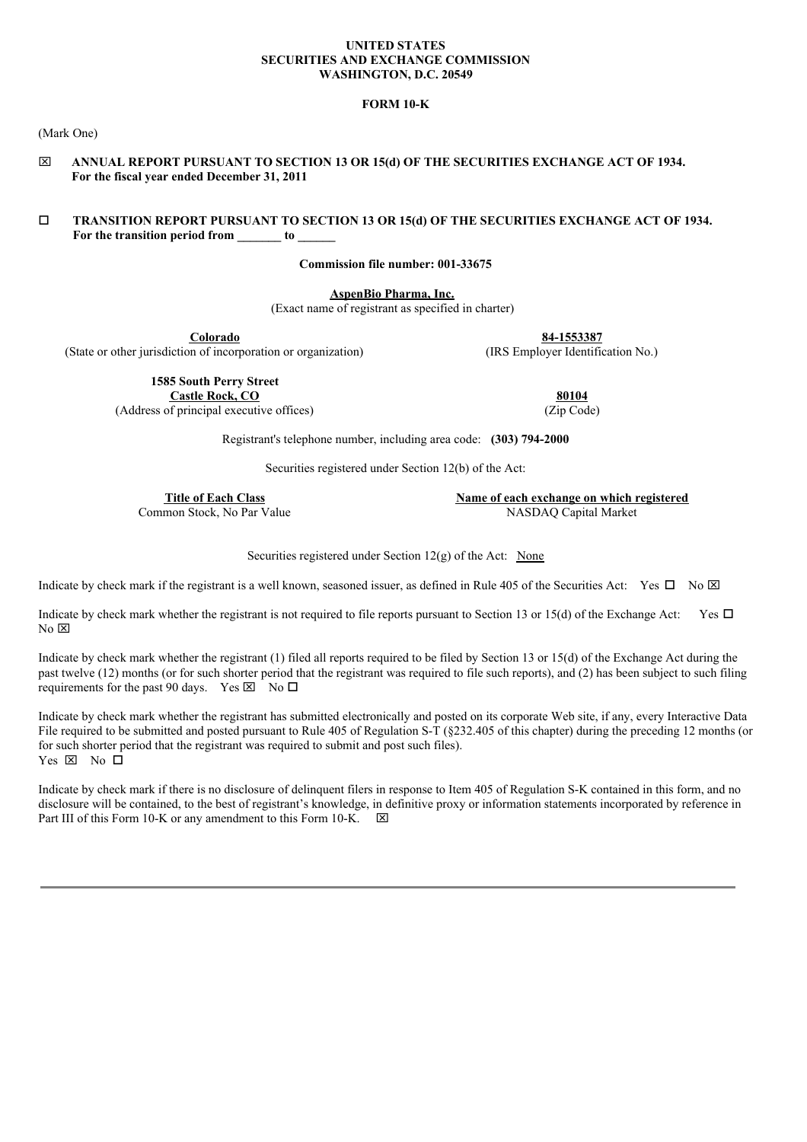### **UNITED STATES SECURITIES AND EXCHANGE COMMISSION WASHINGTON, D.C. 20549**

## **FORM 10-K**

(Mark One)

x **ANNUAL REPORT PURSUANT TO SECTION 13 OR 15(d) OF THE SECURITIES EXCHANGE ACT OF 1934. For the fiscal year ended December 31, 2011**

## o **TRANSITION REPORT PURSUANT TO SECTION 13 OR 15(d) OF THE SECURITIES EXCHANGE ACT OF 1934. For the transition period from \_\_\_\_\_\_\_ to \_\_\_\_\_\_**

**Commission file number: 001-33675**

**AspenBio Pharma, Inc.**

(Exact name of registrant as specified in charter)

(State or other jurisdiction of incorporation or organization)

**Colorado**<br> **84-1553387**<br> **84-1553387**<br> **84-1553387**<br> **RS Employer Identification No.)** 

**1585 South Perry Street Castle Rock, CO 80104**

(Address of principal executive offices) (Zip Code)

Registrant's telephone number, including area code: **(303) 794-2000**

Securities registered under Section 12(b) of the Act:

**Title of Each Class Name of each exchange on which registered** Common Stock, No Par Value NASDAQ Capital Market

Securities registered under Section  $12(g)$  of the Act: None

Indicate by check mark if the registrant is a well known, seasoned issuer, as defined in Rule 405 of the Securities Act: Yes  $\Box$  No  $\boxtimes$ 

Indicate by check mark whether the registrant is not required to file reports pursuant to Section 13 or 15(d) of the Exchange Act: Yes  $\Box$  $No \n  $\boxtimes$$ 

Indicate by check mark whether the registrant (1) filed all reports required to be filed by Section 13 or 15(d) of the Exchange Act during the past twelve (12) months (or for such shorter period that the registrant was required to file such reports), and (2) has been subject to such filing requirements for the past 90 days. Yes  $\boxtimes$  No  $\square$ 

Indicate by check mark whether the registrant has submitted electronically and posted on its corporate Web site, if any, every Interactive Data File required to be submitted and posted pursuant to Rule 405 of Regulation S-T (§232.405 of this chapter) during the preceding 12 months (or for such shorter period that the registrant was required to submit and post such files). Yes  $\boxtimes$  No  $\Box$ 

Indicate by check mark if there is no disclosure of delinquent filers in response to Item 405 of Regulation S-K contained in this form, and no disclosure will be contained, to the best of registrant's knowledge, in definitive proxy or information statements incorporated by reference in Part III of this Form 10-K or any amendment to this Form 10-K.  $\boxtimes$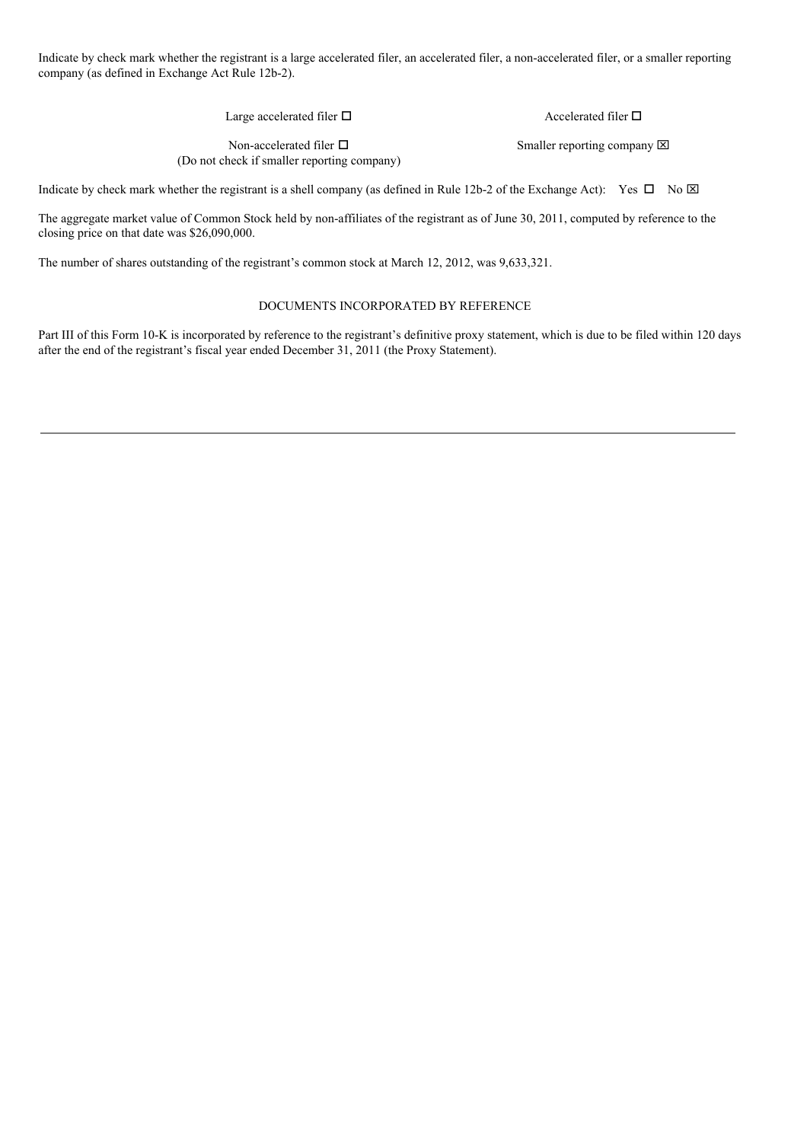Indicate by check mark whether the registrant is a large accelerated filer, an accelerated filer, a non-accelerated filer, or a smaller reporting company (as defined in Exchange Act Rule 12b-2).

Large accelerated filer  $\Box$ 

Accelerated filer  $\Box$ 

Non-accelerated filer  $\Box$ (Do not check if smaller reporting company) Smaller reporting company  $\boxtimes$ 

Indicate by check mark whether the registrant is a shell company (as defined in Rule 12b-2 of the Exchange Act): Yes  $\Box$  No  $\boxtimes$ 

The aggregate market value of Common Stock held by non-affiliates of the registrant as of June 30, 2011, computed by reference to the closing price on that date was \$26,090,000.

The number of shares outstanding of the registrant's common stock at March 12, 2012, was 9,633,321.

# DOCUMENTS INCORPORATED BY REFERENCE

Part III of this Form 10-K is incorporated by reference to the registrant's definitive proxy statement, which is due to be filed within 120 days after the end of the registrant's fiscal year ended December 31, 2011 (the Proxy Statement).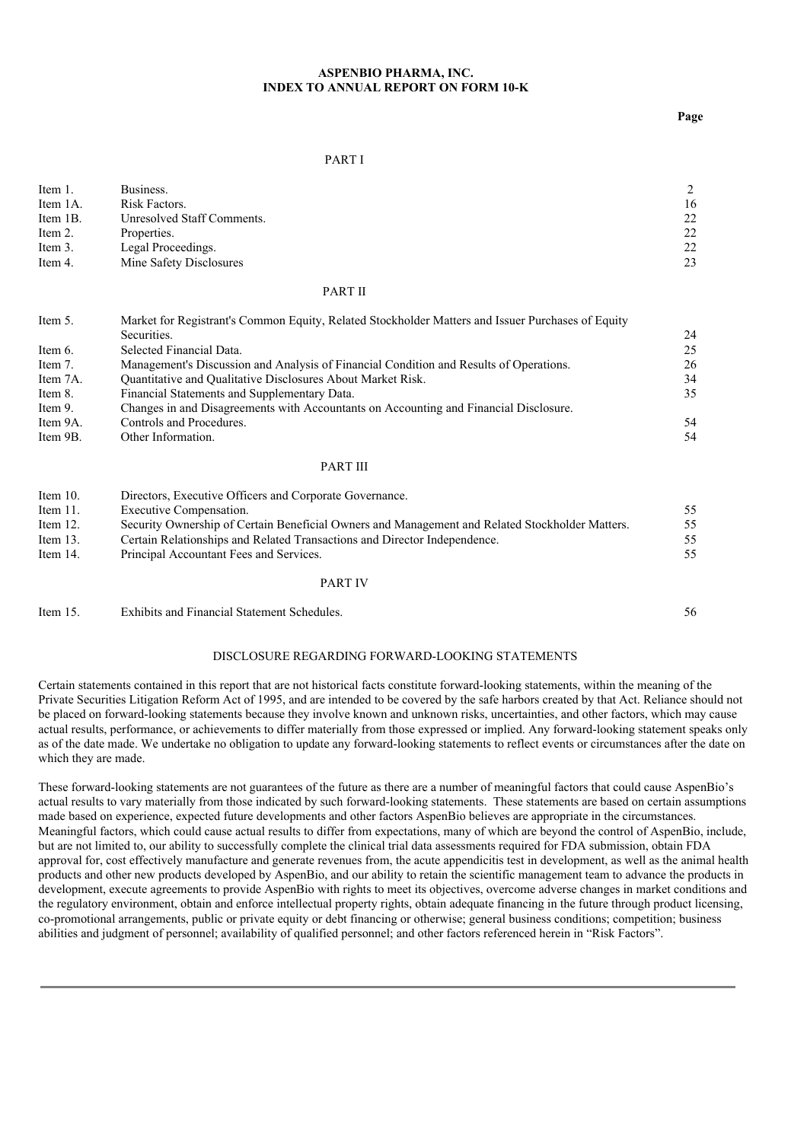### **ASPENBIO PHARMA, INC. INDEX TO ANNUAL REPORT ON FORM 10-K**

**Page**

### PART I

| Item 1.  | Business.                  |    |
|----------|----------------------------|----|
| Item 1A. | Risk Factors.              | 16 |
| Item 1B. | Unresolved Staff Comments. | 22 |
| Item 2.  | Properties.                | 22 |
| Item 3.  | Legal Proceedings.         | 22 |
| Item 4.  | Mine Safety Disclosures    | 23 |
|          |                            |    |

#### PART II

| Market for Registrant's Common Equity, Related Stockholder Matters and Issuer Purchases of Equity<br>Item 5. |                                                                                        |    |  |
|--------------------------------------------------------------------------------------------------------------|----------------------------------------------------------------------------------------|----|--|
|                                                                                                              | Securities.                                                                            | 24 |  |
| Item 6.                                                                                                      | Selected Financial Data.                                                               | 25 |  |
| Item 7.                                                                                                      | Management's Discussion and Analysis of Financial Condition and Results of Operations. | 26 |  |
| Item 7A.                                                                                                     | Quantitative and Qualitative Disclosures About Market Risk.                            | 34 |  |
| Item 8.                                                                                                      | Financial Statements and Supplementary Data.                                           | 35 |  |
| Item 9.                                                                                                      | Changes in and Disagreements with Accountants on Accounting and Financial Disclosure.  |    |  |
| Item 9A.                                                                                                     | Controls and Procedures.                                                               | 54 |  |
| Item 9B.                                                                                                     | Other Information.                                                                     | 54 |  |

#### PART III

| Item $10$ . | Directors, Executive Officers and Corporate Governance.                                         |    |
|-------------|-------------------------------------------------------------------------------------------------|----|
| Item $11$ . | Executive Compensation.                                                                         | 55 |
| Item $12$ . | Security Ownership of Certain Beneficial Owners and Management and Related Stockholder Matters. | 55 |
| Item $13$ . | Certain Relationships and Related Transactions and Director Independence.                       | 55 |
| Item 14.    | Principal Accountant Fees and Services.                                                         | 55 |
|             |                                                                                                 |    |

#### PART IV

Item 15. Exhibits and Financial Statement Schedules. 56

### DISCLOSURE REGARDING FORWARD-LOOKING STATEMENTS

Certain statements contained in this report that are not historical facts constitute forward-looking statements, within the meaning of the Private Securities Litigation Reform Act of 1995, and are intended to be covered by the safe harbors created by that Act. Reliance should not be placed on forward-looking statements because they involve known and unknown risks, uncertainties, and other factors, which may cause actual results, performance, or achievements to differ materially from those expressed or implied. Any forward-looking statement speaks only as of the date made. We undertake no obligation to update any forward-looking statements to reflect events or circumstances after the date on which they are made.

These forward-looking statements are not guarantees of the future as there are a number of meaningful factors that could cause AspenBio's actual results to vary materially from those indicated by such forward-looking statements. These statements are based on certain assumptions made based on experience, expected future developments and other factors AspenBio believes are appropriate in the circumstances. Meaningful factors, which could cause actual results to differ from expectations, many of which are beyond the control of AspenBio, include, but are not limited to, our ability to successfully complete the clinical trial data assessments required for FDA submission, obtain FDA approval for, cost effectively manufacture and generate revenues from, the acute appendicitis test in development, as well as the animal health products and other new products developed by AspenBio, and our ability to retain the scientific management team to advance the products in development, execute agreements to provide AspenBio with rights to meet its objectives, overcome adverse changes in market conditions and the regulatory environment, obtain and enforce intellectual property rights, obtain adequate financing in the future through product licensing, co-promotional arrangements, public or private equity or debt financing or otherwise; general business conditions; competition; business abilities and judgment of personnel; availability of qualified personnel; and other factors referenced herein in "Risk Factors".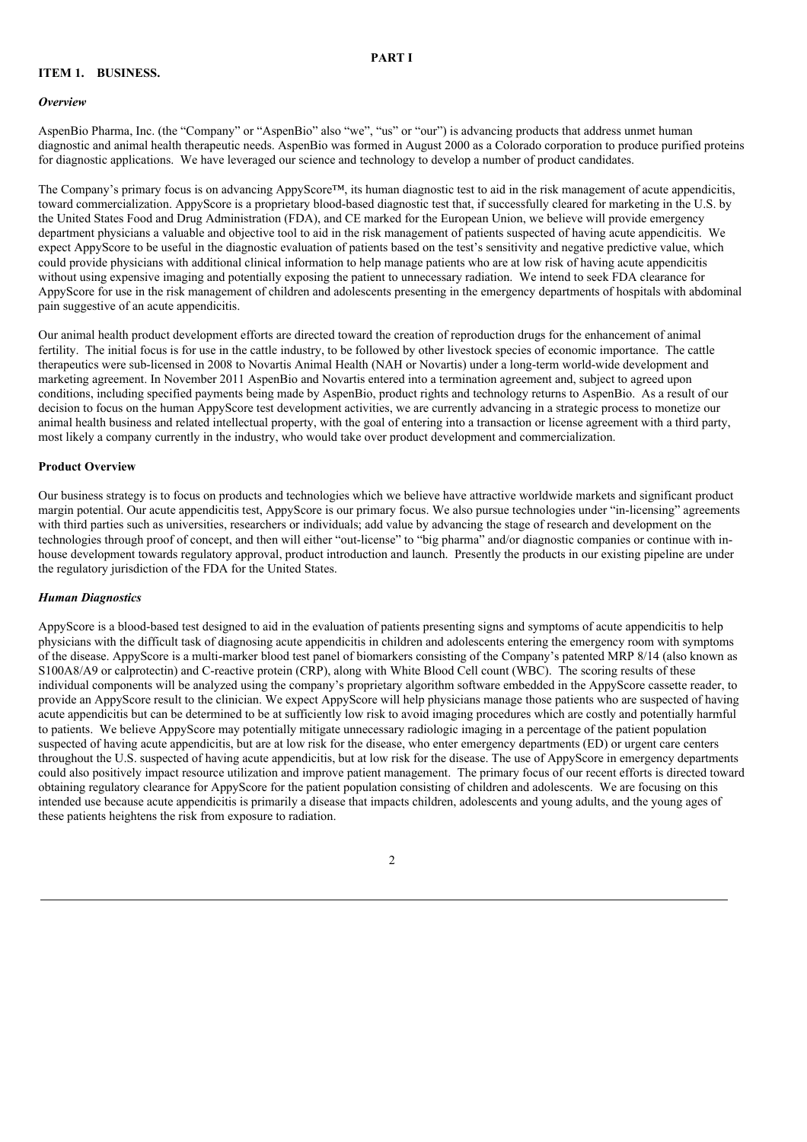# **PART I**

## **ITEM 1. BUSINESS.**

#### *Overview*

AspenBio Pharma, Inc. (the "Company" or "AspenBio" also "we", "us" or "our") is advancing products that address unmet human diagnostic and animal health therapeutic needs. AspenBio was formed in August 2000 as a Colorado corporation to produce purified proteins for diagnostic applications. We have leveraged our science and technology to develop a number of product candidates.

The Company's primary focus is on advancing AppyScore™, its human diagnostic test to aid in the risk management of acute appendicitis, toward commercialization. AppyScore is a proprietary blood-based diagnostic test that, if successfully cleared for marketing in the U.S. by the United States Food and Drug Administration (FDA), and CE marked for the European Union, we believe will provide emergency department physicians a valuable and objective tool to aid in the risk management of patients suspected of having acute appendicitis. We expect AppyScore to be useful in the diagnostic evaluation of patients based on the test's sensitivity and negative predictive value, which could provide physicians with additional clinical information to help manage patients who are at low risk of having acute appendicitis without using expensive imaging and potentially exposing the patient to unnecessary radiation. We intend to seek FDA clearance for AppyScore for use in the risk management of children and adolescents presenting in the emergency departments of hospitals with abdominal pain suggestive of an acute appendicitis.

Our animal health product development efforts are directed toward the creation of reproduction drugs for the enhancement of animal fertility. The initial focus is for use in the cattle industry, to be followed by other livestock species of economic importance. The cattle therapeutics were sub-licensed in 2008 to Novartis Animal Health (NAH or Novartis) under a long-term world-wide development and marketing agreement. In November 2011 AspenBio and Novartis entered into a termination agreement and, subject to agreed upon conditions, including specified payments being made by AspenBio, product rights and technology returns to AspenBio. As a result of our decision to focus on the human AppyScore test development activities, we are currently advancing in a strategic process to monetize our animal health business and related intellectual property, with the goal of entering into a transaction or license agreement with a third party, most likely a company currently in the industry, who would take over product development and commercialization.

#### **Product Overview**

Our business strategy is to focus on products and technologies which we believe have attractive worldwide markets and significant product margin potential. Our acute appendicitis test, AppyScore is our primary focus. We also pursue technologies under "in-licensing" agreements with third parties such as universities, researchers or individuals; add value by advancing the stage of research and development on the technologies through proof of concept, and then will either "out-license" to "big pharma" and/or diagnostic companies or continue with inhouse development towards regulatory approval, product introduction and launch. Presently the products in our existing pipeline are under the regulatory jurisdiction of the FDA for the United States.

#### *Human Diagnostics*

AppyScore is a blood-based test designed to aid in the evaluation of patients presenting signs and symptoms of acute appendicitis to help physicians with the difficult task of diagnosing acute appendicitis in children and adolescents entering the emergency room with symptoms of the disease. AppyScore is a multi-marker blood test panel of biomarkers consisting of the Company's patented MRP 8/14 (also known as S100A8/A9 or calprotectin) and C-reactive protein (CRP), along with White Blood Cell count (WBC). The scoring results of these individual components will be analyzed using the company's proprietary algorithm software embedded in the AppyScore cassette reader, to provide an AppyScore result to the clinician. We expect AppyScore will help physicians manage those patients who are suspected of having acute appendicitis but can be determined to be at sufficiently low risk to avoid imaging procedures which are costly and potentially harmful to patients. We believe AppyScore may potentially mitigate unnecessary radiologic imaging in a percentage of the patient population suspected of having acute appendicitis, but are at low risk for the disease, who enter emergency departments (ED) or urgent care centers throughout the U.S. suspected of having acute appendicitis, but at low risk for the disease. The use of AppyScore in emergency departments could also positively impact resource utilization and improve patient management. The primary focus of our recent efforts is directed toward obtaining regulatory clearance for AppyScore for the patient population consisting of children and adolescents. We are focusing on this intended use because acute appendicitis is primarily a disease that impacts children, adolescents and young adults, and the young ages of these patients heightens the risk from exposure to radiation.

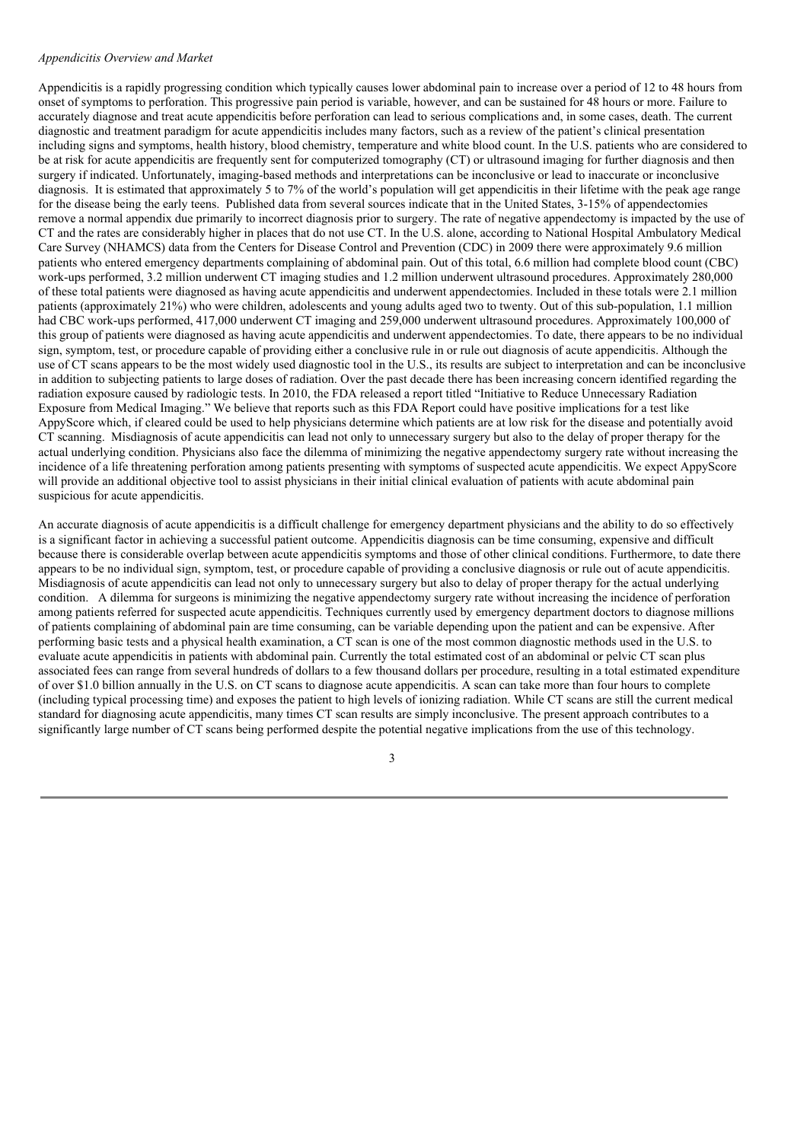#### *Appendicitis Overview and Market*

Appendicitis is a rapidly progressing condition which typically causes lower abdominal pain to increase over a period of 12 to 48 hours from onset of symptoms to perforation. This progressive pain period is variable, however, and can be sustained for 48 hours or more. Failure to accurately diagnose and treat acute appendicitis before perforation can lead to serious complications and, in some cases, death. The current diagnostic and treatment paradigm for acute appendicitis includes many factors, such as a review of the patient's clinical presentation including signs and symptoms, health history, blood chemistry, temperature and white blood count. In the U.S. patients who are considered to be at risk for acute appendicitis are frequently sent for computerized tomography (CT) or ultrasound imaging for further diagnosis and then surgery if indicated. Unfortunately, imaging-based methods and interpretations can be inconclusive or lead to inaccurate or inconclusive diagnosis. It is estimated that approximately 5 to 7% of the world's population will get appendicitis in their lifetime with the peak age range for the disease being the early teens. Published data from several sources indicate that in the United States, 3-15% of appendectomies remove a normal appendix due primarily to incorrect diagnosis prior to surgery. The rate of negative appendectomy is impacted by the use of CT and the rates are considerably higher in places that do not use CT. In the U.S. alone, according to National Hospital Ambulatory Medical Care Survey (NHAMCS) data from the Centers for Disease Control and Prevention (CDC) in 2009 there were approximately 9.6 million patients who entered emergency departments complaining of abdominal pain. Out of this total, 6.6 million had complete blood count (CBC) work-ups performed, 3.2 million underwent CT imaging studies and 1.2 million underwent ultrasound procedures. Approximately 280,000 of these total patients were diagnosed as having acute appendicitis and underwent appendectomies. Included in these totals were 2.1 million patients (approximately 21%) who were children, adolescents and young adults aged two to twenty. Out of this sub-population, 1.1 million had CBC work-ups performed, 417,000 underwent CT imaging and 259,000 underwent ultrasound procedures. Approximately 100,000 of this group of patients were diagnosed as having acute appendicitis and underwent appendectomies. To date, there appears to be no individual sign, symptom, test, or procedure capable of providing either a conclusive rule in or rule out diagnosis of acute appendicitis. Although the use of CT scans appears to be the most widely used diagnostic tool in the U.S., its results are subject to interpretation and can be inconclusive in addition to subjecting patients to large doses of radiation. Over the past decade there has been increasing concern identified regarding the radiation exposure caused by radiologic tests. In 2010, the FDA released a report titled "Initiative to Reduce Unnecessary Radiation Exposure from Medical Imaging." We believe that reports such as this FDA Report could have positive implications for a test like AppyScore which, if cleared could be used to help physicians determine which patients are at low risk for the disease and potentially avoid CT scanning. Misdiagnosis of acute appendicitis can lead not only to unnecessary surgery but also to the delay of proper therapy for the actual underlying condition. Physicians also face the dilemma of minimizing the negative appendectomy surgery rate without increasing the incidence of a life threatening perforation among patients presenting with symptoms of suspected acute appendicitis. We expect AppyScore will provide an additional objective tool to assist physicians in their initial clinical evaluation of patients with acute abdominal pain suspicious for acute appendicitis.

An accurate diagnosis of acute appendicitis is a difficult challenge for emergency department physicians and the ability to do so effectively is a significant factor in achieving a successful patient outcome. Appendicitis diagnosis can be time consuming, expensive and difficult because there is considerable overlap between acute appendicitis symptoms and those of other clinical conditions. Furthermore, to date there appears to be no individual sign, symptom, test, or procedure capable of providing a conclusive diagnosis or rule out of acute appendicitis. Misdiagnosis of acute appendicitis can lead not only to unnecessary surgery but also to delay of proper therapy for the actual underlying condition. A dilemma for surgeons is minimizing the negative appendectomy surgery rate without increasing the incidence of perforation among patients referred for suspected acute appendicitis. Techniques currently used by emergency department doctors to diagnose millions of patients complaining of abdominal pain are time consuming, can be variable depending upon the patient and can be expensive. After performing basic tests and a physical health examination, a CT scan is one of the most common diagnostic methods used in the U.S. to evaluate acute appendicitis in patients with abdominal pain. Currently the total estimated cost of an abdominal or pelvic CT scan plus associated fees can range from several hundreds of dollars to a few thousand dollars per procedure, resulting in a total estimated expenditure of over \$1.0 billion annually in the U.S. on CT scans to diagnose acute appendicitis. A scan can take more than four hours to complete (including typical processing time) and exposes the patient to high levels of ionizing radiation. While CT scans are still the current medical standard for diagnosing acute appendicitis, many times CT scan results are simply inconclusive. The present approach contributes to a significantly large number of CT scans being performed despite the potential negative implications from the use of this technology.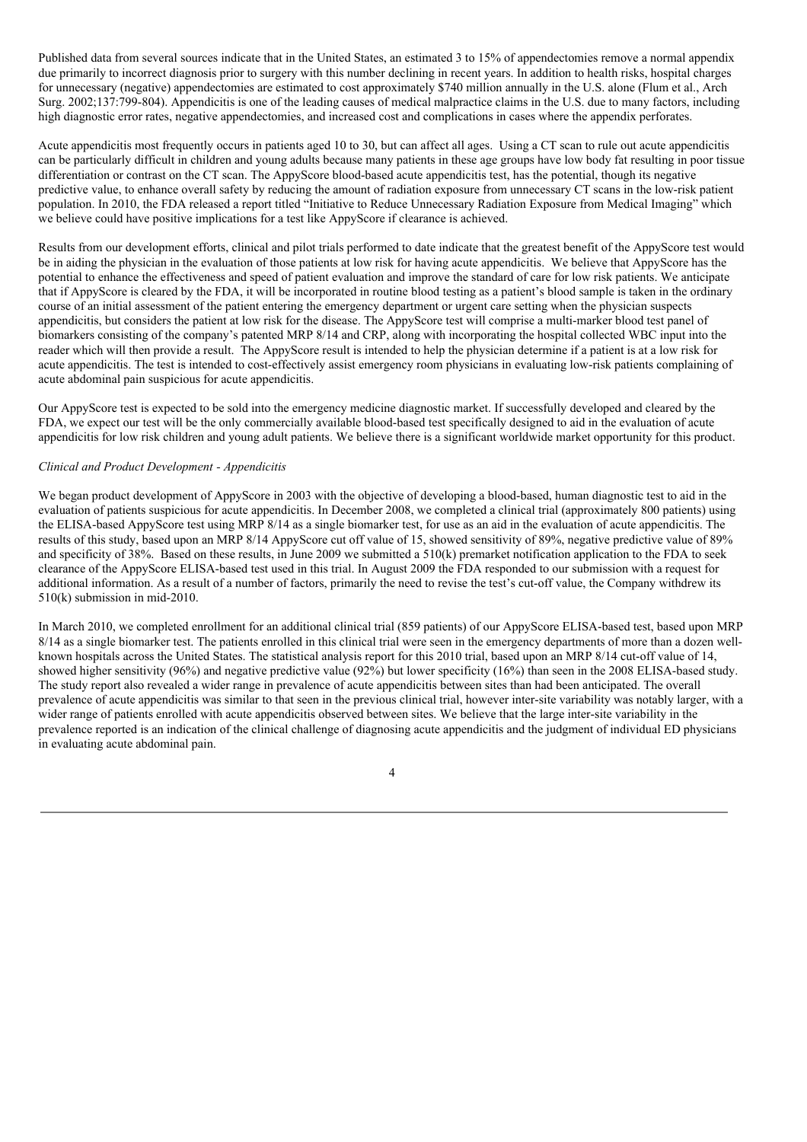Published data from several sources indicate that in the United States, an estimated 3 to 15% of appendectomies remove a normal appendix due primarily to incorrect diagnosis prior to surgery with this number declining in recent years. In addition to health risks, hospital charges for unnecessary (negative) appendectomies are estimated to cost approximately \$740 million annually in the U.S. alone (Flum et al., Arch Surg. 2002;137:799-804). Appendicitis is one of the leading causes of medical malpractice claims in the U.S. due to many factors, including high diagnostic error rates, negative appendectomies, and increased cost and complications in cases where the appendix perforates.

Acute appendicitis most frequently occurs in patients aged 10 to 30, but can affect all ages. Using a CT scan to rule out acute appendicitis can be particularly difficult in children and young adults because many patients in these age groups have low body fat resulting in poor tissue differentiation or contrast on the CT scan. The AppyScore blood-based acute appendicitis test, has the potential, though its negative predictive value, to enhance overall safety by reducing the amount of radiation exposure from unnecessary CT scans in the low-risk patient population. In 2010, the FDA released a report titled "Initiative to Reduce Unnecessary Radiation Exposure from Medical Imaging" which we believe could have positive implications for a test like AppyScore if clearance is achieved.

Results from our development efforts, clinical and pilot trials performed to date indicate that the greatest benefit of the AppyScore test would be in aiding the physician in the evaluation of those patients at low risk for having acute appendicitis. We believe that AppyScore has the potential to enhance the effectiveness and speed of patient evaluation and improve the standard of care for low risk patients. We anticipate that if AppyScore is cleared by the FDA, it will be incorporated in routine blood testing as a patient's blood sample is taken in the ordinary course of an initial assessment of the patient entering the emergency department or urgent care setting when the physician suspects appendicitis, but considers the patient at low risk for the disease. The AppyScore test will comprise a multi-marker blood test panel of biomarkers consisting of the company's patented MRP 8/14 and CRP, along with incorporating the hospital collected WBC input into the reader which will then provide a result. The AppyScore result is intended to help the physician determine if a patient is at a low risk for acute appendicitis. The test is intended to cost-effectively assist emergency room physicians in evaluating low-risk patients complaining of acute abdominal pain suspicious for acute appendicitis.

Our AppyScore test is expected to be sold into the emergency medicine diagnostic market. If successfully developed and cleared by the FDA, we expect our test will be the only commercially available blood-based test specifically designed to aid in the evaluation of acute appendicitis for low risk children and young adult patients. We believe there is a significant worldwide market opportunity for this product.

### *Clinical and Product Development - Appendicitis*

We began product development of AppyScore in 2003 with the objective of developing a blood-based, human diagnostic test to aid in the evaluation of patients suspicious for acute appendicitis. In December 2008, we completed a clinical trial (approximately 800 patients) using the ELISA-based AppyScore test using MRP 8/14 as a single biomarker test, for use as an aid in the evaluation of acute appendicitis. The results of this study, based upon an MRP 8/14 AppyScore cut off value of 15, showed sensitivity of 89%, negative predictive value of 89% and specificity of 38%. Based on these results, in June 2009 we submitted a 510(k) premarket notification application to the FDA to seek clearance of the AppyScore ELISA-based test used in this trial. In August 2009 the FDA responded to our submission with a request for additional information. As a result of a number of factors, primarily the need to revise the test's cut-off value, the Company withdrew its 510(k) submission in mid-2010.

In March 2010, we completed enrollment for an additional clinical trial (859 patients) of our AppyScore ELISA-based test, based upon MRP 8/14 as a single biomarker test. The patients enrolled in this clinical trial were seen in the emergency departments of more than a dozen wellknown hospitals across the United States. The statistical analysis report for this 2010 trial, based upon an MRP 8/14 cut-off value of 14, showed higher sensitivity (96%) and negative predictive value (92%) but lower specificity (16%) than seen in the 2008 ELISA-based study. The study report also revealed a wider range in prevalence of acute appendicitis between sites than had been anticipated. The overall prevalence of acute appendicitis was similar to that seen in the previous clinical trial, however inter-site variability was notably larger, with a wider range of patients enrolled with acute appendicitis observed between sites. We believe that the large inter-site variability in the prevalence reported is an indication of the clinical challenge of diagnosing acute appendicitis and the judgment of individual ED physicians in evaluating acute abdominal pain.

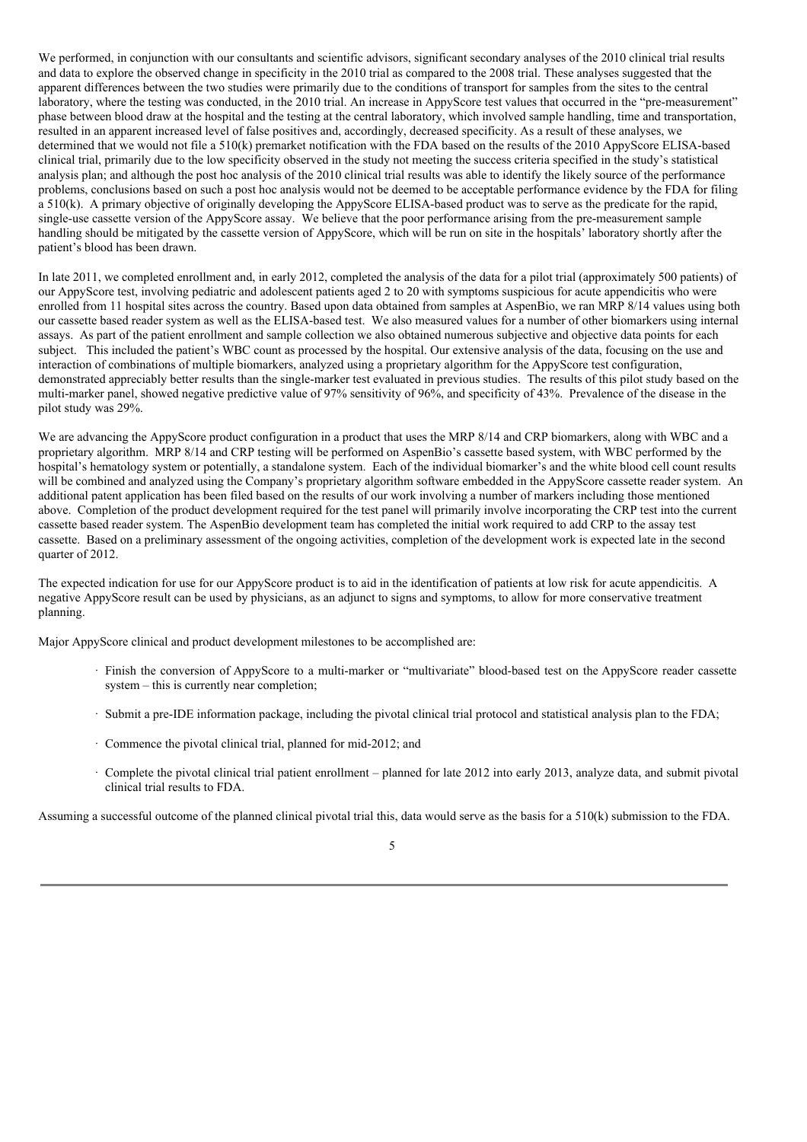We performed, in conjunction with our consultants and scientific advisors, significant secondary analyses of the 2010 clinical trial results and data to explore the observed change in specificity in the 2010 trial as compared to the 2008 trial. These analyses suggested that the apparent differences between the two studies were primarily due to the conditions of transport for samples from the sites to the central laboratory, where the testing was conducted, in the 2010 trial. An increase in AppyScore test values that occurred in the "pre-measurement" phase between blood draw at the hospital and the testing at the central laboratory, which involved sample handling, time and transportation, resulted in an apparent increased level of false positives and, accordingly, decreased specificity. As a result of these analyses, we determined that we would not file a 510(k) premarket notification with the FDA based on the results of the 2010 AppyScore ELISA-based clinical trial, primarily due to the low specificity observed in the study not meeting the success criteria specified in the study's statistical analysis plan; and although the post hoc analysis of the 2010 clinical trial results was able to identify the likely source of the performance problems, conclusions based on such a post hoc analysis would not be deemed to be acceptable performance evidence by the FDA for filing a 510(k). A primary objective of originally developing the AppyScore ELISA-based product was to serve as the predicate for the rapid, single-use cassette version of the AppyScore assay. We believe that the poor performance arising from the pre-measurement sample handling should be mitigated by the cassette version of AppyScore, which will be run on site in the hospitals' laboratory shortly after the patient's blood has been drawn.

In late 2011, we completed enrollment and, in early 2012, completed the analysis of the data for a pilot trial (approximately 500 patients) of our AppyScore test, involving pediatric and adolescent patients aged 2 to 20 with symptoms suspicious for acute appendicitis who were enrolled from 11 hospital sites across the country. Based upon data obtained from samples at AspenBio, we ran MRP 8/14 values using both our cassette based reader system as well as the ELISA-based test. We also measured values for a number of other biomarkers using internal assays. As part of the patient enrollment and sample collection we also obtained numerous subjective and objective data points for each subject. This included the patient's WBC count as processed by the hospital. Our extensive analysis of the data, focusing on the use and interaction of combinations of multiple biomarkers, analyzed using a proprietary algorithm for the AppyScore test configuration, demonstrated appreciably better results than the single-marker test evaluated in previous studies. The results of this pilot study based on the multi-marker panel, showed negative predictive value of 97% sensitivity of 96%, and specificity of 43%. Prevalence of the disease in the pilot study was 29%.

We are advancing the AppyScore product configuration in a product that uses the MRP 8/14 and CRP biomarkers, along with WBC and a proprietary algorithm. MRP 8/14 and CRP testing will be performed on AspenBio's cassette based system, with WBC performed by the hospital's hematology system or potentially, a standalone system. Each of the individual biomarker's and the white blood cell count results will be combined and analyzed using the Company's proprietary algorithm software embedded in the AppyScore cassette reader system. An additional patent application has been filed based on the results of our work involving a number of markers including those mentioned above. Completion of the product development required for the test panel will primarily involve incorporating the CRP test into the current cassette based reader system. The AspenBio development team has completed the initial work required to add CRP to the assay test cassette. Based on a preliminary assessment of the ongoing activities, completion of the development work is expected late in the second quarter of 2012.

The expected indication for use for our AppyScore product is to aid in the identification of patients at low risk for acute appendicitis. A negative AppyScore result can be used by physicians, as an adjunct to signs and symptoms, to allow for more conservative treatment planning.

Major AppyScore clinical and product development milestones to be accomplished are:

- · Finish the conversion of AppyScore to a multi-marker or "multivariate" blood-based test on the AppyScore reader cassette system – this is currently near completion;
- · Submit a pre-IDE information package, including the pivotal clinical trial protocol and statistical analysis plan to the FDA;
- · Commence the pivotal clinical trial, planned for mid-2012; and
- · Complete the pivotal clinical trial patient enrollment planned for late 2012 into early 2013, analyze data, and submit pivotal clinical trial results to FDA.

Assuming a successful outcome of the planned clinical pivotal trial this, data would serve as the basis for a 510(k) submission to the FDA.

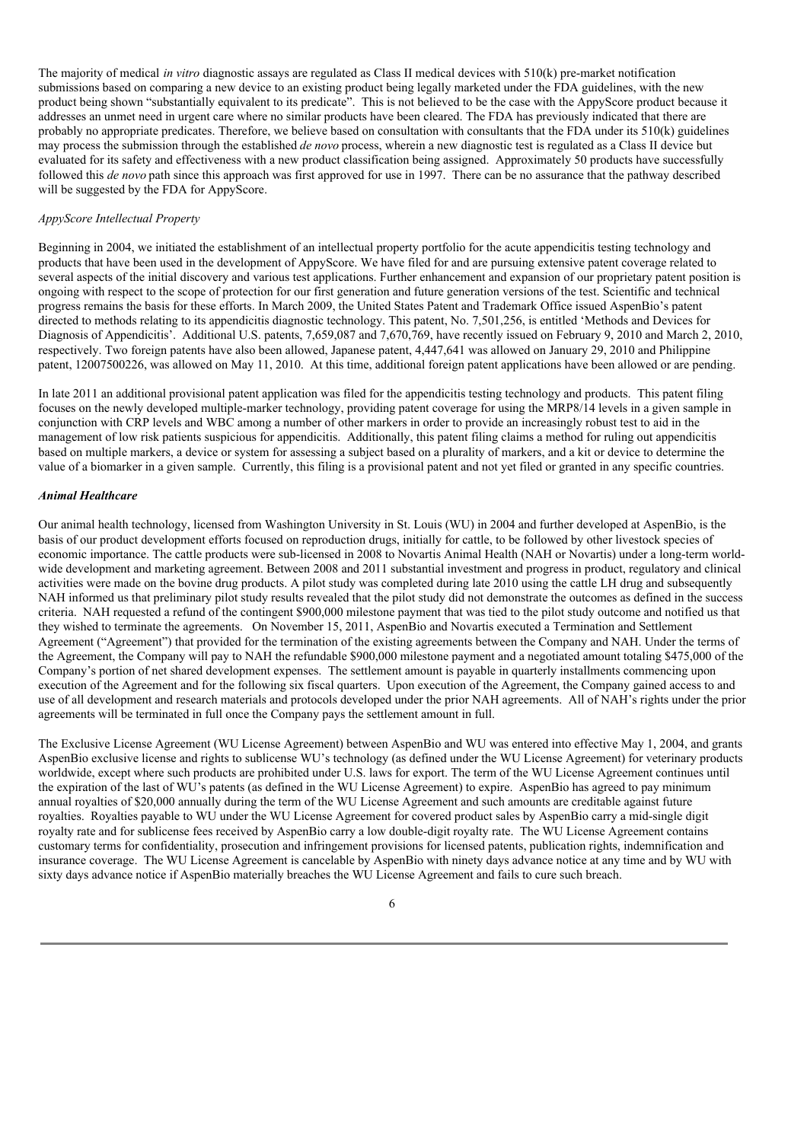The majority of medical *in vitro* diagnostic assays are regulated as Class II medical devices with 510(k) pre-market notification submissions based on comparing a new device to an existing product being legally marketed under the FDA guidelines, with the new product being shown "substantially equivalent to its predicate". This is not believed to be the case with the AppyScore product because it addresses an unmet need in urgent care where no similar products have been cleared. The FDA has previously indicated that there are probably no appropriate predicates. Therefore, we believe based on consultation with consultants that the FDA under its 510(k) guidelines may process the submission through the established *de novo* process, wherein a new diagnostic test is regulated as a Class II device but evaluated for its safety and effectiveness with a new product classification being assigned. Approximately 50 products have successfully followed this *de novo* path since this approach was first approved for use in 1997. There can be no assurance that the pathway described will be suggested by the FDA for AppyScore.

### *AppyScore Intellectual Property*

Beginning in 2004, we initiated the establishment of an intellectual property portfolio for the acute appendicitis testing technology and products that have been used in the development of AppyScore. We have filed for and are pursuing extensive patent coverage related to several aspects of the initial discovery and various test applications. Further enhancement and expansion of our proprietary patent position is ongoing with respect to the scope of protection for our first generation and future generation versions of the test. Scientific and technical progress remains the basis for these efforts. In March 2009, the United States Patent and Trademark Office issued AspenBio's patent directed to methods relating to its appendicitis diagnostic technology. This patent, No. 7,501,256, is entitled 'Methods and Devices for Diagnosis of Appendicitis'. Additional U.S. patents, 7,659,087 and 7,670,769, have recently issued on February 9, 2010 and March 2, 2010, respectively. Two foreign patents have also been allowed, Japanese patent, 4,447,641 was allowed on January 29, 2010 and Philippine patent, 12007500226, was allowed on May 11, 2010. At this time, additional foreign patent applications have been allowed or are pending.

In late 2011 an additional provisional patent application was filed for the appendicitis testing technology and products. This patent filing focuses on the newly developed multiple-marker technology, providing patent coverage for using the MRP8/14 levels in a given sample in conjunction with CRP levels and WBC among a number of other markers in order to provide an increasingly robust test to aid in the management of low risk patients suspicious for appendicitis. Additionally, this patent filing claims a method for ruling out appendicitis based on multiple markers, a device or system for assessing a subject based on a plurality of markers, and a kit or device to determine the value of a biomarker in a given sample. Currently, this filing is a provisional patent and not yet filed or granted in any specific countries.

## *Animal Healthcare*

Our animal health technology, licensed from Washington University in St. Louis (WU) in 2004 and further developed at AspenBio, is the basis of our product development efforts focused on reproduction drugs, initially for cattle, to be followed by other livestock species of economic importance. The cattle products were sub-licensed in 2008 to Novartis Animal Health (NAH or Novartis) under a long-term worldwide development and marketing agreement. Between 2008 and 2011 substantial investment and progress in product, regulatory and clinical activities were made on the bovine drug products. A pilot study was completed during late 2010 using the cattle LH drug and subsequently NAH informed us that preliminary pilot study results revealed that the pilot study did not demonstrate the outcomes as defined in the success criteria. NAH requested a refund of the contingent \$900,000 milestone payment that was tied to the pilot study outcome and notified us that they wished to terminate the agreements. On November 15, 2011, AspenBio and Novartis executed a Termination and Settlement Agreement ("Agreement") that provided for the termination of the existing agreements between the Company and NAH. Under the terms of the Agreement, the Company will pay to NAH the refundable \$900,000 milestone payment and a negotiated amount totaling \$475,000 of the Company's portion of net shared development expenses. The settlement amount is payable in quarterly installments commencing upon execution of the Agreement and for the following six fiscal quarters. Upon execution of the Agreement, the Company gained access to and use of all development and research materials and protocols developed under the prior NAH agreements. All of NAH's rights under the prior agreements will be terminated in full once the Company pays the settlement amount in full.

The Exclusive License Agreement (WU License Agreement) between AspenBio and WU was entered into effective May 1, 2004, and grants AspenBio exclusive license and rights to sublicense WU's technology (as defined under the WU License Agreement) for veterinary products worldwide, except where such products are prohibited under U.S. laws for export. The term of the WU License Agreement continues until the expiration of the last of WU's patents (as defined in the WU License Agreement) to expire. AspenBio has agreed to pay minimum annual royalties of \$20,000 annually during the term of the WU License Agreement and such amounts are creditable against future royalties. Royalties payable to WU under the WU License Agreement for covered product sales by AspenBio carry a mid-single digit royalty rate and for sublicense fees received by AspenBio carry a low double-digit royalty rate. The WU License Agreement contains customary terms for confidentiality, prosecution and infringement provisions for licensed patents, publication rights, indemnification and insurance coverage. The WU License Agreement is cancelable by AspenBio with ninety days advance notice at any time and by WU with sixty days advance notice if AspenBio materially breaches the WU License Agreement and fails to cure such breach.

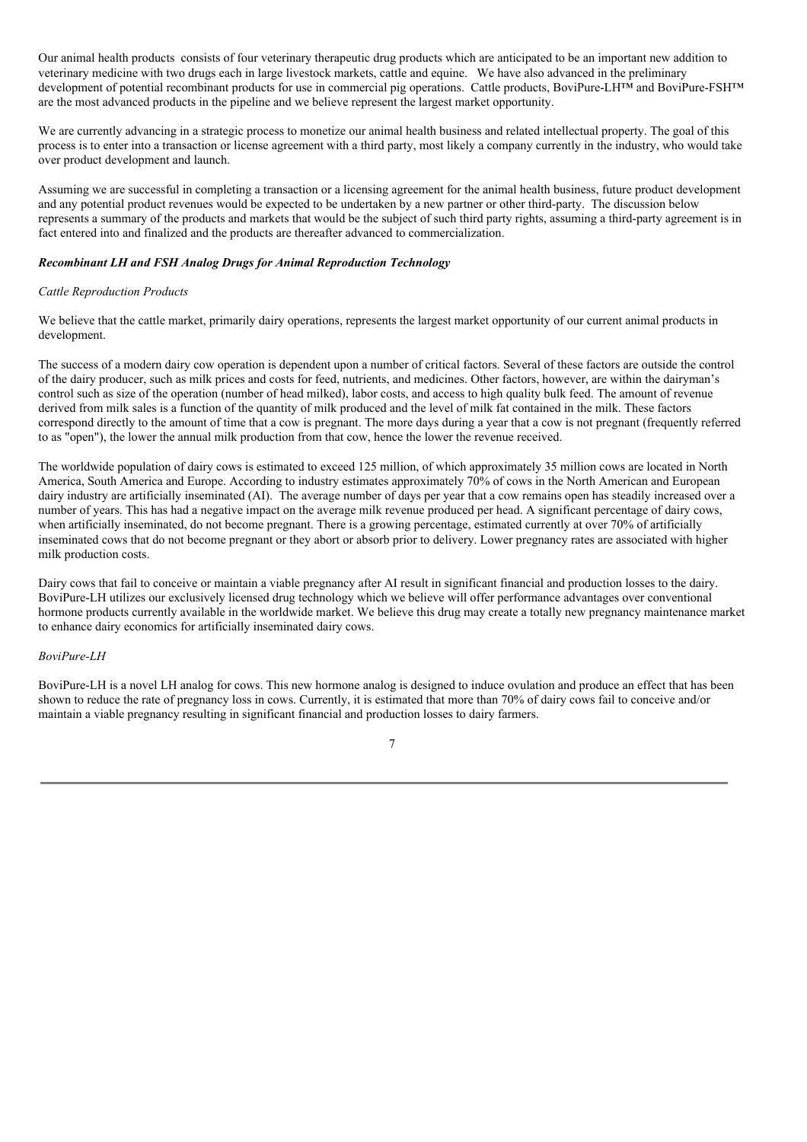Our animal health products consists of four veterinary therapeutic drug products which are anticipated to be an important new addition to veterinary medicine with two drugs each in large livestock markets, cattle and equine. We have also advanced in the preliminary development of potential recombinant products for use in commercial pig operations. Cattle products, BoviPure-LH™ and BoviPure-FSH™ are the most advanced products in the pipeline and we believe represent the largest market opportunity.

We are currently advancing in a strategic process to monetize our animal health business and related intellectual property. The goal of this process is to enter into a transaction or license agreement with a third party, most likely a company currently in the industry, who would take over product development and launch.

Assuming we are successful in completing a transaction or a licensing agreement for the animal health business, future product development and any potential product revenues would be expected to be undertaken by a new partner or other third-party. The discussion below represents a summary of the products and markets that would be the subject of such third party rights, assuming a third-party agreement is in fact entered into and finalized and the products are thereafter advanced to commercialization.

## *Recombinant LH and FSH Analog Drugs for Animal Reproduction Technology*

#### *Cattle Reproduction Products*

We believe that the cattle market, primarily dairy operations, represents the largest market opportunity of our current animal products in development.

The success of a modern dairy cow operation is dependent upon a number of critical factors. Several of these factors are outside the control of the dairy producer, such as milk prices and costs for feed, nutrients, and medicines. Other factors, however, are within the dairyman's control such as size of the operation (number of head milked), labor costs, and access to high quality bulk feed. The amount of revenue derived from milk sales is a function of the quantity of milk produced and the level of milk fat contained in the milk. These factors correspond directly to the amount of time that a cow is pregnant. The more days during a year that a cow is not pregnant (frequently referred to as "open"), the lower the annual milk production from that cow, hence the lower the revenue received.

The worldwide population of dairy cows is estimated to exceed 125 million, of which approximately 35 million cows are located in North America, South America and Europe. According to industry estimates approximately 70% of cows in the North American and European dairy industry are artificially inseminated (AI). The average number of days per year that a cow remains open has steadily increased over a number of years. This has had a negative impact on the average milk revenue produced per head. A significant percentage of dairy cows, when artificially inseminated, do not become pregnant. There is a growing percentage, estimated currently at over 70% of artificially inseminated cows that do not become pregnant or they abort or absorb prior to delivery. Lower pregnancy rates are associated with higher milk production costs.

Dairy cows that fail to conceive or maintain a viable pregnancy after AI result in significant financial and production losses to the dairy. BoviPure-LH utilizes our exclusively licensed drug technology which we believe will offer performance advantages over conventional hormone products currently available in the worldwide market. We believe this drug may create a totally new pregnancy maintenance market to enhance dairy economics for artificially inseminated dairy cows.

### *BoviPure-LH*

BoviPure-LH is a novel LH analog for cows. This new hormone analog is designed to induce ovulation and produce an effect that has been shown to reduce the rate of pregnancy loss in cows. Currently, it is estimated that more than 70% of dairy cows fail to conceive and/or maintain a viable pregnancy resulting in significant financial and production losses to dairy farmers.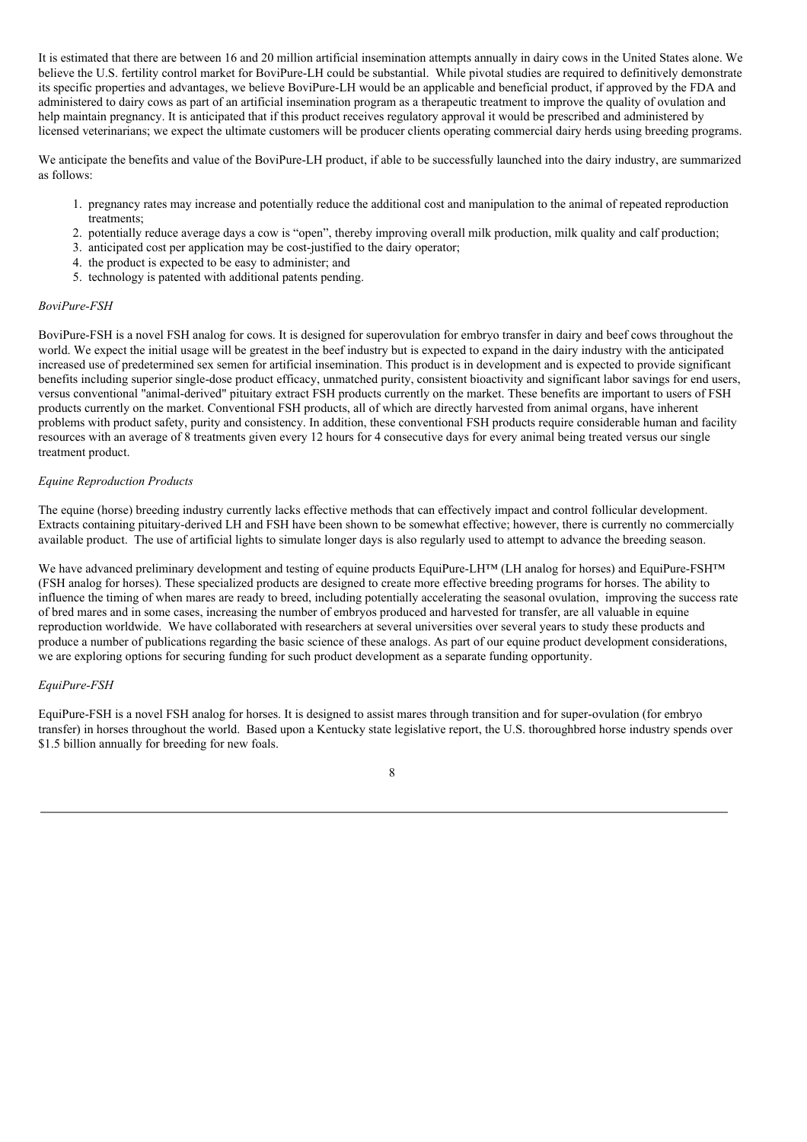It is estimated that there are between 16 and 20 million artificial insemination attempts annually in dairy cows in the United States alone. We believe the U.S. fertility control market for BoviPure-LH could be substantial. While pivotal studies are required to definitively demonstrate its specific properties and advantages, we believe BoviPure-LH would be an applicable and beneficial product, if approved by the FDA and administered to dairy cows as part of an artificial insemination program as a therapeutic treatment to improve the quality of ovulation and help maintain pregnancy. It is anticipated that if this product receives regulatory approval it would be prescribed and administered by licensed veterinarians; we expect the ultimate customers will be producer clients operating commercial dairy herds using breeding programs.

We anticipate the benefits and value of the BoviPure-LH product, if able to be successfully launched into the dairy industry, are summarized as follows:

- 1. pregnancy rates may increase and potentially reduce the additional cost and manipulation to the animal of repeated reproduction treatments;
- 2. potentially reduce average days a cow is "open", thereby improving overall milk production, milk quality and calf production;
- 3. anticipated cost per application may be cost-justified to the dairy operator;
- 4. the product is expected to be easy to administer; and
- 5. technology is patented with additional patents pending.

## *BoviPure-FSH*

BoviPure-FSH is a novel FSH analog for cows. It is designed for superovulation for embryo transfer in dairy and beef cows throughout the world. We expect the initial usage will be greatest in the beef industry but is expected to expand in the dairy industry with the anticipated increased use of predetermined sex semen for artificial insemination. This product is in development and is expected to provide significant benefits including superior single-dose product efficacy, unmatched purity, consistent bioactivity and significant labor savings for end users, versus conventional "animal-derived" pituitary extract FSH products currently on the market. These benefits are important to users of FSH products currently on the market. Conventional FSH products, all of which are directly harvested from animal organs, have inherent problems with product safety, purity and consistency. In addition, these conventional FSH products require considerable human and facility resources with an average of 8 treatments given every 12 hours for 4 consecutive days for every animal being treated versus our single treatment product.

## *Equine Reproduction Products*

The equine (horse) breeding industry currently lacks effective methods that can effectively impact and control follicular development. Extracts containing pituitary-derived LH and FSH have been shown to be somewhat effective; however, there is currently no commercially available product. The use of artificial lights to simulate longer days is also regularly used to attempt to advance the breeding season.

We have advanced preliminary development and testing of equine products EquiPure-LH™ (LH analog for horses) and EquiPure-FSH™ (FSH analog for horses). These specialized products are designed to create more effective breeding programs for horses. The ability to influence the timing of when mares are ready to breed, including potentially accelerating the seasonal ovulation, improving the success rate of bred mares and in some cases, increasing the number of embryos produced and harvested for transfer, are all valuable in equine reproduction worldwide. We have collaborated with researchers at several universities over several years to study these products and produce a number of publications regarding the basic science of these analogs. As part of our equine product development considerations, we are exploring options for securing funding for such product development as a separate funding opportunity.

# *EquiPure-FSH*

EquiPure-FSH is a novel FSH analog for horses. It is designed to assist mares through transition and for super-ovulation (for embryo transfer) in horses throughout the world. Based upon a Kentucky state legislative report, the U.S. thoroughbred horse industry spends over \$1.5 billion annually for breeding for new foals.

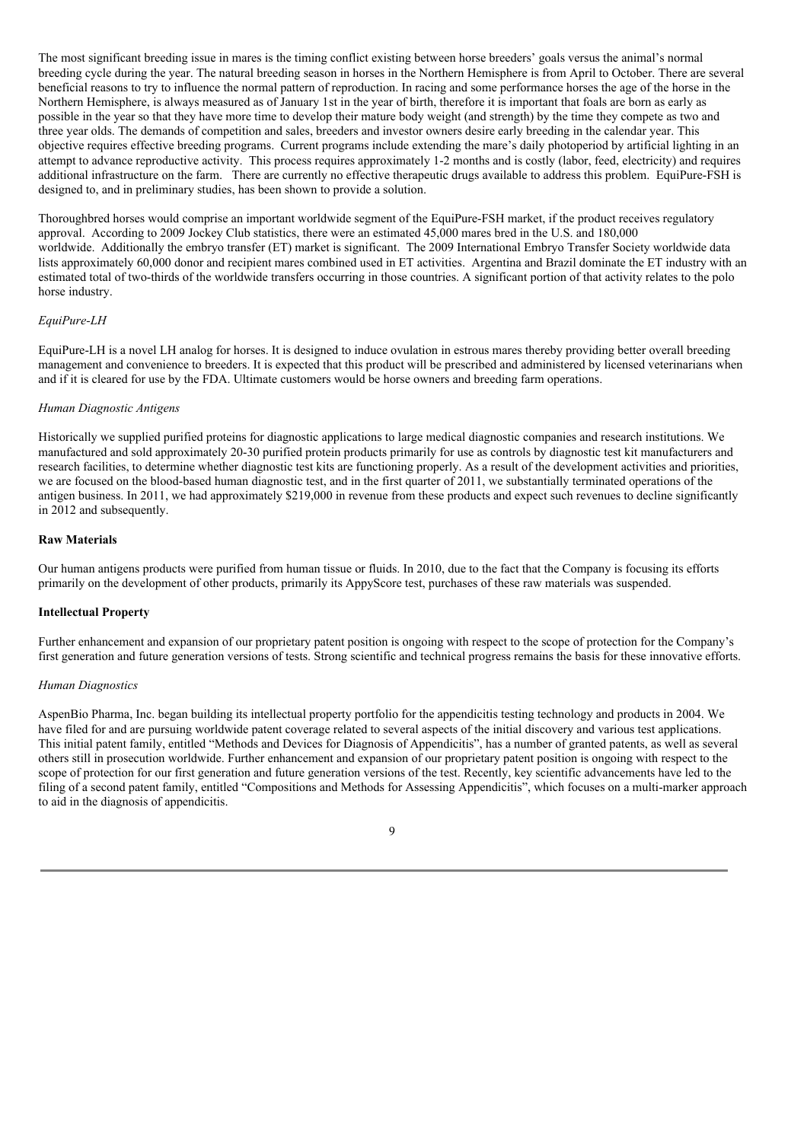The most significant breeding issue in mares is the timing conflict existing between horse breeders' goals versus the animal's normal breeding cycle during the year. The natural breeding season in horses in the Northern Hemisphere is from April to October. There are several beneficial reasons to try to influence the normal pattern of reproduction. In racing and some performance horses the age of the horse in the Northern Hemisphere, is always measured as of January 1st in the year of birth, therefore it is important that foals are born as early as possible in the year so that they have more time to develop their mature body weight (and strength) by the time they compete as two and three year olds. The demands of competition and sales, breeders and investor owners desire early breeding in the calendar year. This objective requires effective breeding programs. Current programs include extending the mare's daily photoperiod by artificial lighting in an attempt to advance reproductive activity. This process requires approximately 1-2 months and is costly (labor, feed, electricity) and requires additional infrastructure on the farm. There are currently no effective therapeutic drugs available to address this problem. EquiPure-FSH is designed to, and in preliminary studies, has been shown to provide a solution.

Thoroughbred horses would comprise an important worldwide segment of the EquiPure-FSH market, if the product receives regulatory approval. According to 2009 Jockey Club statistics, there were an estimated 45,000 mares bred in the U.S. and 180,000 worldwide. Additionally the embryo transfer (ET) market is significant. The 2009 International Embryo Transfer Society worldwide data lists approximately 60,000 donor and recipient mares combined used in ET activities. Argentina and Brazil dominate the ET industry with an estimated total of two-thirds of the worldwide transfers occurring in those countries. A significant portion of that activity relates to the polo horse industry.

# *EquiPure-LH*

EquiPure-LH is a novel LH analog for horses. It is designed to induce ovulation in estrous mares thereby providing better overall breeding management and convenience to breeders. It is expected that this product will be prescribed and administered by licensed veterinarians when and if it is cleared for use by the FDA. Ultimate customers would be horse owners and breeding farm operations.

## *Human Diagnostic Antigens*

Historically we supplied purified proteins for diagnostic applications to large medical diagnostic companies and research institutions. We manufactured and sold approximately 20-30 purified protein products primarily for use as controls by diagnostic test kit manufacturers and research facilities, to determine whether diagnostic test kits are functioning properly. As a result of the development activities and priorities, we are focused on the blood-based human diagnostic test, and in the first quarter of 2011, we substantially terminated operations of the antigen business. In 2011, we had approximately \$219,000 in revenue from these products and expect such revenues to decline significantly in 2012 and subsequently.

### **Raw Materials**

Our human antigens products were purified from human tissue or fluids. In 2010, due to the fact that the Company is focusing its efforts primarily on the development of other products, primarily its AppyScore test, purchases of these raw materials was suspended.

#### **Intellectual Property**

Further enhancement and expansion of our proprietary patent position is ongoing with respect to the scope of protection for the Company's first generation and future generation versions of tests. Strong scientific and technical progress remains the basis for these innovative efforts.

### *Human Diagnostics*

AspenBio Pharma, Inc. began building its intellectual property portfolio for the appendicitis testing technology and products in 2004. We have filed for and are pursuing worldwide patent coverage related to several aspects of the initial discovery and various test applications. This initial patent family, entitled "Methods and Devices for Diagnosis of Appendicitis", has a number of granted patents, as well as several others still in prosecution worldwide. Further enhancement and expansion of our proprietary patent position is ongoing with respect to the scope of protection for our first generation and future generation versions of the test. Recently, key scientific advancements have led to the filing of a second patent family, entitled "Compositions and Methods for Assessing Appendicitis", which focuses on a multi-marker approach to aid in the diagnosis of appendicitis.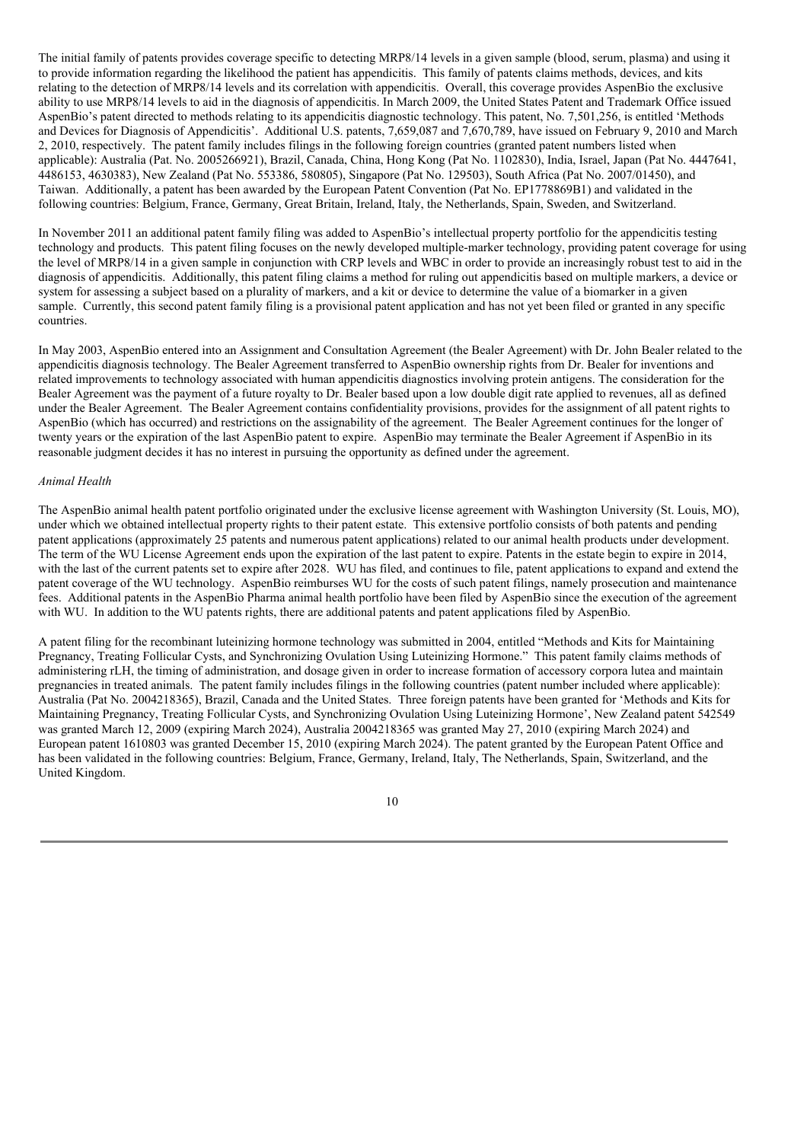The initial family of patents provides coverage specific to detecting MRP8/14 levels in a given sample (blood, serum, plasma) and using it to provide information regarding the likelihood the patient has appendicitis. This family of patents claims methods, devices, and kits relating to the detection of MRP8/14 levels and its correlation with appendicitis. Overall, this coverage provides AspenBio the exclusive ability to use MRP8/14 levels to aid in the diagnosis of appendicitis. In March 2009, the United States Patent and Trademark Office issued AspenBio's patent directed to methods relating to its appendicitis diagnostic technology. This patent, No. 7,501,256, is entitled 'Methods and Devices for Diagnosis of Appendicitis'. Additional U.S. patents, 7,659,087 and 7,670,789, have issued on February 9, 2010 and March 2, 2010, respectively. The patent family includes filings in the following foreign countries (granted patent numbers listed when applicable): Australia (Pat. No. 2005266921), Brazil, Canada, China, Hong Kong (Pat No. 1102830), India, Israel, Japan (Pat No. 4447641, 4486153, 4630383), New Zealand (Pat No. 553386, 580805), Singapore (Pat No. 129503), South Africa (Pat No. 2007/01450), and Taiwan. Additionally, a patent has been awarded by the European Patent Convention (Pat No. EP1778869B1) and validated in the following countries: Belgium, France, Germany, Great Britain, Ireland, Italy, the Netherlands, Spain, Sweden, and Switzerland.

In November 2011 an additional patent family filing was added to AspenBio's intellectual property portfolio for the appendicitis testing technology and products. This patent filing focuses on the newly developed multiple-marker technology, providing patent coverage for using the level of MRP8/14 in a given sample in conjunction with CRP levels and WBC in order to provide an increasingly robust test to aid in the diagnosis of appendicitis. Additionally, this patent filing claims a method for ruling out appendicitis based on multiple markers, a device or system for assessing a subject based on a plurality of markers, and a kit or device to determine the value of a biomarker in a given sample. Currently, this second patent family filing is a provisional patent application and has not yet been filed or granted in any specific countries.

In May 2003, AspenBio entered into an Assignment and Consultation Agreement (the Bealer Agreement) with Dr. John Bealer related to the appendicitis diagnosis technology. The Bealer Agreement transferred to AspenBio ownership rights from Dr. Bealer for inventions and related improvements to technology associated with human appendicitis diagnostics involving protein antigens. The consideration for the Bealer Agreement was the payment of a future royalty to Dr. Bealer based upon a low double digit rate applied to revenues, all as defined under the Bealer Agreement. The Bealer Agreement contains confidentiality provisions, provides for the assignment of all patent rights to AspenBio (which has occurred) and restrictions on the assignability of the agreement. The Bealer Agreement continues for the longer of twenty years or the expiration of the last AspenBio patent to expire. AspenBio may terminate the Bealer Agreement if AspenBio in its reasonable judgment decides it has no interest in pursuing the opportunity as defined under the agreement.

## *Animal Health*

The AspenBio animal health patent portfolio originated under the exclusive license agreement with Washington University (St. Louis, MO), under which we obtained intellectual property rights to their patent estate. This extensive portfolio consists of both patents and pending patent applications (approximately 25 patents and numerous patent applications) related to our animal health products under development. The term of the WU License Agreement ends upon the expiration of the last patent to expire. Patents in the estate begin to expire in 2014, with the last of the current patents set to expire after 2028. WU has filed, and continues to file, patent applications to expand and extend the patent coverage of the WU technology. AspenBio reimburses WU for the costs of such patent filings, namely prosecution and maintenance fees. Additional patents in the AspenBio Pharma animal health portfolio have been filed by AspenBio since the execution of the agreement with WU. In addition to the WU patents rights, there are additional patents and patent applications filed by AspenBio.

A patent filing for the recombinant luteinizing hormone technology was submitted in 2004, entitled "Methods and Kits for Maintaining Pregnancy, Treating Follicular Cysts, and Synchronizing Ovulation Using Luteinizing Hormone." This patent family claims methods of administering rLH, the timing of administration, and dosage given in order to increase formation of accessory corpora lutea and maintain pregnancies in treated animals. The patent family includes filings in the following countries (patent number included where applicable): Australia (Pat No. 2004218365), Brazil, Canada and the United States. Three foreign patents have been granted for 'Methods and Kits for Maintaining Pregnancy, Treating Follicular Cysts, and Synchronizing Ovulation Using Luteinizing Hormone', New Zealand patent 542549 was granted March 12, 2009 (expiring March 2024), Australia 2004218365 was granted May 27, 2010 (expiring March 2024) and European patent 1610803 was granted December 15, 2010 (expiring March 2024). The patent granted by the European Patent Office and has been validated in the following countries: Belgium, France, Germany, Ireland, Italy, The Netherlands, Spain, Switzerland, and the United Kingdom.

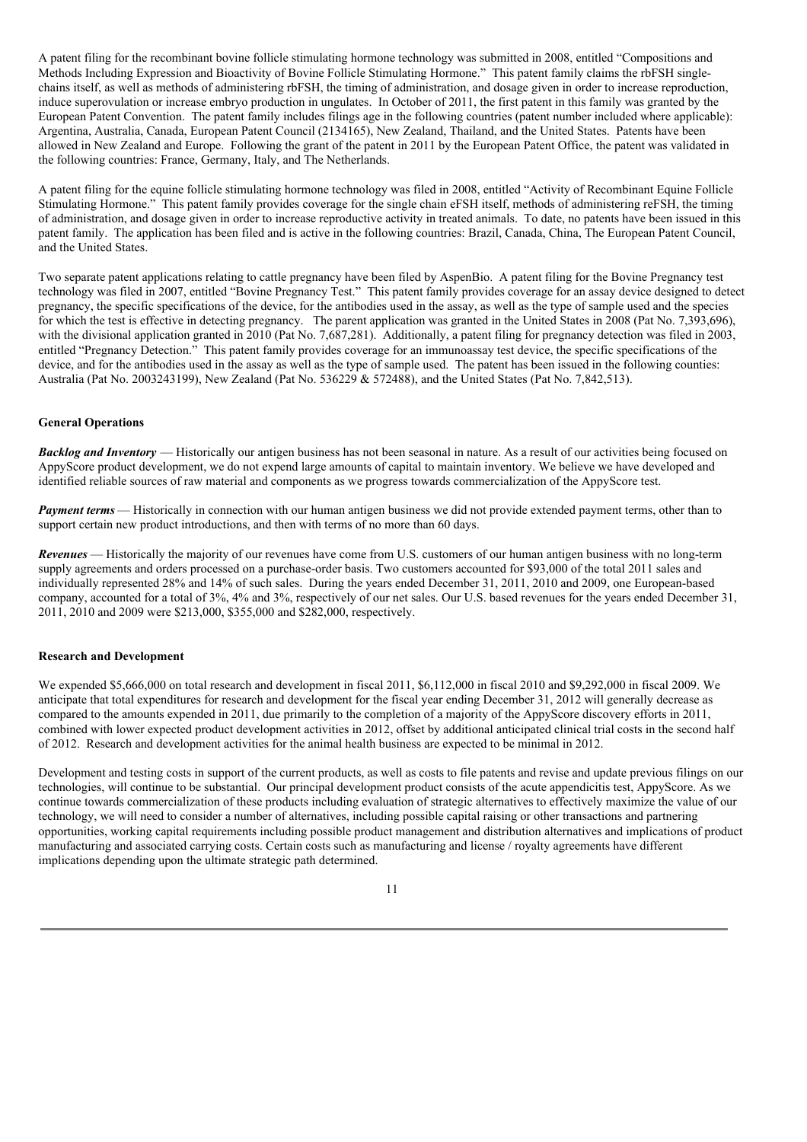A patent filing for the recombinant bovine follicle stimulating hormone technology was submitted in 2008, entitled "Compositions and Methods Including Expression and Bioactivity of Bovine Follicle Stimulating Hormone." This patent family claims the rbFSH singlechains itself, as well as methods of administering rbFSH, the timing of administration, and dosage given in order to increase reproduction, induce superovulation or increase embryo production in ungulates. In October of 2011, the first patent in this family was granted by the European Patent Convention. The patent family includes filings age in the following countries (patent number included where applicable): Argentina, Australia, Canada, European Patent Council (2134165), New Zealand, Thailand, and the United States. Patents have been allowed in New Zealand and Europe. Following the grant of the patent in 2011 by the European Patent Office, the patent was validated in the following countries: France, Germany, Italy, and The Netherlands.

A patent filing for the equine follicle stimulating hormone technology was filed in 2008, entitled "Activity of Recombinant Equine Follicle Stimulating Hormone." This patent family provides coverage for the single chain eFSH itself, methods of administering reFSH, the timing of administration, and dosage given in order to increase reproductive activity in treated animals. To date, no patents have been issued in this patent family. The application has been filed and is active in the following countries: Brazil, Canada, China, The European Patent Council, and the United States.

Two separate patent applications relating to cattle pregnancy have been filed by AspenBio. A patent filing for the Bovine Pregnancy test technology was filed in 2007, entitled "Bovine Pregnancy Test." This patent family provides coverage for an assay device designed to detect pregnancy, the specific specifications of the device, for the antibodies used in the assay, as well as the type of sample used and the species for which the test is effective in detecting pregnancy. The parent application was granted in the United States in 2008 (Pat No. 7,393,696), with the divisional application granted in 2010 (Pat No. 7,687,281). Additionally, a patent filing for pregnancy detection was filed in 2003, entitled "Pregnancy Detection." This patent family provides coverage for an immunoassay test device, the specific specifications of the device, and for the antibodies used in the assay as well as the type of sample used. The patent has been issued in the following counties: Australia (Pat No. 2003243199), New Zealand (Pat No. 536229 & 572488), and the United States (Pat No. 7,842,513).

## **General Operations**

*Backlog and Inventory* — Historically our antigen business has not been seasonal in nature. As a result of our activities being focused on AppyScore product development, we do not expend large amounts of capital to maintain inventory. We believe we have developed and identified reliable sources of raw material and components as we progress towards commercialization of the AppyScore test.

*Payment terms* — Historically in connection with our human antigen business we did not provide extended payment terms, other than to support certain new product introductions, and then with terms of no more than 60 days.

*Revenues* — Historically the majority of our revenues have come from U.S. customers of our human antigen business with no long-term supply agreements and orders processed on a purchase-order basis. Two customers accounted for \$93,000 of the total 2011 sales and individually represented 28% and 14% of such sales. During the years ended December 31, 2011, 2010 and 2009, one European-based company, accounted for a total of 3%, 4% and 3%, respectively of our net sales. Our U.S. based revenues for the years ended December 31, 2011, 2010 and 2009 were \$213,000, \$355,000 and \$282,000, respectively.

### **Research and Development**

We expended \$5,666,000 on total research and development in fiscal 2011, \$6,112,000 in fiscal 2010 and \$9,292,000 in fiscal 2009. We anticipate that total expenditures for research and development for the fiscal year ending December 31, 2012 will generally decrease as compared to the amounts expended in 2011, due primarily to the completion of a majority of the AppyScore discovery efforts in 2011, combined with lower expected product development activities in 2012, offset by additional anticipated clinical trial costs in the second half of 2012. Research and development activities for the animal health business are expected to be minimal in 2012.

Development and testing costs in support of the current products, as well as costs to file patents and revise and update previous filings on our technologies, will continue to be substantial. Our principal development product consists of the acute appendicitis test, AppyScore. As we continue towards commercialization of these products including evaluation of strategic alternatives to effectively maximize the value of our technology, we will need to consider a number of alternatives, including possible capital raising or other transactions and partnering opportunities, working capital requirements including possible product management and distribution alternatives and implications of product manufacturing and associated carrying costs. Certain costs such as manufacturing and license / royalty agreements have different implications depending upon the ultimate strategic path determined.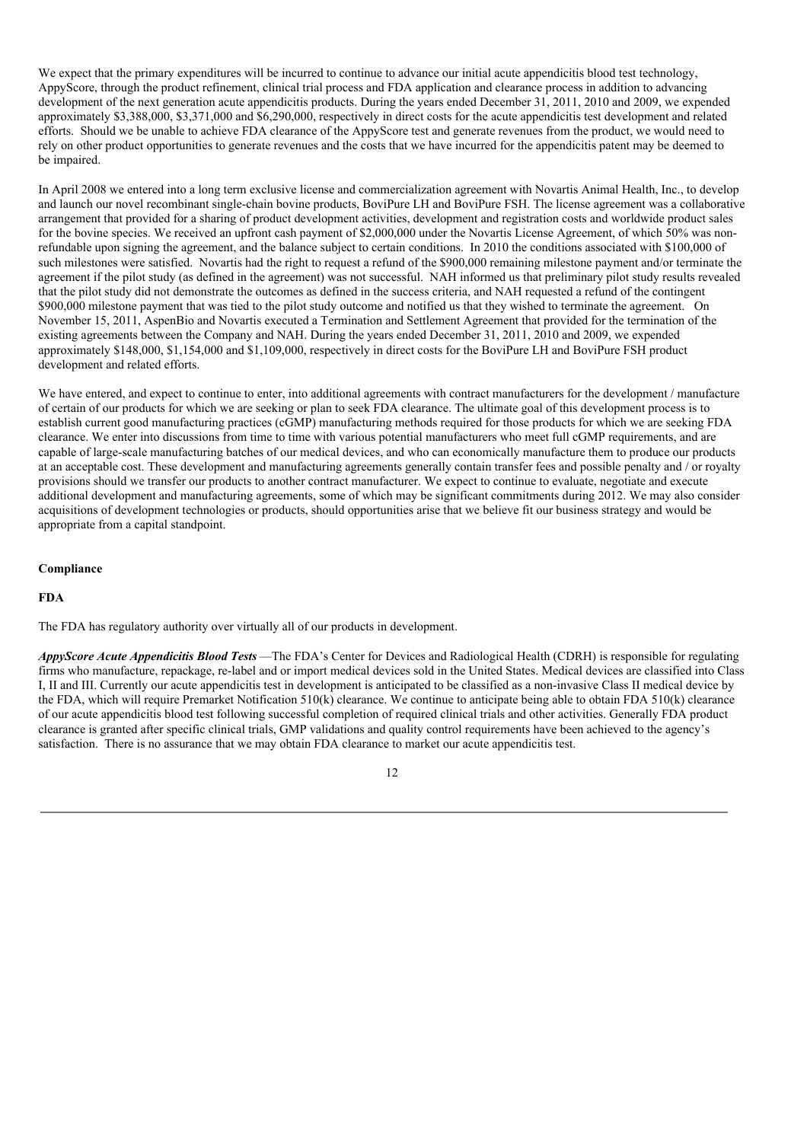We expect that the primary expenditures will be incurred to continue to advance our initial acute appendicitis blood test technology, AppyScore, through the product refinement, clinical trial process and FDA application and clearance process in addition to advancing development of the next generation acute appendicitis products. During the years ended December 31, 2011, 2010 and 2009, we expended approximately \$3,388,000, \$3,371,000 and \$6,290,000, respectively in direct costs for the acute appendicitis test development and related efforts. Should we be unable to achieve FDA clearance of the AppyScore test and generate revenues from the product, we would need to rely on other product opportunities to generate revenues and the costs that we have incurred for the appendicitis patent may be deemed to be impaired.

In April 2008 we entered into a long term exclusive license and commercialization agreement with Novartis Animal Health, Inc., to develop and launch our novel recombinant single-chain bovine products, BoviPure LH and BoviPure FSH. The license agreement was a collaborative arrangement that provided for a sharing of product development activities, development and registration costs and worldwide product sales for the bovine species. We received an upfront cash payment of \$2,000,000 under the Novartis License Agreement, of which 50% was nonrefundable upon signing the agreement, and the balance subject to certain conditions. In 2010 the conditions associated with \$100,000 of such milestones were satisfied. Novartis had the right to request a refund of the \$900,000 remaining milestone payment and/or terminate the agreement if the pilot study (as defined in the agreement) was not successful. NAH informed us that preliminary pilot study results revealed that the pilot study did not demonstrate the outcomes as defined in the success criteria, and NAH requested a refund of the contingent \$900,000 milestone payment that was tied to the pilot study outcome and notified us that they wished to terminate the agreement. On November 15, 2011, AspenBio and Novartis executed a Termination and Settlement Agreement that provided for the termination of the existing agreements between the Company and NAH. During the years ended December 31, 2011, 2010 and 2009, we expended approximately \$148,000, \$1,154,000 and \$1,109,000, respectively in direct costs for the BoviPure LH and BoviPure FSH product development and related efforts.

We have entered, and expect to continue to enter, into additional agreements with contract manufacturers for the development / manufacture of certain of our products for which we are seeking or plan to seek FDA clearance. The ultimate goal of this development process is to establish current good manufacturing practices (cGMP) manufacturing methods required for those products for which we are seeking FDA clearance. We enter into discussions from time to time with various potential manufacturers who meet full cGMP requirements, and are capable of large-scale manufacturing batches of our medical devices, and who can economically manufacture them to produce our products at an acceptable cost. These development and manufacturing agreements generally contain transfer fees and possible penalty and / or royalty provisions should we transfer our products to another contract manufacturer. We expect to continue to evaluate, negotiate and execute additional development and manufacturing agreements, some of which may be significant commitments during 2012. We may also consider acquisitions of development technologies or products, should opportunities arise that we believe fit our business strategy and would be appropriate from a capital standpoint.

### **Compliance**

## **FDA**

The FDA has regulatory authority over virtually all of our products in development.

*AppyScore Acute Appendicitis Blood Tests* —The FDA's Center for Devices and Radiological Health (CDRH) is responsible for regulating firms who manufacture, repackage, re-label and or import medical devices sold in the United States. Medical devices are classified into Class I, II and III. Currently our acute appendicitis test in development is anticipated to be classified as a non-invasive Class II medical device by the FDA, which will require Premarket Notification 510(k) clearance. We continue to anticipate being able to obtain FDA 510(k) clearance of our acute appendicitis blood test following successful completion of required clinical trials and other activities. Generally FDA product clearance is granted after specific clinical trials, GMP validations and quality control requirements have been achieved to the agency's satisfaction. There is no assurance that we may obtain FDA clearance to market our acute appendicitis test.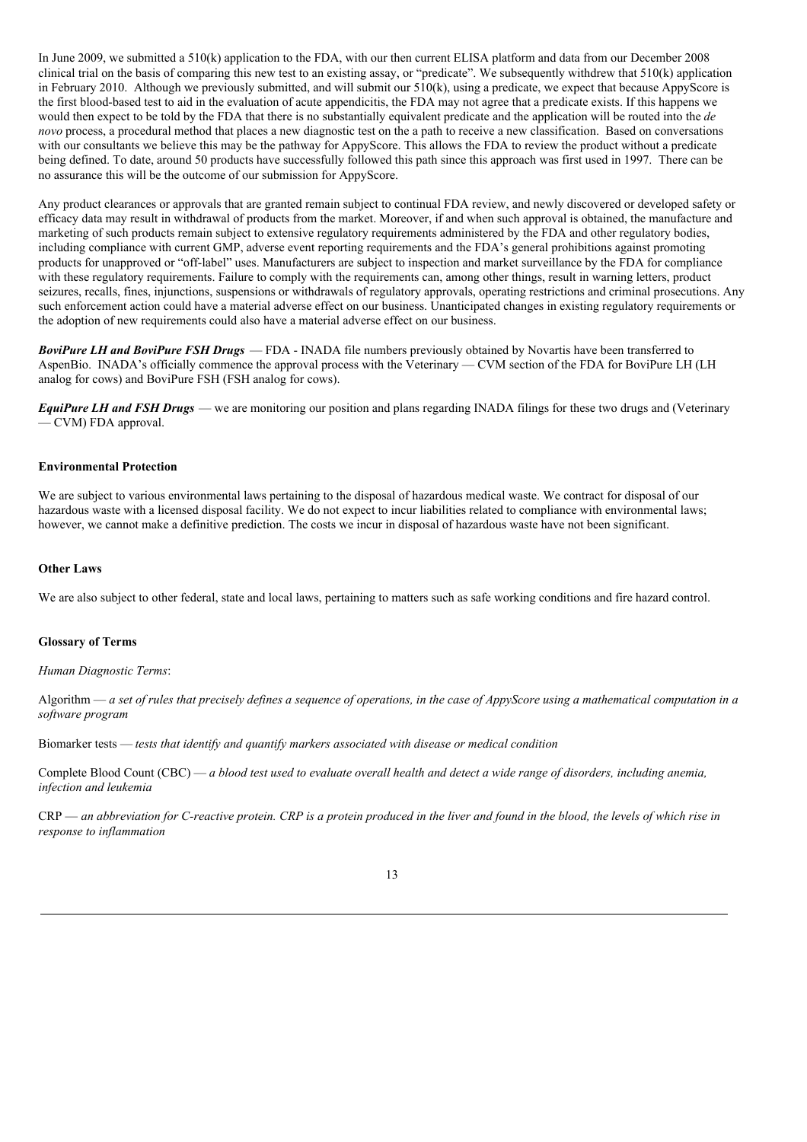In June 2009, we submitted a 510(k) application to the FDA, with our then current ELISA platform and data from our December 2008 clinical trial on the basis of comparing this new test to an existing assay, or "predicate". We subsequently withdrew that 510(k) application in February 2010. Although we previously submitted, and will submit our 510(k), using a predicate, we expect that because AppyScore is the first blood-based test to aid in the evaluation of acute appendicitis, the FDA may not agree that a predicate exists. If this happens we would then expect to be told by the FDA that there is no substantially equivalent predicate and the application will be routed into the *de novo* process, a procedural method that places a new diagnostic test on the a path to receive a new classification. Based on conversations with our consultants we believe this may be the pathway for AppyScore. This allows the FDA to review the product without a predicate being defined. To date, around 50 products have successfully followed this path since this approach was first used in 1997. There can be no assurance this will be the outcome of our submission for AppyScore.

Any product clearances or approvals that are granted remain subject to continual FDA review, and newly discovered or developed safety or efficacy data may result in withdrawal of products from the market. Moreover, if and when such approval is obtained, the manufacture and marketing of such products remain subject to extensive regulatory requirements administered by the FDA and other regulatory bodies, including compliance with current GMP, adverse event reporting requirements and the FDA's general prohibitions against promoting products for unapproved or "off-label" uses. Manufacturers are subject to inspection and market surveillance by the FDA for compliance with these regulatory requirements. Failure to comply with the requirements can, among other things, result in warning letters, product seizures, recalls, fines, injunctions, suspensions or withdrawals of regulatory approvals, operating restrictions and criminal prosecutions. Any such enforcement action could have a material adverse effect on our business. Unanticipated changes in existing regulatory requirements or the adoption of new requirements could also have a material adverse effect on our business.

*BoviPure LH and BoviPure FSH Drugs* — FDA - INADA file numbers previously obtained by Novartis have been transferred to AspenBio. INADA's officially commence the approval process with the Veterinary — CVM section of the FDA for BoviPure LH (LH analog for cows) and BoviPure FSH (FSH analog for cows).

*EquiPure LH and FSH Drugs* — we are monitoring our position and plans regarding INADA filings for these two drugs and (Veterinary — CVM) FDA approval.

### **Environmental Protection**

We are subject to various environmental laws pertaining to the disposal of hazardous medical waste. We contract for disposal of our hazardous waste with a licensed disposal facility. We do not expect to incur liabilities related to compliance with environmental laws; however, we cannot make a definitive prediction. The costs we incur in disposal of hazardous waste have not been significant.

#### **Other Laws**

We are also subject to other federal, state and local laws, pertaining to matters such as safe working conditions and fire hazard control.

#### **Glossary of Terms**

*Human Diagnostic Terms*:

Algorithm  $-a$  set of rules that precisely defines a sequence of operations, in the case of AppyScore using a mathematical computation in a *software program*

Biomarker tests — *tests that identify and quantify markers associated with disease or medical condition*

Complete Blood Count (CBC) — a blood test used to evaluate overall health and detect a wide range of disorders, including anemia, *infection and leukemia*

 $CRP$  — an abbreviation for C-reactive protein. CRP is a protein produced in the liver and found in the blood, the levels of which rise in *response to inflammation*

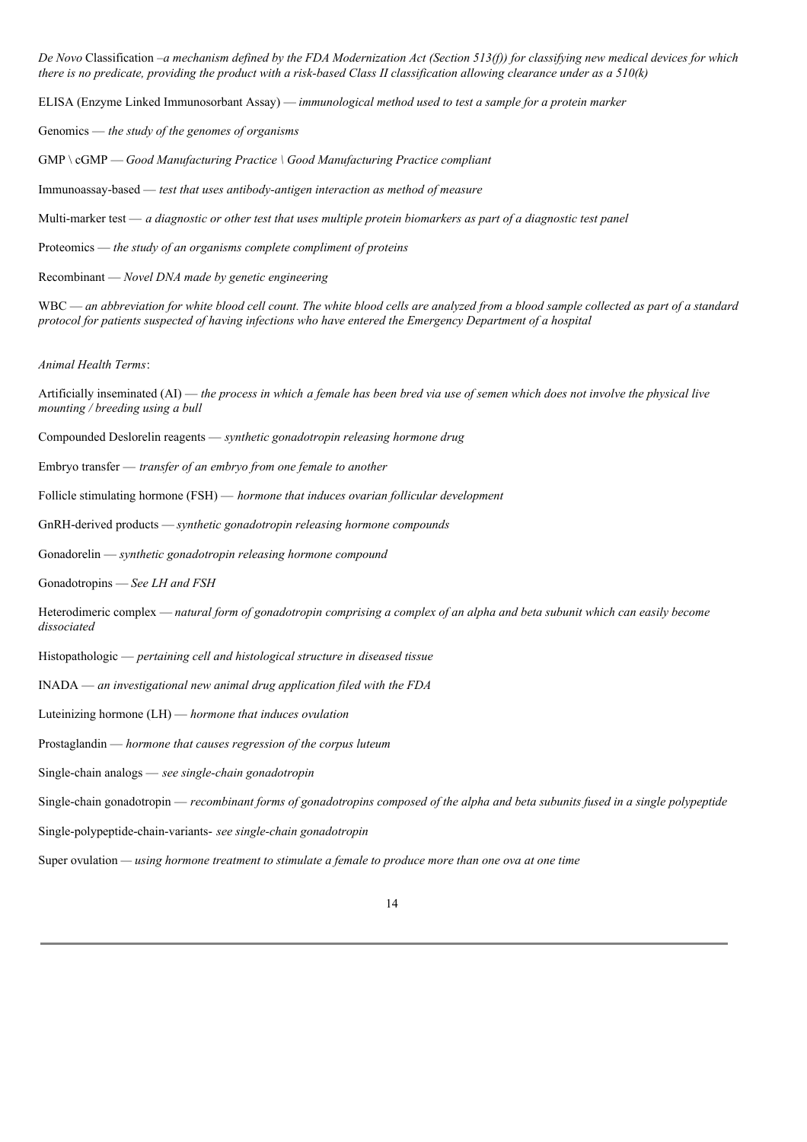De Novo Classification –a mechanism defined by the FDA Modernization Act (Section 513(f)) for classifying new medical devices for which there is no predicate, providing the product with a risk-based Class II classification allowing clearance under as a  $510(k)$ 

ELISA (Enzyme Linked Immunosorbant Assay) — *immunological method used to test a sample for a protein marker*

Genomics — *the study of the genomes of organisms*

GMP \ cGMP — *Good Manufacturing Practice \ Good Manufacturing Practice compliant*

Immunoassay-based — *test that uses antibody-antigen interaction as method of measure*

Multi-marker test  $-a$  diagnostic or other test that uses multiple protein biomarkers as part of a diagnostic test panel

Proteomics — *the study of an organisms complete compliment of proteins*

Recombinant — *Novel DNA made by genetic engineering*

 $WBC$  — an abbreviation for white blood cell count. The white blood cells are analyzed from a blood sample collected as part of a standard *protocol for patients suspected of having infections who have entered the Emergency Department of a hospital*

*Animal Health Terms*:

Artificially inseminated (AI) — the process in which a female has been bred via use of semen which does not involve the physical live *mounting / breeding using a bull*

Compounded Deslorelin reagents — *synthetic gonadotropin releasing hormone drug*

Embryo transfer — *transfer of an embryo from one female to another*

Follicle stimulating hormone (FSH) — *hormone that induces ovarian follicular development*

GnRH-derived products — *synthetic gonadotropin releasing hormone compounds*

Gonadorelin — *synthetic gonadotropin releasing hormone compound*

Gonadotropins — *See LH and FSH*

Heterodimeric complex — natural form of gonadotropin comprising a complex of an alpha and beta subunit which can easily become *dissociated*

Histopathologic — *pertaining cell and histological structure in diseased tissue*

INADA — *an investigational new animal drug application filed with the FDA*

Luteinizing hormone (LH) — *hormone that induces ovulation*

Prostaglandin — *hormone that causes regression of the corpus luteum*

Single-chain analogs — *see single-chain gonadotropin*

Single-chain gonadotropin — recombinant forms of gonadotropins composed of the alpha and beta subunits fused in a single polypeptide

Single-polypeptide-chain-variants- *see single-chain gonadotropin*

Super ovulation *— using hormone treatment to stimulate a female to produce more than one ova at one time*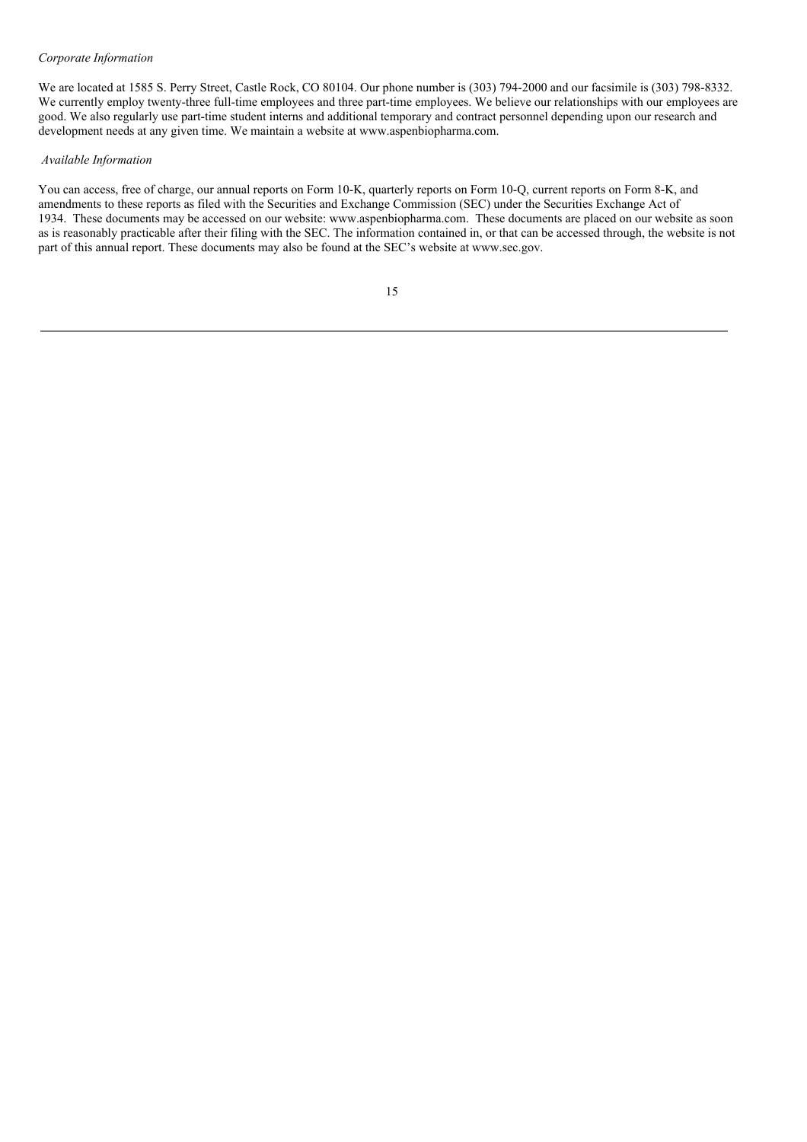#### *Corporate Information*

We are located at 1585 S. Perry Street, Castle Rock, CO 80104. Our phone number is (303) 794-2000 and our facsimile is (303) 798-8332. We currently employ twenty-three full-time employees and three part-time employees. We believe our relationships with our employees are good. We also regularly use part-time student interns and additional temporary and contract personnel depending upon our research and development needs at any given time. We maintain a website at www.aspenbiopharma.com.

## *Available Information*

You can access, free of charge, our annual reports on Form 10-K, quarterly reports on Form 10-Q, current reports on Form 8-K, and amendments to these reports as filed with the Securities and Exchange Commission (SEC) under the Securities Exchange Act of 1934. These documents may be accessed on our website: www.aspenbiopharma.com. These documents are placed on our website as soon as is reasonably practicable after their filing with the SEC. The information contained in, or that can be accessed through, the website is not part of this annual report. These documents may also be found at the SEC's website at www.sec.gov.

|   | I                        |
|---|--------------------------|
| ٠ | I<br>۰.<br>۰,<br>۰.<br>× |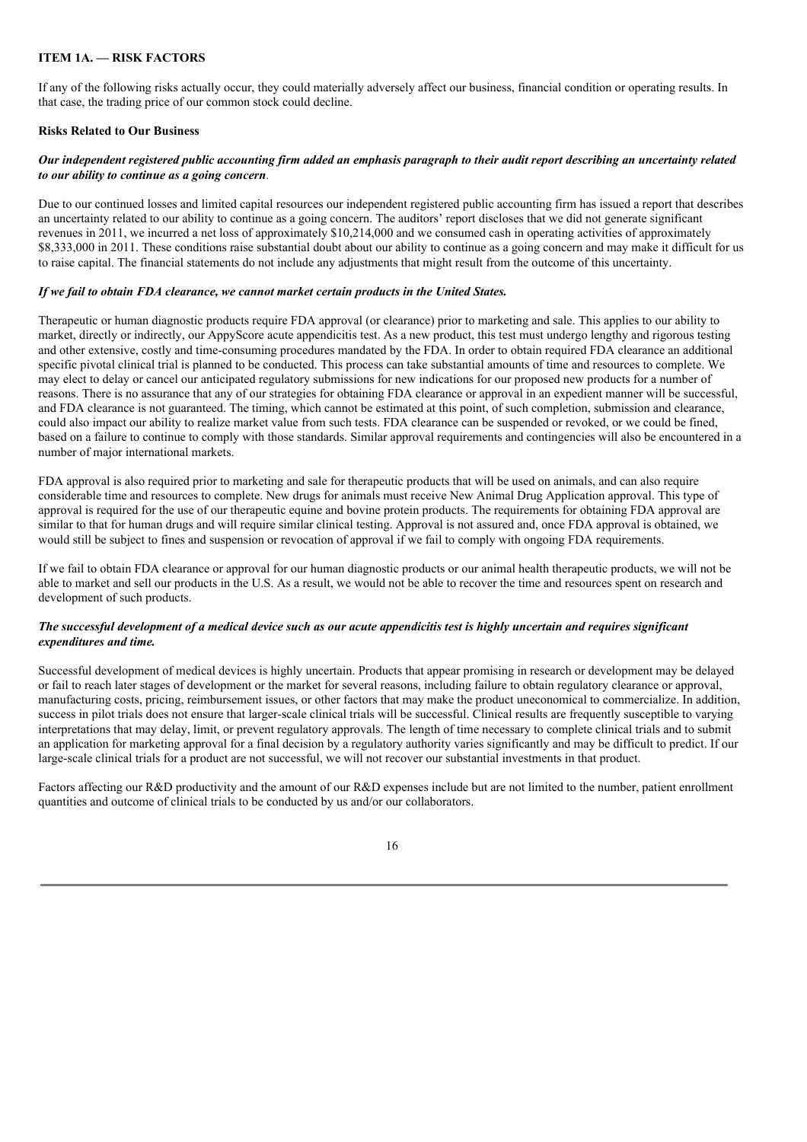# **ITEM 1A. — RISK FACTORS**

If any of the following risks actually occur, they could materially adversely affect our business, financial condition or operating results. In that case, the trading price of our common stock could decline.

## **Risks Related to Our Business**

### Our independent registered public accounting firm added an emphasis paragraph to their audit report describing an uncertainty related *to our ability to continue as a going concern.*

Due to our continued losses and limited capital resources our independent registered public accounting firm has issued a report that describes an uncertainty related to our ability to continue as a going concern. The auditors' report discloses that we did not generate significant revenues in 2011, we incurred a net loss of approximately \$10,214,000 and we consumed cash in operating activities of approximately \$8,333,000 in 2011. These conditions raise substantial doubt about our ability to continue as a going concern and may make it difficult for us to raise capital. The financial statements do not include any adjustments that might result from the outcome of this uncertainty.

### *If we fail to obtain FDA clearance, we cannot market certain products in the United States.*

Therapeutic or human diagnostic products require FDA approval (or clearance) prior to marketing and sale. This applies to our ability to market, directly or indirectly, our AppyScore acute appendicitis test. As a new product, this test must undergo lengthy and rigorous testing and other extensive, costly and time-consuming procedures mandated by the FDA. In order to obtain required FDA clearance an additional specific pivotal clinical trial is planned to be conducted. This process can take substantial amounts of time and resources to complete. We may elect to delay or cancel our anticipated regulatory submissions for new indications for our proposed new products for a number of reasons. There is no assurance that any of our strategies for obtaining FDA clearance or approval in an expedient manner will be successful, and FDA clearance is not guaranteed. The timing, which cannot be estimated at this point, of such completion, submission and clearance, could also impact our ability to realize market value from such tests. FDA clearance can be suspended or revoked, or we could be fined, based on a failure to continue to comply with those standards. Similar approval requirements and contingencies will also be encountered in a number of major international markets.

FDA approval is also required prior to marketing and sale for therapeutic products that will be used on animals, and can also require considerable time and resources to complete. New drugs for animals must receive New Animal Drug Application approval. This type of approval is required for the use of our therapeutic equine and bovine protein products. The requirements for obtaining FDA approval are similar to that for human drugs and will require similar clinical testing. Approval is not assured and, once FDA approval is obtained, we would still be subject to fines and suspension or revocation of approval if we fail to comply with ongoing FDA requirements.

If we fail to obtain FDA clearance or approval for our human diagnostic products or our animal health therapeutic products, we will not be able to market and sell our products in the U.S. As a result, we would not be able to recover the time and resources spent on research and development of such products.

#### The successful development of a medical device such as our acute appendicitis test is highly uncertain and requires significant *expenditures and time.*

Successful development of medical devices is highly uncertain. Products that appear promising in research or development may be delayed or fail to reach later stages of development or the market for several reasons, including failure to obtain regulatory clearance or approval, manufacturing costs, pricing, reimbursement issues, or other factors that may make the product uneconomical to commercialize. In addition, success in pilot trials does not ensure that larger-scale clinical trials will be successful. Clinical results are frequently susceptible to varying interpretations that may delay, limit, or prevent regulatory approvals. The length of time necessary to complete clinical trials and to submit an application for marketing approval for a final decision by a regulatory authority varies significantly and may be difficult to predict. If our large-scale clinical trials for a product are not successful, we will not recover our substantial investments in that product.

Factors affecting our R&D productivity and the amount of our R&D expenses include but are not limited to the number, patient enrollment quantities and outcome of clinical trials to be conducted by us and/or our collaborators.

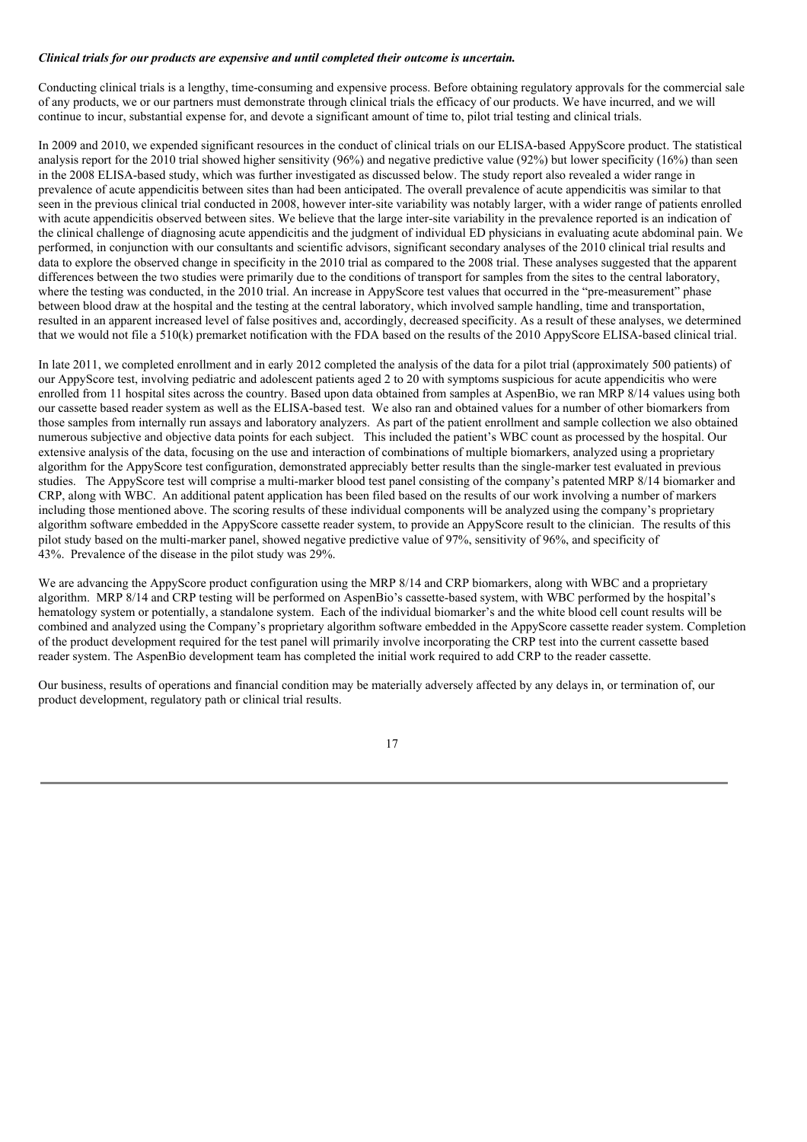#### *Clinical trials for our products are expensive and until completed their outcome is uncertain.*

Conducting clinical trials is a lengthy, time-consuming and expensive process. Before obtaining regulatory approvals for the commercial sale of any products, we or our partners must demonstrate through clinical trials the efficacy of our products. We have incurred, and we will continue to incur, substantial expense for, and devote a significant amount of time to, pilot trial testing and clinical trials.

In 2009 and 2010, we expended significant resources in the conduct of clinical trials on our ELISA-based AppyScore product. The statistical analysis report for the 2010 trial showed higher sensitivity (96%) and negative predictive value (92%) but lower specificity (16%) than seen in the 2008 ELISA-based study, which was further investigated as discussed below. The study report also revealed a wider range in prevalence of acute appendicitis between sites than had been anticipated. The overall prevalence of acute appendicitis was similar to that seen in the previous clinical trial conducted in 2008, however inter-site variability was notably larger, with a wider range of patients enrolled with acute appendicitis observed between sites. We believe that the large inter-site variability in the prevalence reported is an indication of the clinical challenge of diagnosing acute appendicitis and the judgment of individual ED physicians in evaluating acute abdominal pain. We performed, in conjunction with our consultants and scientific advisors, significant secondary analyses of the 2010 clinical trial results and data to explore the observed change in specificity in the 2010 trial as compared to the 2008 trial. These analyses suggested that the apparent differences between the two studies were primarily due to the conditions of transport for samples from the sites to the central laboratory. where the testing was conducted, in the 2010 trial. An increase in AppyScore test values that occurred in the "pre-measurement" phase between blood draw at the hospital and the testing at the central laboratory, which involved sample handling, time and transportation. resulted in an apparent increased level of false positives and, accordingly, decreased specificity. As a result of these analyses, we determined that we would not file a 510(k) premarket notification with the FDA based on the results of the 2010 AppyScore ELISA-based clinical trial.

In late 2011, we completed enrollment and in early 2012 completed the analysis of the data for a pilot trial (approximately 500 patients) of our AppyScore test, involving pediatric and adolescent patients aged 2 to 20 with symptoms suspicious for acute appendicitis who were enrolled from 11 hospital sites across the country. Based upon data obtained from samples at AspenBio, we ran MRP 8/14 values using both our cassette based reader system as well as the ELISA-based test. We also ran and obtained values for a number of other biomarkers from those samples from internally run assays and laboratory analyzers. As part of the patient enrollment and sample collection we also obtained numerous subjective and objective data points for each subject. This included the patient's WBC count as processed by the hospital. Our extensive analysis of the data, focusing on the use and interaction of combinations of multiple biomarkers, analyzed using a proprietary algorithm for the AppyScore test configuration, demonstrated appreciably better results than the single-marker test evaluated in previous studies. The AppyScore test will comprise a multi-marker blood test panel consisting of the company's patented MRP 8/14 biomarker and CRP, along with WBC. An additional patent application has been filed based on the results of our work involving a number of markers including those mentioned above. The scoring results of these individual components will be analyzed using the company's proprietary algorithm software embedded in the AppyScore cassette reader system, to provide an AppyScore result to the clinician. The results of this pilot study based on the multi-marker panel, showed negative predictive value of 97%, sensitivity of 96%, and specificity of 43%. Prevalence of the disease in the pilot study was 29%.

We are advancing the AppyScore product configuration using the MRP 8/14 and CRP biomarkers, along with WBC and a proprietary algorithm. MRP 8/14 and CRP testing will be performed on AspenBio's cassette-based system, with WBC performed by the hospital's hematology system or potentially, a standalone system. Each of the individual biomarker's and the white blood cell count results will be combined and analyzed using the Company's proprietary algorithm software embedded in the AppyScore cassette reader system. Completion of the product development required for the test panel will primarily involve incorporating the CRP test into the current cassette based reader system. The AspenBio development team has completed the initial work required to add CRP to the reader cassette.

Our business, results of operations and financial condition may be materially adversely affected by any delays in, or termination of, our product development, regulatory path or clinical trial results.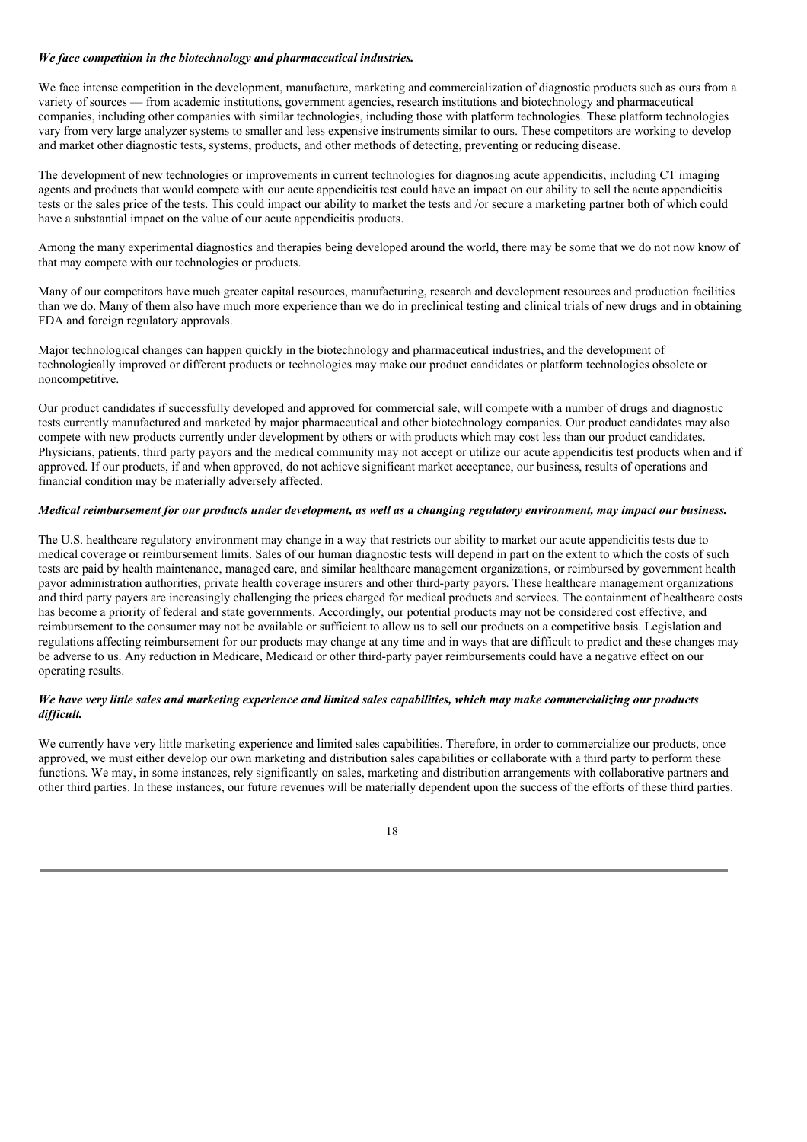### *We face competition in the biotechnology and pharmaceutical industries.*

We face intense competition in the development, manufacture, marketing and commercialization of diagnostic products such as ours from a variety of sources — from academic institutions, government agencies, research institutions and biotechnology and pharmaceutical companies, including other companies with similar technologies, including those with platform technologies. These platform technologies vary from very large analyzer systems to smaller and less expensive instruments similar to ours. These competitors are working to develop and market other diagnostic tests, systems, products, and other methods of detecting, preventing or reducing disease.

The development of new technologies or improvements in current technologies for diagnosing acute appendicitis, including CT imaging agents and products that would compete with our acute appendicitis test could have an impact on our ability to sell the acute appendicitis tests or the sales price of the tests. This could impact our ability to market the tests and /or secure a marketing partner both of which could have a substantial impact on the value of our acute appendicitis products.

Among the many experimental diagnostics and therapies being developed around the world, there may be some that we do not now know of that may compete with our technologies or products.

Many of our competitors have much greater capital resources, manufacturing, research and development resources and production facilities than we do. Many of them also have much more experience than we do in preclinical testing and clinical trials of new drugs and in obtaining FDA and foreign regulatory approvals.

Major technological changes can happen quickly in the biotechnology and pharmaceutical industries, and the development of technologically improved or different products or technologies may make our product candidates or platform technologies obsolete or noncompetitive.

Our product candidates if successfully developed and approved for commercial sale, will compete with a number of drugs and diagnostic tests currently manufactured and marketed by major pharmaceutical and other biotechnology companies. Our product candidates may also compete with new products currently under development by others or with products which may cost less than our product candidates. Physicians, patients, third party payors and the medical community may not accept or utilize our acute appendicitis test products when and if approved. If our products, if and when approved, do not achieve significant market acceptance, our business, results of operations and financial condition may be materially adversely affected.

# Medical reimbursement for our products under development, as well as a changing regulatory environment, may impact our business.

The U.S. healthcare regulatory environment may change in a way that restricts our ability to market our acute appendicitis tests due to medical coverage or reimbursement limits. Sales of our human diagnostic tests will depend in part on the extent to which the costs of such tests are paid by health maintenance, managed care, and similar healthcare management organizations, or reimbursed by government health payor administration authorities, private health coverage insurers and other third-party payors. These healthcare management organizations and third party payers are increasingly challenging the prices charged for medical products and services. The containment of healthcare costs has become a priority of federal and state governments. Accordingly, our potential products may not be considered cost effective, and reimbursement to the consumer may not be available or sufficient to allow us to sell our products on a competitive basis. Legislation and regulations affecting reimbursement for our products may change at any time and in ways that are difficult to predict and these changes may be adverse to us. Any reduction in Medicare, Medicaid or other third-party payer reimbursements could have a negative effect on our operating results.

## We have very little sales and marketing experience and limited sales capabilities, which may make commercializing our products *dif icult.*

We currently have very little marketing experience and limited sales capabilities. Therefore, in order to commercialize our products, once approved, we must either develop our own marketing and distribution sales capabilities or collaborate with a third party to perform these functions. We may, in some instances, rely significantly on sales, marketing and distribution arrangements with collaborative partners and other third parties. In these instances, our future revenues will be materially dependent upon the success of the efforts of these third parties.

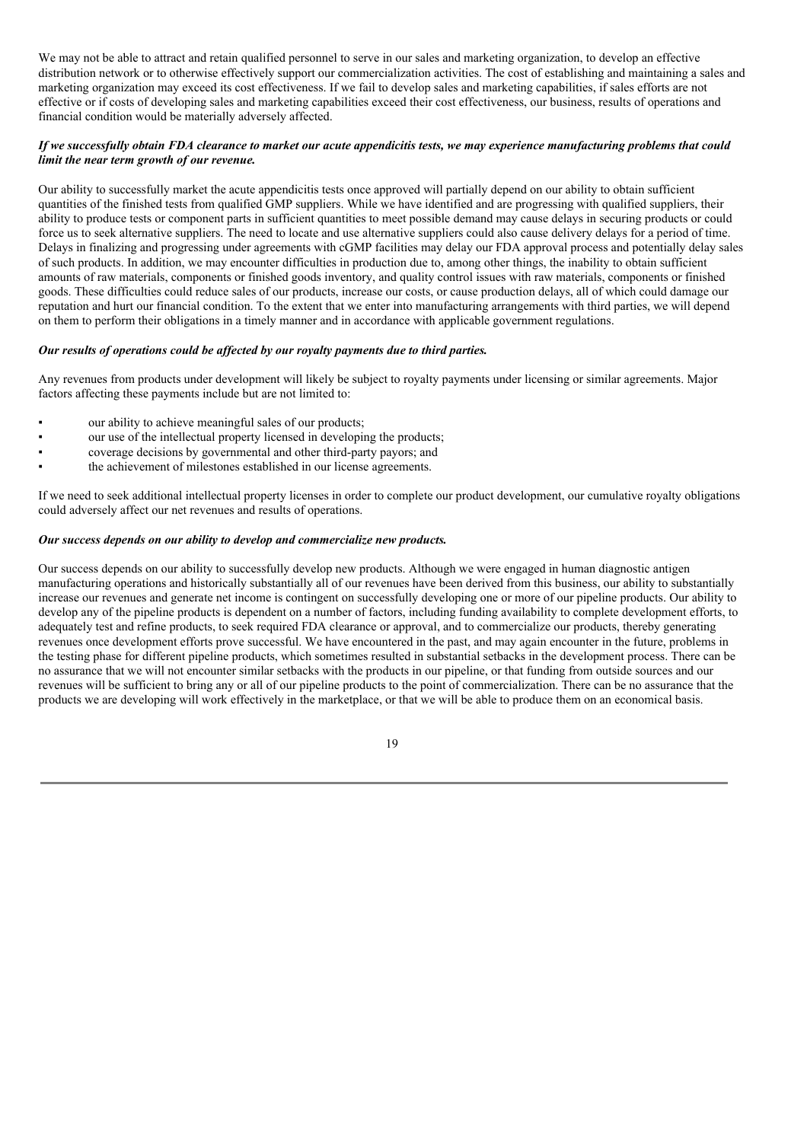We may not be able to attract and retain qualified personnel to serve in our sales and marketing organization, to develop an effective distribution network or to otherwise effectively support our commercialization activities. The cost of establishing and maintaining a sales and marketing organization may exceed its cost effectiveness. If we fail to develop sales and marketing capabilities, if sales efforts are not effective or if costs of developing sales and marketing capabilities exceed their cost effectiveness, our business, results of operations and financial condition would be materially adversely affected.

## If we successfully obtain FDA clearance to market our acute appendicitis tests, we may experience manufacturing problems that could *limit the near term growth of our revenue.*

Our ability to successfully market the acute appendicitis tests once approved will partially depend on our ability to obtain sufficient quantities of the finished tests from qualified GMP suppliers. While we have identified and are progressing with qualified suppliers, their ability to produce tests or component parts in sufficient quantities to meet possible demand may cause delays in securing products or could force us to seek alternative suppliers. The need to locate and use alternative suppliers could also cause delivery delays for a period of time. Delays in finalizing and progressing under agreements with cGMP facilities may delay our FDA approval process and potentially delay sales of such products. In addition, we may encounter difficulties in production due to, among other things, the inability to obtain sufficient amounts of raw materials, components or finished goods inventory, and quality control issues with raw materials, components or finished goods. These difficulties could reduce sales of our products, increase our costs, or cause production delays, all of which could damage our reputation and hurt our financial condition. To the extent that we enter into manufacturing arrangements with third parties, we will depend on them to perform their obligations in a timely manner and in accordance with applicable government regulations.

### *Our results of operations could be af ected by our royalty payments due to third parties.*

Any revenues from products under development will likely be subject to royalty payments under licensing or similar agreements. Major factors affecting these payments include but are not limited to:

- our ability to achieve meaningful sales of our products;
- our use of the intellectual property licensed in developing the products;
- coverage decisions by governmental and other third-party payors; and
- the achievement of milestones established in our license agreements.

If we need to seek additional intellectual property licenses in order to complete our product development, our cumulative royalty obligations could adversely affect our net revenues and results of operations.

## *Our success depends on our ability to develop and commercialize new products.*

Our success depends on our ability to successfully develop new products. Although we were engaged in human diagnostic antigen manufacturing operations and historically substantially all of our revenues have been derived from this business, our ability to substantially increase our revenues and generate net income is contingent on successfully developing one or more of our pipeline products. Our ability to develop any of the pipeline products is dependent on a number of factors, including funding availability to complete development efforts, to adequately test and refine products, to seek required FDA clearance or approval, and to commercialize our products, thereby generating revenues once development efforts prove successful. We have encountered in the past, and may again encounter in the future, problems in the testing phase for different pipeline products, which sometimes resulted in substantial setbacks in the development process. There can be no assurance that we will not encounter similar setbacks with the products in our pipeline, or that funding from outside sources and our revenues will be sufficient to bring any or all of our pipeline products to the point of commercialization. There can be no assurance that the products we are developing will work effectively in the marketplace, or that we will be able to produce them on an economical basis.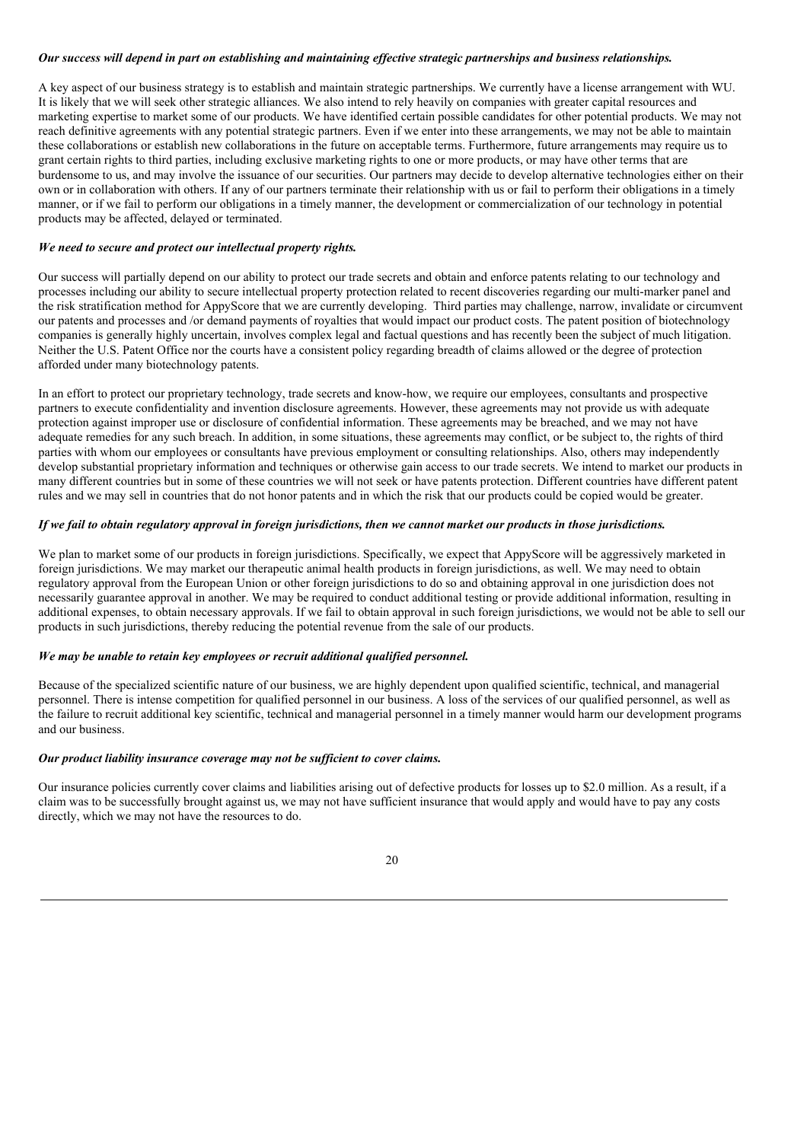## Our success will depend in part on establishing and maintaining effective strategic partnerships and business relationships.

A key aspect of our business strategy is to establish and maintain strategic partnerships. We currently have a license arrangement with WU. It is likely that we will seek other strategic alliances. We also intend to rely heavily on companies with greater capital resources and marketing expertise to market some of our products. We have identified certain possible candidates for other potential products. We may not reach definitive agreements with any potential strategic partners. Even if we enter into these arrangements, we may not be able to maintain these collaborations or establish new collaborations in the future on acceptable terms. Furthermore, future arrangements may require us to grant certain rights to third parties, including exclusive marketing rights to one or more products, or may have other terms that are burdensome to us, and may involve the issuance of our securities. Our partners may decide to develop alternative technologies either on their own or in collaboration with others. If any of our partners terminate their relationship with us or fail to perform their obligations in a timely manner, or if we fail to perform our obligations in a timely manner, the development or commercialization of our technology in potential products may be affected, delayed or terminated.

### *We need to secure and protect our intellectual property rights.*

Our success will partially depend on our ability to protect our trade secrets and obtain and enforce patents relating to our technology and processes including our ability to secure intellectual property protection related to recent discoveries regarding our multi-marker panel and the risk stratification method for AppyScore that we are currently developing. Third parties may challenge, narrow, invalidate or circumvent our patents and processes and /or demand payments of royalties that would impact our product costs. The patent position of biotechnology companies is generally highly uncertain, involves complex legal and factual questions and has recently been the subject of much litigation. Neither the U.S. Patent Office nor the courts have a consistent policy regarding breadth of claims allowed or the degree of protection afforded under many biotechnology patents.

In an effort to protect our proprietary technology, trade secrets and know-how, we require our employees, consultants and prospective partners to execute confidentiality and invention disclosure agreements. However, these agreements may not provide us with adequate protection against improper use or disclosure of confidential information. These agreements may be breached, and we may not have adequate remedies for any such breach. In addition, in some situations, these agreements may conflict, or be subject to, the rights of third parties with whom our employees or consultants have previous employment or consulting relationships. Also, others may independently develop substantial proprietary information and techniques or otherwise gain access to our trade secrets. We intend to market our products in many different countries but in some of these countries we will not seek or have patents protection. Different countries have different patent rules and we may sell in countries that do not honor patents and in which the risk that our products could be copied would be greater.

### If we fail to obtain regulatory approval in foreign jurisdictions, then we cannot market our products in those jurisdictions.

We plan to market some of our products in foreign jurisdictions. Specifically, we expect that AppyScore will be aggressively marketed in foreign jurisdictions. We may market our therapeutic animal health products in foreign jurisdictions, as well. We may need to obtain regulatory approval from the European Union or other foreign jurisdictions to do so and obtaining approval in one jurisdiction does not necessarily guarantee approval in another. We may be required to conduct additional testing or provide additional information, resulting in additional expenses, to obtain necessary approvals. If we fail to obtain approval in such foreign jurisdictions, we would not be able to sell our products in such jurisdictions, thereby reducing the potential revenue from the sale of our products.

### *We may be unable to retain key employees or recruit additional qualified personnel.*

Because of the specialized scientific nature of our business, we are highly dependent upon qualified scientific, technical, and managerial personnel. There is intense competition for qualified personnel in our business. A loss of the services of our qualified personnel, as well as the failure to recruit additional key scientific, technical and managerial personnel in a timely manner would harm our development programs and our business.

#### *Our product liability insurance coverage may not be suf icient to cover claims.*

Our insurance policies currently cover claims and liabilities arising out of defective products for losses up to \$2.0 million. As a result, if a claim was to be successfully brought against us, we may not have sufficient insurance that would apply and would have to pay any costs directly, which we may not have the resources to do.

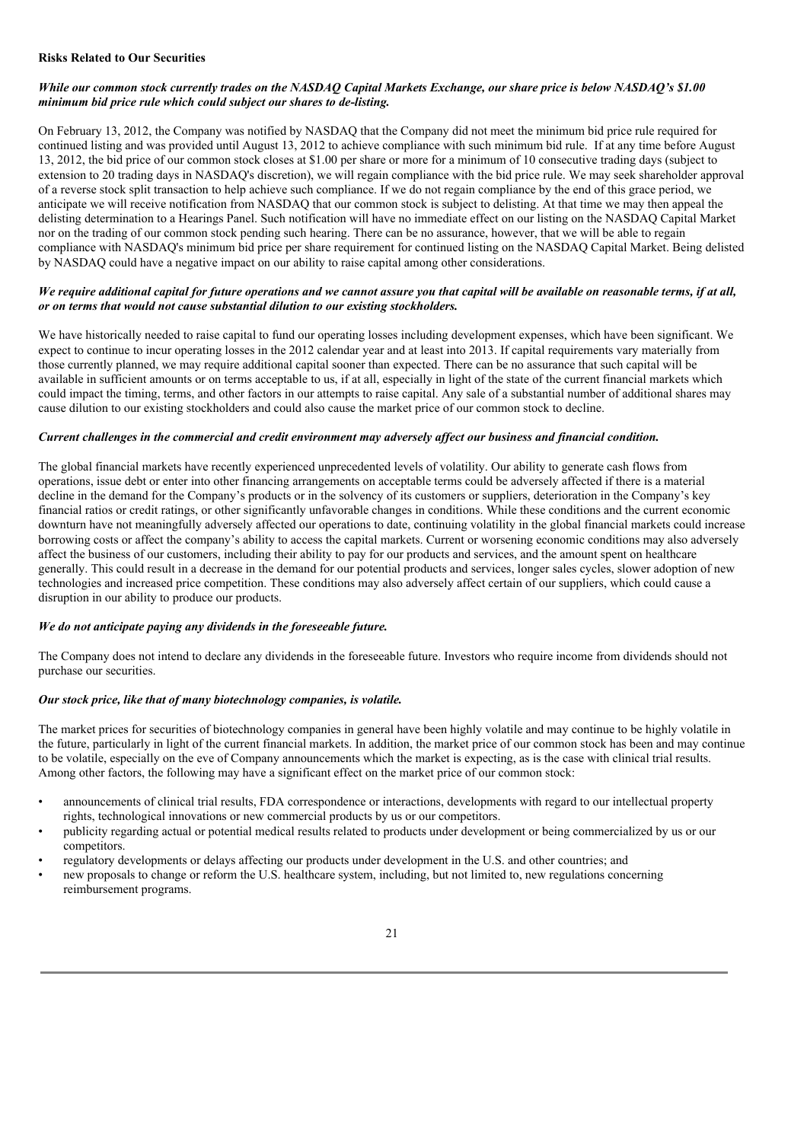### **Risks Related to Our Securities**

## While our common stock currently trades on the NASDAO Capital Markets Exchange, our share price is below NASDAO's \$1.00 *minimum bid price rule which could subject our shares to de-listing.*

On February 13, 2012, the Company was notified by NASDAQ that the Company did not meet the minimum bid price rule required for continued listing and was provided until August 13, 2012 to achieve compliance with such minimum bid rule. If at any time before August 13, 2012, the bid price of our common stock closes at \$1.00 per share or more for a minimum of 10 consecutive trading days (subject to extension to 20 trading days in NASDAQ's discretion), we will regain compliance with the bid price rule. We may seek shareholder approval of a reverse stock split transaction to help achieve such compliance. If we do not regain compliance by the end of this grace period, we anticipate we will receive notification from NASDAQ that our common stock is subject to delisting. At that time we may then appeal the delisting determination to a Hearings Panel. Such notification will have no immediate effect on our listing on the NASDAQ Capital Market nor on the trading of our common stock pending such hearing. There can be no assurance, however, that we will be able to regain compliance with NASDAQ's minimum bid price per share requirement for continued listing on the NASDAQ Capital Market. Being delisted by NASDAQ could have a negative impact on our ability to raise capital among other considerations.

### We require additional capital for future operations and we cannot assure you that capital will be available on reasonable terms, if at all, *or on terms that would not cause substantial dilution to our existing stockholders.*

We have historically needed to raise capital to fund our operating losses including development expenses, which have been significant. We expect to continue to incur operating losses in the 2012 calendar year and at least into 2013. If capital requirements vary materially from those currently planned, we may require additional capital sooner than expected. There can be no assurance that such capital will be available in sufficient amounts or on terms acceptable to us, if at all, especially in light of the state of the current financial markets which could impact the timing, terms, and other factors in our attempts to raise capital. Any sale of a substantial number of additional shares may cause dilution to our existing stockholders and could also cause the market price of our common stock to decline.

### Current challenges in the commercial and credit environment may adversely affect our business and financial condition.

The global financial markets have recently experienced unprecedented levels of volatility. Our ability to generate cash flows from operations, issue debt or enter into other financing arrangements on acceptable terms could be adversely affected if there is a material decline in the demand for the Company's products or in the solvency of its customers or suppliers, deterioration in the Company's key financial ratios or credit ratings, or other significantly unfavorable changes in conditions. While these conditions and the current economic downturn have not meaningfully adversely affected our operations to date, continuing volatility in the global financial markets could increase borrowing costs or affect the company's ability to access the capital markets. Current or worsening economic conditions may also adversely affect the business of our customers, including their ability to pay for our products and services, and the amount spent on healthcare generally. This could result in a decrease in the demand for our potential products and services, longer sales cycles, slower adoption of new technologies and increased price competition. These conditions may also adversely affect certain of our suppliers, which could cause a disruption in our ability to produce our products.

### *We do not anticipate paying any dividends in the foreseeable future.*

The Company does not intend to declare any dividends in the foreseeable future. Investors who require income from dividends should not purchase our securities.

#### *Our stock price, like that of many biotechnology companies, is volatile.*

The market prices for securities of biotechnology companies in general have been highly volatile and may continue to be highly volatile in the future, particularly in light of the current financial markets. In addition, the market price of our common stock has been and may continue to be volatile, especially on the eve of Company announcements which the market is expecting, as is the case with clinical trial results. Among other factors, the following may have a significant effect on the market price of our common stock:

- announcements of clinical trial results, FDA correspondence or interactions, developments with regard to our intellectual property rights, technological innovations or new commercial products by us or our competitors.
- publicity regarding actual or potential medical results related to products under development or being commercialized by us or our competitors.
- regulatory developments or delays affecting our products under development in the U.S. and other countries; and
- new proposals to change or reform the U.S. healthcare system, including, but not limited to, new regulations concerning reimbursement programs.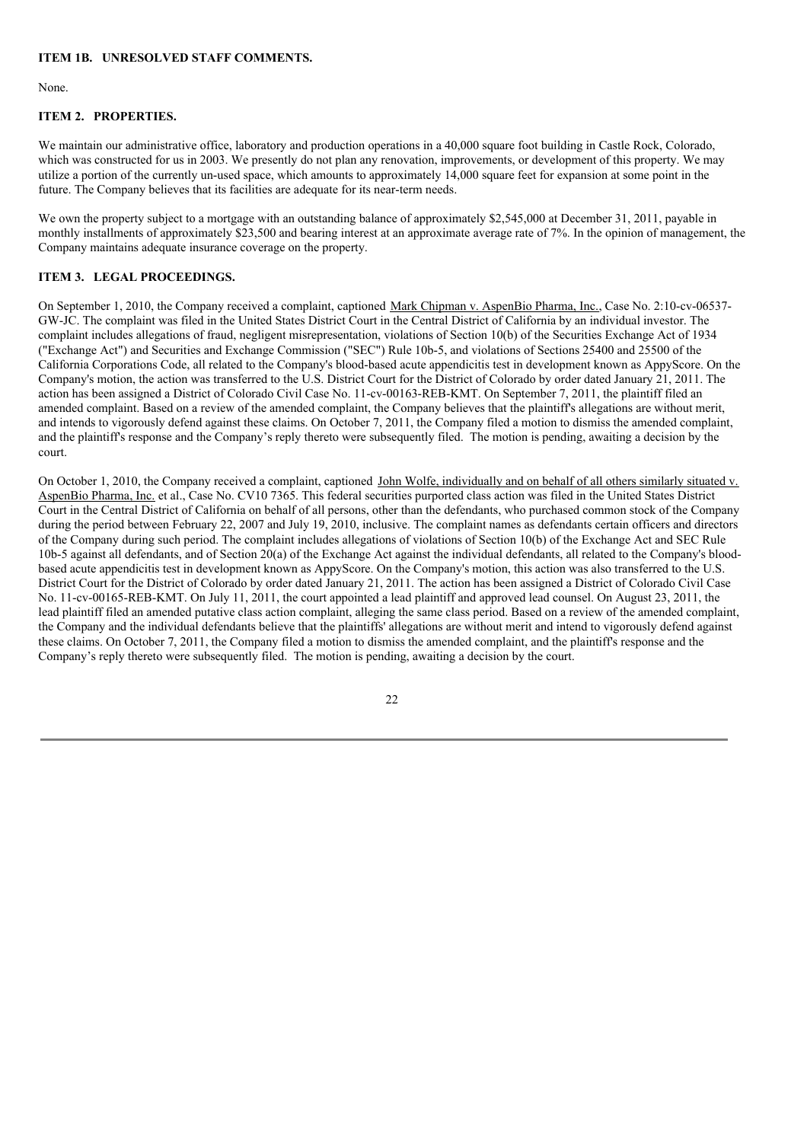## **ITEM 1B. UNRESOLVED STAFF COMMENTS.**

None.

# **ITEM 2. PROPERTIES.**

We maintain our administrative office, laboratory and production operations in a 40,000 square foot building in Castle Rock, Colorado, which was constructed for us in 2003. We presently do not plan any renovation, improvements, or development of this property. We may utilize a portion of the currently un-used space, which amounts to approximately 14,000 square feet for expansion at some point in the future. The Company believes that its facilities are adequate for its near-term needs.

We own the property subject to a mortgage with an outstanding balance of approximately \$2,545,000 at December 31, 2011, payable in monthly installments of approximately \$23,500 and bearing interest at an approximate average rate of 7%. In the opinion of management, the Company maintains adequate insurance coverage on the property.

## **ITEM 3. LEGAL PROCEEDINGS.**

On September 1, 2010, the Company received a complaint, captioned Mark Chipman v. AspenBio Pharma, Inc., Case No. 2:10-cv-06537- GW-JC. The complaint was filed in the United States District Court in the Central District of California by an individual investor. The complaint includes allegations of fraud, negligent misrepresentation, violations of Section 10(b) of the Securities Exchange Act of 1934 ("Exchange Act") and Securities and Exchange Commission ("SEC") Rule 10b-5, and violations of Sections 25400 and 25500 of the California Corporations Code, all related to the Company's blood-based acute appendicitis test in development known as AppyScore. On the Company's motion, the action was transferred to the U.S. District Court for the District of Colorado by order dated January 21, 2011. The action has been assigned a District of Colorado Civil Case No. 11-cv-00163-REB-KMT. On September 7, 2011, the plaintiff filed an amended complaint. Based on a review of the amended complaint, the Company believes that the plaintiff's allegations are without merit, and intends to vigorously defend against these claims. On October 7, 2011, the Company filed a motion to dismiss the amended complaint, and the plaintiff's response and the Company's reply thereto were subsequently filed. The motion is pending, awaiting a decision by the court.

On October 1, 2010, the Company received a complaint, captioned John Wolfe, individually and on behalf of all others similarly situated v. AspenBio Pharma, Inc. et al., Case No. CV10 7365. This federal securities purported class action was filed in the United States District Court in the Central District of California on behalf of all persons, other than the defendants, who purchased common stock of the Company during the period between February 22, 2007 and July 19, 2010, inclusive. The complaint names as defendants certain officers and directors of the Company during such period. The complaint includes allegations of violations of Section 10(b) of the Exchange Act and SEC Rule 10b-5 against all defendants, and of Section 20(a) of the Exchange Act against the individual defendants, all related to the Company's bloodbased acute appendicitis test in development known as AppyScore. On the Company's motion, this action was also transferred to the U.S. District Court for the District of Colorado by order dated January 21, 2011. The action has been assigned a District of Colorado Civil Case No. 11-cv-00165-REB-KMT. On July 11, 2011, the court appointed a lead plaintiff and approved lead counsel. On August 23, 2011, the lead plaintiff filed an amended putative class action complaint, alleging the same class period. Based on a review of the amended complaint, the Company and the individual defendants believe that the plaintiffs' allegations are without merit and intend to vigorously defend against these claims. On October 7, 2011, the Company filed a motion to dismiss the amended complaint, and the plaintiff's response and the Company's reply thereto were subsequently filed. The motion is pending, awaiting a decision by the court.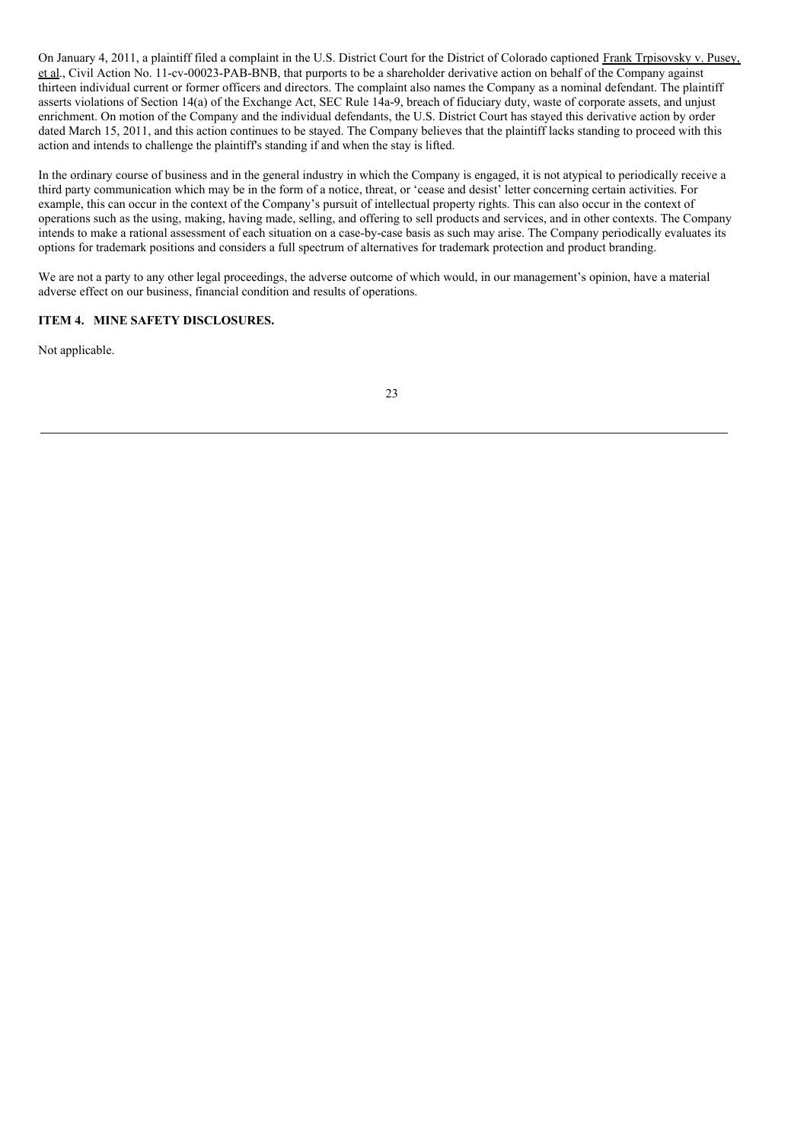On January 4, 2011, a plaintiff filed a complaint in the U.S. District Court for the District of Colorado captioned Frank Trpisovsky v. Pusey, et al., Civil Action No. 11-cv-00023-PAB-BNB, that purports to be a shareholder derivative action on behalf of the Company against thirteen individual current or former officers and directors. The complaint also names the Company as a nominal defendant. The plaintiff asserts violations of Section 14(a) of the Exchange Act, SEC Rule 14a-9, breach of fiduciary duty, waste of corporate assets, and unjust enrichment. On motion of the Company and the individual defendants, the U.S. District Court has stayed this derivative action by order dated March 15, 2011, and this action continues to be stayed. The Company believes that the plaintiff lacks standing to proceed with this action and intends to challenge the plaintiff's standing if and when the stay is lifted.

In the ordinary course of business and in the general industry in which the Company is engaged, it is not atypical to periodically receive a third party communication which may be in the form of a notice, threat, or 'cease and desist' letter concerning certain activities. For example, this can occur in the context of the Company's pursuit of intellectual property rights. This can also occur in the context of operations such as the using, making, having made, selling, and offering to sell products and services, and in other contexts. The Company intends to make a rational assessment of each situation on a case-by-case basis as such may arise. The Company periodically evaluates its options for trademark positions and considers a full spectrum of alternatives for trademark protection and product branding.

We are not a party to any other legal proceedings, the adverse outcome of which would, in our management's opinion, have a material adverse effect on our business, financial condition and results of operations.

# **ITEM 4. MINE SAFETY DISCLOSURES.**

Not applicable.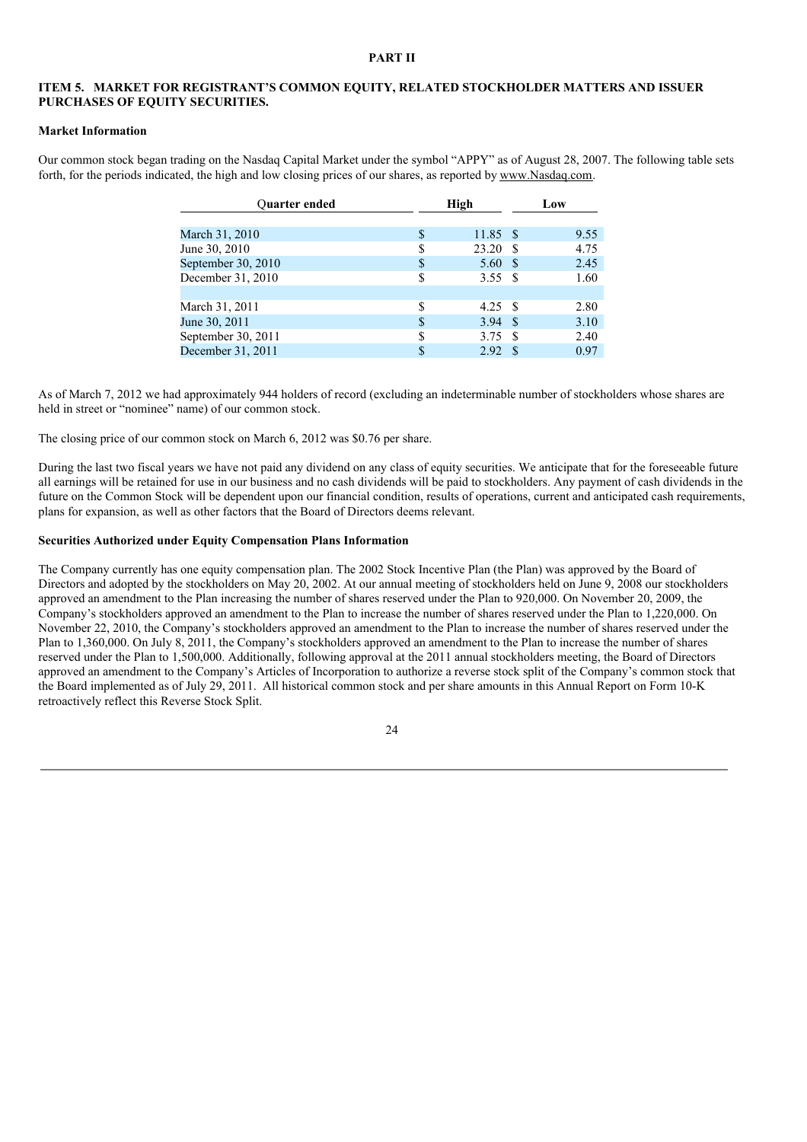### **PART II**

## **ITEM 5. MARKET FOR REGISTRANT'S COMMON EQUITY, RELATED STOCKHOLDER MATTERS AND ISSUER PURCHASES OF EQUITY SECURITIES.**

#### **Market Information**

Our common stock began trading on the Nasdaq Capital Market under the symbol "APPY" as of August 28, 2007. The following table sets forth, for the periods indicated, the high and low closing prices of our shares, as reported by www.Nasdaq.com.

| <b>Ouarter ended</b> | High                     |    | Low  |
|----------------------|--------------------------|----|------|
|                      |                          |    |      |
| March 31, 2010       | \$<br>$11.85$ \$         |    | 9.55 |
| June 30, 2010        | \$<br>23.20              |    | 4.75 |
| September 30, 2010   | \$<br>5.60               | -S | 2.45 |
| December 31, 2010    | \$<br>3.55S              |    | 1.60 |
|                      |                          |    |      |
| March 31, 2011       | \$<br>$4.25 \text{ }$ \$ |    | 2.80 |
| June 30, 2011        | \$<br>3.94               | -8 | 3.10 |
| September 30, 2011   | \$<br>3.75               | £. | 2.40 |
| December 31, 2011    | \$<br>2.92               | -S | 0.97 |

As of March 7, 2012 we had approximately 944 holders of record (excluding an indeterminable number of stockholders whose shares are held in street or "nominee" name) of our common stock.

The closing price of our common stock on March 6, 2012 was \$0.76 per share.

During the last two fiscal years we have not paid any dividend on any class of equity securities. We anticipate that for the foreseeable future all earnings will be retained for use in our business and no cash dividends will be paid to stockholders. Any payment of cash dividends in the future on the Common Stock will be dependent upon our financial condition, results of operations, current and anticipated cash requirements, plans for expansion, as well as other factors that the Board of Directors deems relevant.

## **Securities Authorized under Equity Compensation Plans Information**

The Company currently has one equity compensation plan. The 2002 Stock Incentive Plan (the Plan) was approved by the Board of Directors and adopted by the stockholders on May 20, 2002. At our annual meeting of stockholders held on June 9, 2008 our stockholders approved an amendment to the Plan increasing the number of shares reserved under the Plan to 920,000. On November 20, 2009, the Company's stockholders approved an amendment to the Plan to increase the number of shares reserved under the Plan to 1,220,000. On November 22, 2010, the Company's stockholders approved an amendment to the Plan to increase the number of shares reserved under the Plan to 1,360,000. On July 8, 2011, the Company's stockholders approved an amendment to the Plan to increase the number of shares reserved under the Plan to 1,500,000. Additionally, following approval at the 2011 annual stockholders meeting, the Board of Directors approved an amendment to the Company's Articles of Incorporation to authorize a reverse stock split of the Company's common stock that the Board implemented as of July 29, 2011. All historical common stock and per share amounts in this Annual Report on Form 10-K retroactively reflect this Reverse Stock Split.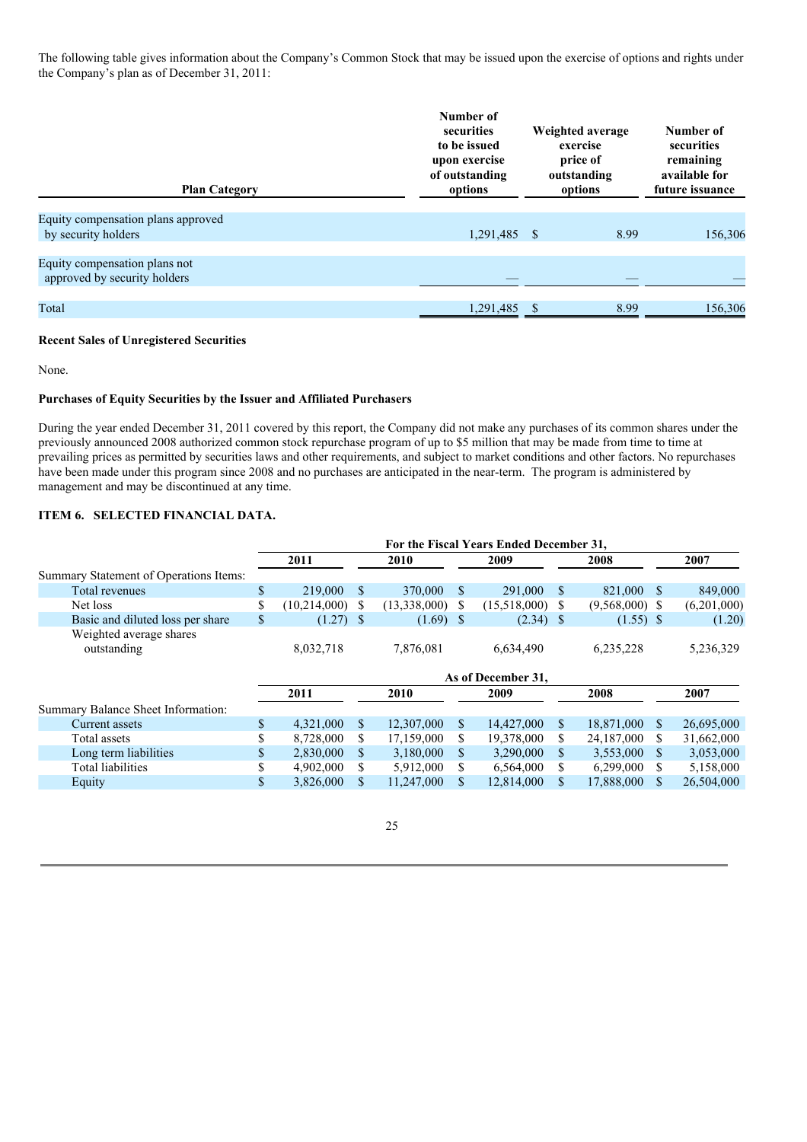The following table gives information about the Company's Common Stock that may be issued upon the exercise of options and rights under the Company's plan as of December 31, 2011:

| <b>Plan Category</b>                                          | Number of<br>securities<br>to be issued<br>upon exercise<br>of outstanding<br>options | Weighted average<br>exercise<br>price of<br>outstanding<br>options | Number of<br>securities<br>remaining<br>available for<br>future issuance |  |  |
|---------------------------------------------------------------|---------------------------------------------------------------------------------------|--------------------------------------------------------------------|--------------------------------------------------------------------------|--|--|
| Equity compensation plans approved                            |                                                                                       |                                                                    |                                                                          |  |  |
| by security holders                                           | 1,291,485 \$                                                                          | 8.99                                                               | 156,306                                                                  |  |  |
|                                                               |                                                                                       |                                                                    |                                                                          |  |  |
| Equity compensation plans not<br>approved by security holders |                                                                                       |                                                                    |                                                                          |  |  |
|                                                               |                                                                                       |                                                                    |                                                                          |  |  |
| Total                                                         | 1,291,485 \$                                                                          | 8.99                                                               | 156,306                                                                  |  |  |

# **Recent Sales of Unregistered Securities**

None.

## **Purchases of Equity Securities by the Issuer and Affiliated Purchasers**

During the year ended December 31, 2011 covered by this report, the Company did not make any purchases of its common shares under the previously announced 2008 authorized common stock repurchase program of up to \$5 million that may be made from time to time at prevailing prices as permitted by securities laws and other requirements, and subject to market conditions and other factors. No repurchases have been made under this program since 2008 and no purchases are anticipated in the near-term. The program is administered by management and may be discontinued at any time.

# **ITEM 6. SELECTED FINANCIAL DATA.**

|                                        | For the Fiscal Years Ended December 31, |              |               |              |      |                    |              |                  |      |             |
|----------------------------------------|-----------------------------------------|--------------|---------------|--------------|------|--------------------|--------------|------------------|------|-------------|
|                                        |                                         | 2011         |               | 2010         |      | 2009               |              | 2008             |      | 2007        |
| Summary Statement of Operations Items: |                                         |              |               |              |      |                    |              |                  |      |             |
| Total revenues                         | $\mathbf{s}$                            | 219,000      | <sup>S</sup>  | 370,000      | - \$ | 291,000            | <sup>S</sup> | 821,000 \$       |      | 849,000     |
| Net loss                               | \$                                      | (10,214,000) | S             | (13,338,000) | -S   | (15,518,000)       | S            | $(9,568,000)$ \$ |      | (6,201,000) |
| Basic and diluted loss per share       | \$                                      | $(1.27)$ \$  |               | $(1.69)$ \$  |      | $(2.34)$ \$        |              | $(1.55)$ \$      |      | (1.20)      |
| Weighted average shares<br>outstanding |                                         | 8,032,718    |               | 7,876,081    |      | 6,634,490          |              | 6,235,228        |      | 5,236,329   |
|                                        |                                         |              |               |              |      | As of December 31, |              |                  |      |             |
|                                        |                                         | 2011         |               | 2010         |      | 2009               |              | 2008             |      | 2007        |
| Summary Balance Sheet Information:     |                                         |              |               |              |      |                    |              |                  |      |             |
| Current assets                         | \$                                      | 4,321,000    | <sup>\$</sup> | 12,307,000   | S.   | 14,427,000         | \$           | 18,871,000 \$    |      | 26,695,000  |
| Total assets                           | \$                                      | 8,728,000    | \$            | 17,159,000   | S.   | 19,378,000         | \$           | 24,187,000       | S.   | 31,662,000  |
| Long term liabilities                  | \$                                      | 2,830,000    | <sup>\$</sup> | 3,180,000    | \$.  | 3,290,000          | \$.          | 3,553,000        | - \$ | 3,053,000   |
| Total liabilities                      |                                         | 4,902,000    | \$.           | 5,912,000    | S.   | 6,564,000          | S            | 6,299,000        | - S  | 5,158,000   |
| Equity                                 | \$                                      | 3,826,000    | \$            | 11,247,000   | S    | 12,814,000         | \$           | 17,888,000       | \$.  | 26,504,000  |
|                                        |                                         |              |               |              |      |                    |              |                  |      |             |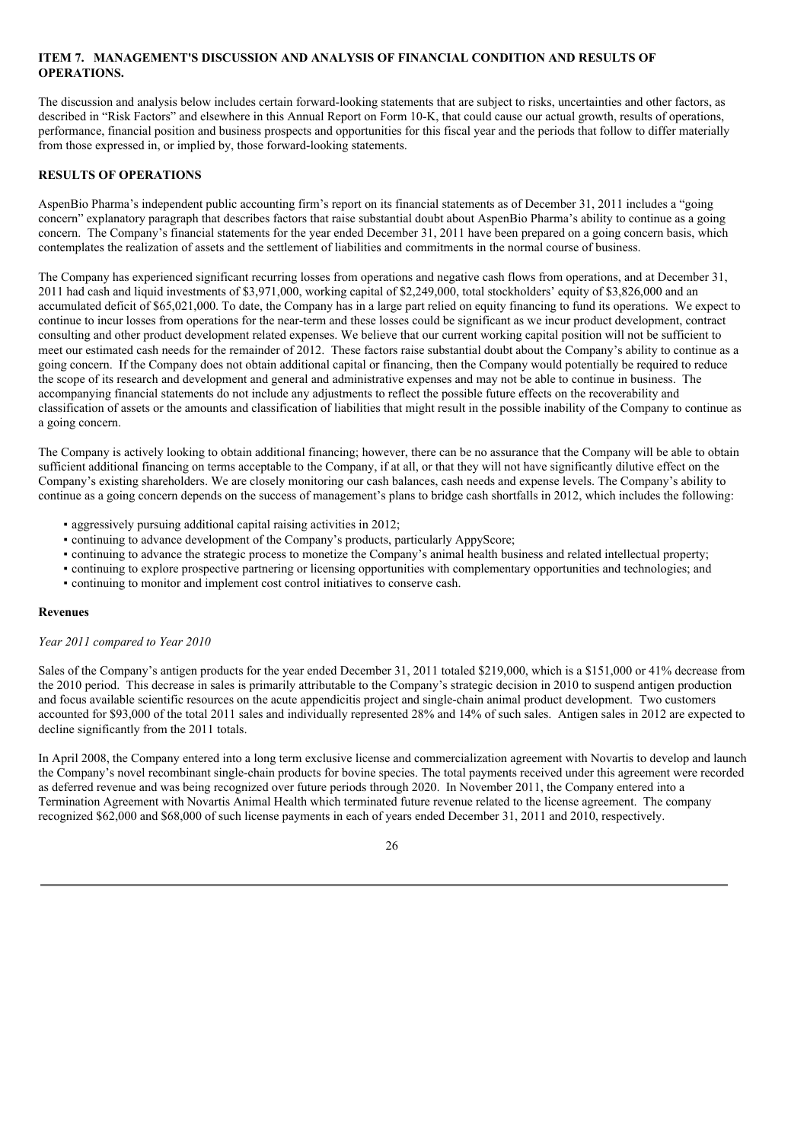# **ITEM 7. MANAGEMENT'S DISCUSSION AND ANALYSIS OF FINANCIAL CONDITION AND RESULTS OF OPERATIONS.**

The discussion and analysis below includes certain forward-looking statements that are subject to risks, uncertainties and other factors, as described in "Risk Factors" and elsewhere in this Annual Report on Form 10-K, that could cause our actual growth, results of operations, performance, financial position and business prospects and opportunities for this fiscal year and the periods that follow to differ materially from those expressed in, or implied by, those forward-looking statements.

## **RESULTS OF OPERATIONS**

AspenBio Pharma's independent public accounting firm's report on its financial statements as of December 31, 2011 includes a "going concern" explanatory paragraph that describes factors that raise substantial doubt about AspenBio Pharma's ability to continue as a going concern. The Company's financial statements for the year ended December 31, 2011 have been prepared on a going concern basis, which contemplates the realization of assets and the settlement of liabilities and commitments in the normal course of business.

The Company has experienced significant recurring losses from operations and negative cash flows from operations, and at December 31, 2011 had cash and liquid investments of \$3,971,000, working capital of \$2,249,000, total stockholders' equity of \$3,826,000 and an accumulated deficit of \$65,021,000. To date, the Company has in a large part relied on equity financing to fund its operations. We expect to continue to incur losses from operations for the near-term and these losses could be significant as we incur product development, contract consulting and other product development related expenses. We believe that our current working capital position will not be sufficient to meet our estimated cash needs for the remainder of 2012. These factors raise substantial doubt about the Company's ability to continue as a going concern. If the Company does not obtain additional capital or financing, then the Company would potentially be required to reduce the scope of its research and development and general and administrative expenses and may not be able to continue in business. The accompanying financial statements do not include any adjustments to reflect the possible future effects on the recoverability and classification of assets or the amounts and classification of liabilities that might result in the possible inability of the Company to continue as a going concern.

The Company is actively looking to obtain additional financing; however, there can be no assurance that the Company will be able to obtain sufficient additional financing on terms acceptable to the Company, if at all, or that they will not have significantly dilutive effect on the Company's existing shareholders. We are closely monitoring our cash balances, cash needs and expense levels. The Company's ability to continue as a going concern depends on the success of management's plans to bridge cash shortfalls in 2012, which includes the following:

- aggressively pursuing additional capital raising activities in 2012;
- continuing to advance development of the Company's products, particularly AppyScore;
- continuing to advance the strategic process to monetize the Company's animal health business and related intellectual property;
- continuing to explore prospective partnering or licensing opportunities with complementary opportunities and technologies; and
- continuing to monitor and implement cost control initiatives to conserve cash.

#### **Revenues**

#### *Year 2011 compared to Year 2010*

Sales of the Company's antigen products for the year ended December 31, 2011 totaled \$219,000, which is a \$151,000 or 41% decrease from the 2010 period. This decrease in sales is primarily attributable to the Company's strategic decision in 2010 to suspend antigen production and focus available scientific resources on the acute appendicitis project and single-chain animal product development. Two customers accounted for \$93,000 of the total 2011 sales and individually represented 28% and 14% of such sales. Antigen sales in 2012 are expected to decline significantly from the 2011 totals.

In April 2008, the Company entered into a long term exclusive license and commercialization agreement with Novartis to develop and launch the Company's novel recombinant single-chain products for bovine species. The total payments received under this agreement were recorded as deferred revenue and was being recognized over future periods through 2020. In November 2011, the Company entered into a Termination Agreement with Novartis Animal Health which terminated future revenue related to the license agreement. The company recognized \$62,000 and \$68,000 of such license payments in each of years ended December 31, 2011 and 2010, respectively.

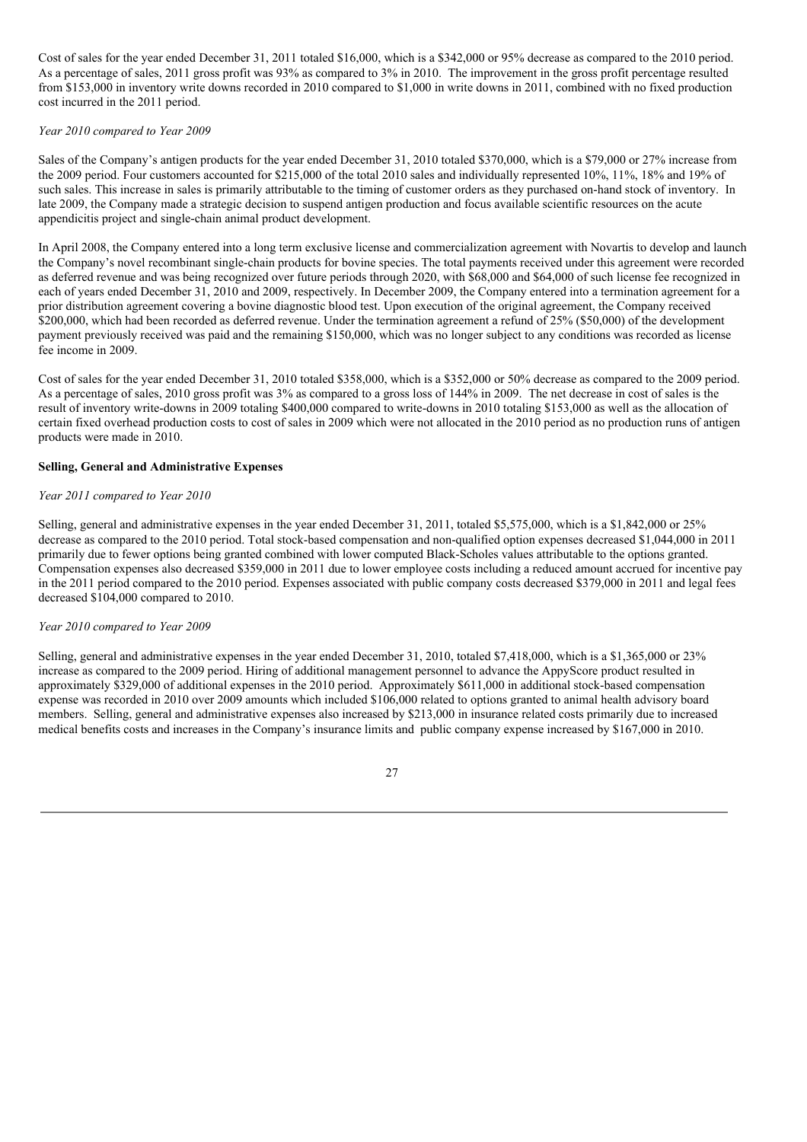Cost of sales for the year ended December 31, 2011 totaled \$16,000, which is a \$342,000 or 95% decrease as compared to the 2010 period. As a percentage of sales, 2011 gross profit was 93% as compared to 3% in 2010. The improvement in the gross profit percentage resulted from \$153,000 in inventory write downs recorded in 2010 compared to \$1,000 in write downs in 2011, combined with no fixed production cost incurred in the 2011 period.

### *Year 2010 compared to Year 2009*

Sales of the Company's antigen products for the year ended December 31, 2010 totaled \$370,000, which is a \$79,000 or 27% increase from the 2009 period. Four customers accounted for \$215,000 of the total 2010 sales and individually represented 10%, 11%, 18% and 19% of such sales. This increase in sales is primarily attributable to the timing of customer orders as they purchased on-hand stock of inventory. In late 2009, the Company made a strategic decision to suspend antigen production and focus available scientific resources on the acute appendicitis project and single-chain animal product development.

In April 2008, the Company entered into a long term exclusive license and commercialization agreement with Novartis to develop and launch the Company's novel recombinant single-chain products for bovine species. The total payments received under this agreement were recorded as deferred revenue and was being recognized over future periods through 2020, with \$68,000 and \$64,000 of such license fee recognized in each of years ended December 31, 2010 and 2009, respectively. In December 2009, the Company entered into a termination agreement for a prior distribution agreement covering a bovine diagnostic blood test. Upon execution of the original agreement, the Company received \$200,000, which had been recorded as deferred revenue. Under the termination agreement a refund of 25% (\$50,000) of the development payment previously received was paid and the remaining \$150,000, which was no longer subject to any conditions was recorded as license fee income in 2009.

Cost of sales for the year ended December 31, 2010 totaled \$358,000, which is a \$352,000 or 50% decrease as compared to the 2009 period. As a percentage of sales, 2010 gross profit was 3% as compared to a gross loss of 144% in 2009. The net decrease in cost of sales is the result of inventory write-downs in 2009 totaling \$400,000 compared to write-downs in 2010 totaling \$153,000 as well as the allocation of certain fixed overhead production costs to cost of sales in 2009 which were not allocated in the 2010 period as no production runs of antigen products were made in 2010.

## **Selling, General and Administrative Expenses**

## *Year 2011 compared to Year 2010*

Selling, general and administrative expenses in the year ended December 31, 2011, totaled \$5,575,000, which is a \$1,842,000 or 25% decrease as compared to the 2010 period. Total stock-based compensation and non-qualified option expenses decreased \$1,044,000 in 2011 primarily due to fewer options being granted combined with lower computed Black-Scholes values attributable to the options granted. Compensation expenses also decreased \$359,000 in 2011 due to lower employee costs including a reduced amount accrued for incentive pay in the 2011 period compared to the 2010 period. Expenses associated with public company costs decreased \$379,000 in 2011 and legal fees decreased \$104,000 compared to 2010.

#### *Year 2010 compared to Year 2009*

Selling, general and administrative expenses in the year ended December 31, 2010, totaled \$7,418,000, which is a \$1,365,000 or 23% increase as compared to the 2009 period. Hiring of additional management personnel to advance the AppyScore product resulted in approximately \$329,000 of additional expenses in the 2010 period. Approximately \$611,000 in additional stock-based compensation expense was recorded in 2010 over 2009 amounts which included \$106,000 related to options granted to animal health advisory board members. Selling, general and administrative expenses also increased by \$213,000 in insurance related costs primarily due to increased medical benefits costs and increases in the Company's insurance limits and public company expense increased by \$167,000 in 2010.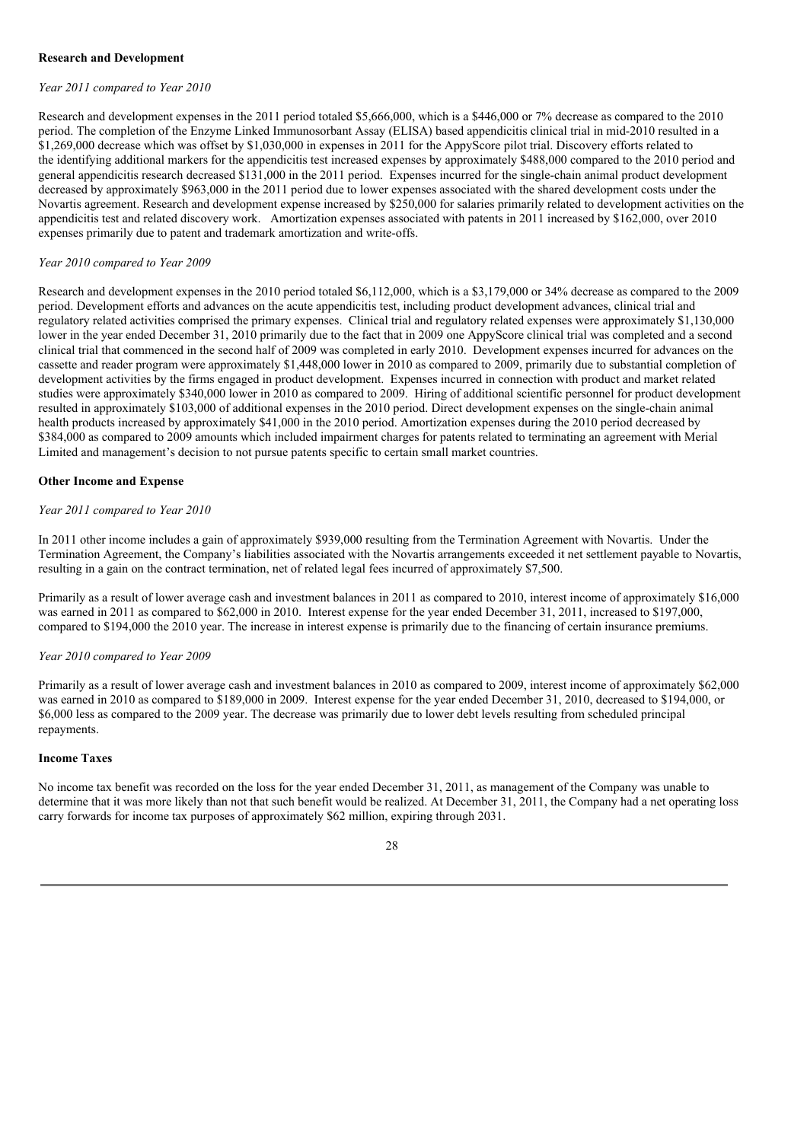### **Research and Development**

#### *Year 2011 compared to Year 2010*

Research and development expenses in the 2011 period totaled \$5,666,000, which is a \$446,000 or 7% decrease as compared to the 2010 period. The completion of the Enzyme Linked Immunosorbant Assay (ELISA) based appendicitis clinical trial in mid-2010 resulted in a \$1,269,000 decrease which was offset by \$1,030,000 in expenses in 2011 for the AppyScore pilot trial. Discovery efforts related to the identifying additional markers for the appendicitis test increased expenses by approximately \$488,000 compared to the 2010 period and general appendicitis research decreased \$131,000 in the 2011 period. Expenses incurred for the single-chain animal product development decreased by approximately \$963,000 in the 2011 period due to lower expenses associated with the shared development costs under the Novartis agreement. Research and development expense increased by \$250,000 for salaries primarily related to development activities on the appendicitis test and related discovery work. Amortization expenses associated with patents in 2011 increased by \$162,000, over 2010 expenses primarily due to patent and trademark amortization and write-offs.

#### *Year 2010 compared to Year 2009*

Research and development expenses in the 2010 period totaled \$6,112,000, which is a \$3,179,000 or 34% decrease as compared to the 2009 period. Development efforts and advances on the acute appendicitis test, including product development advances, clinical trial and regulatory related activities comprised the primary expenses. Clinical trial and regulatory related expenses were approximately \$1,130,000 lower in the year ended December 31, 2010 primarily due to the fact that in 2009 one AppyScore clinical trial was completed and a second clinical trial that commenced in the second half of 2009 was completed in early 2010. Development expenses incurred for advances on the cassette and reader program were approximately \$1,448,000 lower in 2010 as compared to 2009, primarily due to substantial completion of development activities by the firms engaged in product development. Expenses incurred in connection with product and market related studies were approximately \$340,000 lower in 2010 as compared to 2009. Hiring of additional scientific personnel for product development resulted in approximately \$103,000 of additional expenses in the 2010 period. Direct development expenses on the single-chain animal health products increased by approximately \$41,000 in the 2010 period. Amortization expenses during the 2010 period decreased by \$384,000 as compared to 2009 amounts which included impairment charges for patents related to terminating an agreement with Merial Limited and management's decision to not pursue patents specific to certain small market countries.

#### **Other Income and Expense**

### *Year 2011 compared to Year 2010*

In 2011 other income includes a gain of approximately \$939,000 resulting from the Termination Agreement with Novartis. Under the Termination Agreement, the Company's liabilities associated with the Novartis arrangements exceeded it net settlement payable to Novartis, resulting in a gain on the contract termination, net of related legal fees incurred of approximately \$7,500.

Primarily as a result of lower average cash and investment balances in 2011 as compared to 2010, interest income of approximately \$16,000 was earned in 2011 as compared to \$62,000 in 2010. Interest expense for the year ended December 31, 2011, increased to \$197,000, compared to \$194,000 the 2010 year. The increase in interest expense is primarily due to the financing of certain insurance premiums.

### *Year 2010 compared to Year 2009*

Primarily as a result of lower average cash and investment balances in 2010 as compared to 2009, interest income of approximately \$62,000 was earned in 2010 as compared to \$189,000 in 2009. Interest expense for the year ended December 31, 2010, decreased to \$194,000, or \$6,000 less as compared to the 2009 year. The decrease was primarily due to lower debt levels resulting from scheduled principal repayments.

## **Income Taxes**

No income tax benefit was recorded on the loss for the year ended December 31, 2011, as management of the Company was unable to determine that it was more likely than not that such benefit would be realized. At December 31, 2011, the Company had a net operating loss carry forwards for income tax purposes of approximately \$62 million, expiring through 2031.

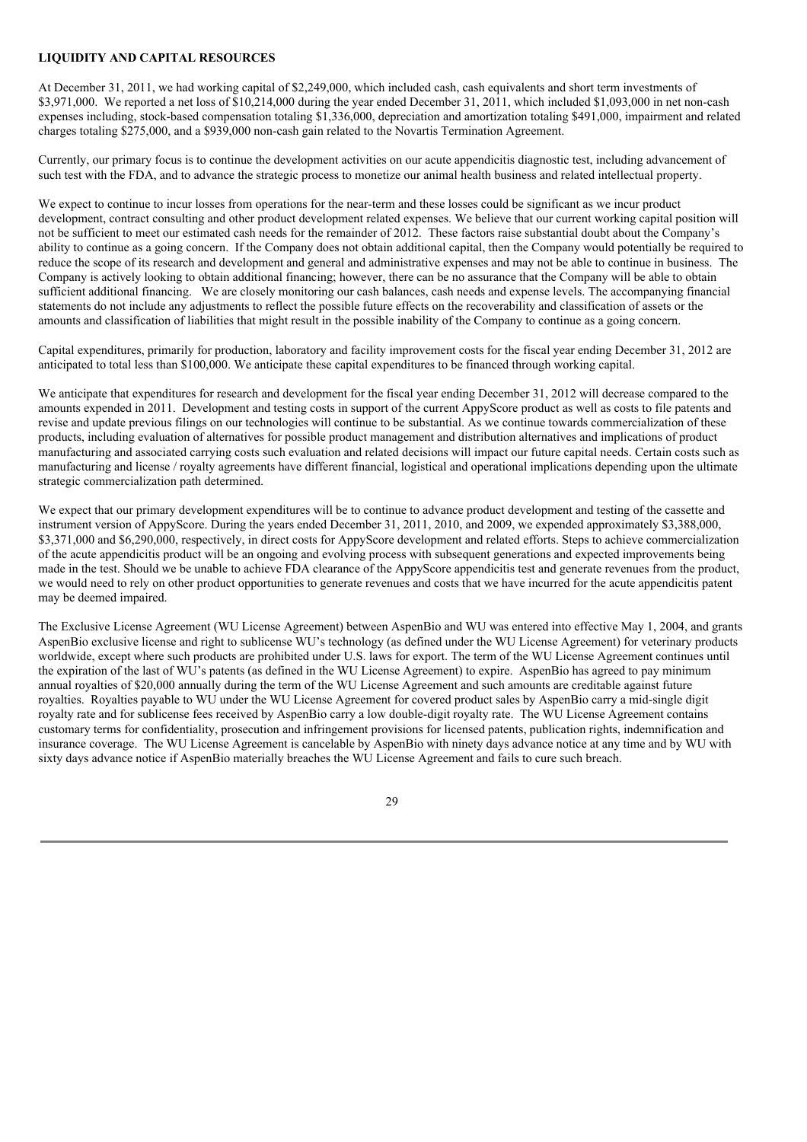## **LIQUIDITY AND CAPITAL RESOURCES**

At December 31, 2011, we had working capital of \$2,249,000, which included cash, cash equivalents and short term investments of \$3,971,000. We reported a net loss of  $$10,214,000$  during the year ended December 31, 2011, which included \$1,093,000 in net non-cash expenses including, stock-based compensation totaling \$1,336,000, depreciation and amortization totaling \$491,000, impairment and related charges totaling \$275,000, and a \$939,000 non-cash gain related to the Novartis Termination Agreement.

Currently, our primary focus is to continue the development activities on our acute appendicitis diagnostic test, including advancement of such test with the FDA, and to advance the strategic process to monetize our animal health business and related intellectual property.

We expect to continue to incur losses from operations for the near-term and these losses could be significant as we incur product development, contract consulting and other product development related expenses. We believe that our current working capital position will not be sufficient to meet our estimated cash needs for the remainder of 2012. These factors raise substantial doubt about the Company's ability to continue as a going concern. If the Company does not obtain additional capital, then the Company would potentially be required to reduce the scope of its research and development and general and administrative expenses and may not be able to continue in business. The Company is actively looking to obtain additional financing; however, there can be no assurance that the Company will be able to obtain sufficient additional financing. We are closely monitoring our cash balances, cash needs and expense levels. The accompanying financial statements do not include any adjustments to reflect the possible future effects on the recoverability and classification of assets or the amounts and classification of liabilities that might result in the possible inability of the Company to continue as a going concern.

Capital expenditures, primarily for production, laboratory and facility improvement costs for the fiscal year ending December 31, 2012 are anticipated to total less than \$100,000. We anticipate these capital expenditures to be financed through working capital.

We anticipate that expenditures for research and development for the fiscal year ending December 31, 2012 will decrease compared to the amounts expended in 2011. Development and testing costs in support of the current AppyScore product as well as costs to file patents and revise and update previous filings on our technologies will continue to be substantial. As we continue towards commercialization of these products, including evaluation of alternatives for possible product management and distribution alternatives and implications of product manufacturing and associated carrying costs such evaluation and related decisions will impact our future capital needs. Certain costs such as manufacturing and license / royalty agreements have different financial, logistical and operational implications depending upon the ultimate strategic commercialization path determined.

We expect that our primary development expenditures will be to continue to advance product development and testing of the cassette and instrument version of AppyScore. During the years ended December 31, 2011, 2010, and 2009, we expended approximately \$3,388,000, \$3,371,000 and \$6,290,000, respectively, in direct costs for AppyScore development and related efforts. Steps to achieve commercialization of the acute appendicitis product will be an ongoing and evolving process with subsequent generations and expected improvements being made in the test. Should we be unable to achieve FDA clearance of the AppyScore appendicitis test and generate revenues from the product, we would need to rely on other product opportunities to generate revenues and costs that we have incurred for the acute appendicitis patent may be deemed impaired.

The Exclusive License Agreement (WU License Agreement) between AspenBio and WU was entered into effective May 1, 2004, and grants AspenBio exclusive license and right to sublicense WU's technology (as defined under the WU License Agreement) for veterinary products worldwide, except where such products are prohibited under U.S. laws for export. The term of the WU License Agreement continues until the expiration of the last of WU's patents (as defined in the WU License Agreement) to expire. AspenBio has agreed to pay minimum annual royalties of \$20,000 annually during the term of the WU License Agreement and such amounts are creditable against future royalties. Royalties payable to WU under the WU License Agreement for covered product sales by AspenBio carry a mid-single digit royalty rate and for sublicense fees received by AspenBio carry a low double-digit royalty rate. The WU License Agreement contains customary terms for confidentiality, prosecution and infringement provisions for licensed patents, publication rights, indemnification and insurance coverage. The WU License Agreement is cancelable by AspenBio with ninety days advance notice at any time and by WU with sixty days advance notice if AspenBio materially breaches the WU License Agreement and fails to cure such breach.

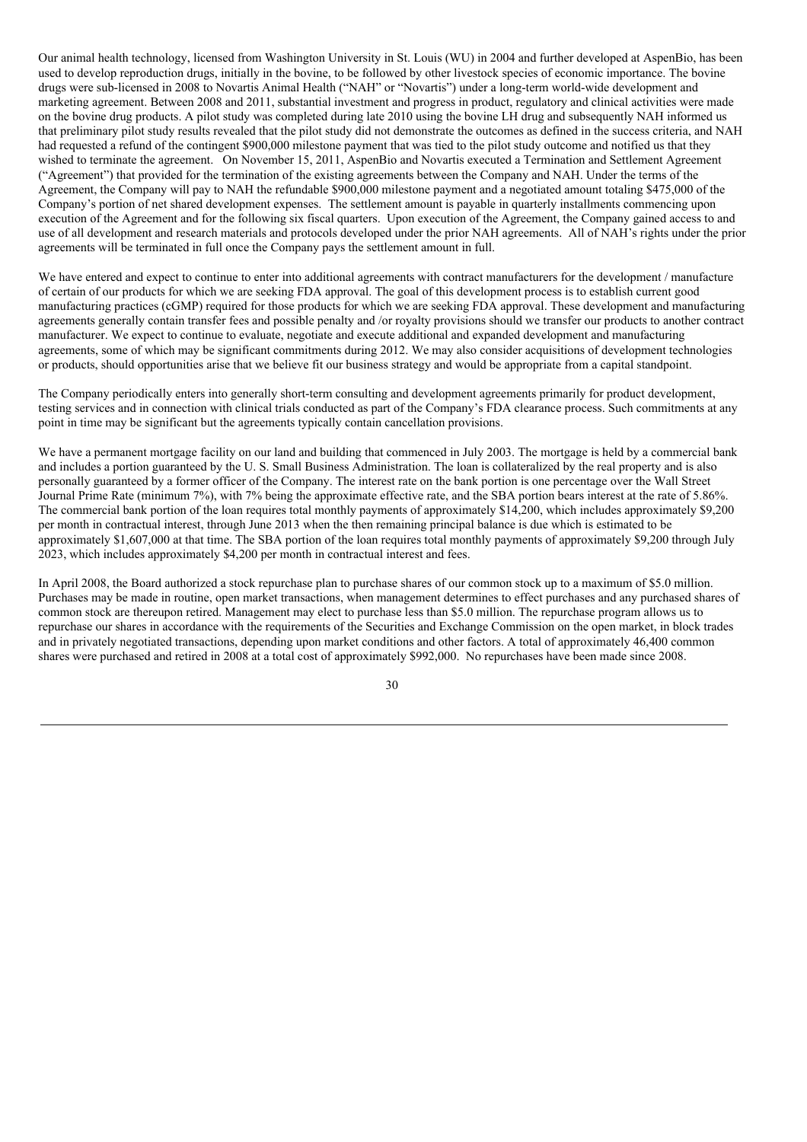Our animal health technology, licensed from Washington University in St. Louis (WU) in 2004 and further developed at AspenBio, has been used to develop reproduction drugs, initially in the bovine, to be followed by other livestock species of economic importance. The bovine drugs were sub-licensed in 2008 to Novartis Animal Health ("NAH" or "Novartis") under a long-term world-wide development and marketing agreement. Between 2008 and 2011, substantial investment and progress in product, regulatory and clinical activities were made on the bovine drug products. A pilot study was completed during late 2010 using the bovine LH drug and subsequently NAH informed us that preliminary pilot study results revealed that the pilot study did not demonstrate the outcomes as defined in the success criteria, and NAH had requested a refund of the contingent \$900,000 milestone payment that was tied to the pilot study outcome and notified us that they wished to terminate the agreement. On November 15, 2011, AspenBio and Novartis executed a Termination and Settlement Agreement ("Agreement") that provided for the termination of the existing agreements between the Company and NAH. Under the terms of the Agreement, the Company will pay to NAH the refundable \$900,000 milestone payment and a negotiated amount totaling \$475,000 of the Company's portion of net shared development expenses. The settlement amount is payable in quarterly installments commencing upon execution of the Agreement and for the following six fiscal quarters. Upon execution of the Agreement, the Company gained access to and use of all development and research materials and protocols developed under the prior NAH agreements. All of NAH's rights under the prior agreements will be terminated in full once the Company pays the settlement amount in full.

We have entered and expect to continue to enter into additional agreements with contract manufacturers for the development / manufacture of certain of our products for which we are seeking FDA approval. The goal of this development process is to establish current good manufacturing practices (cGMP) required for those products for which we are seeking FDA approval. These development and manufacturing agreements generally contain transfer fees and possible penalty and /or royalty provisions should we transfer our products to another contract manufacturer. We expect to continue to evaluate, negotiate and execute additional and expanded development and manufacturing agreements, some of which may be significant commitments during 2012. We may also consider acquisitions of development technologies or products, should opportunities arise that we believe fit our business strategy and would be appropriate from a capital standpoint.

The Company periodically enters into generally short-term consulting and development agreements primarily for product development, testing services and in connection with clinical trials conducted as part of the Company's FDA clearance process. Such commitments at any point in time may be significant but the agreements typically contain cancellation provisions.

We have a permanent mortgage facility on our land and building that commenced in July 2003. The mortgage is held by a commercial bank and includes a portion guaranteed by the U. S. Small Business Administration. The loan is collateralized by the real property and is also personally guaranteed by a former officer of the Company. The interest rate on the bank portion is one percentage over the Wall Street Journal Prime Rate (minimum 7%), with 7% being the approximate effective rate, and the SBA portion bears interest at the rate of 5.86%. The commercial bank portion of the loan requires total monthly payments of approximately \$14,200, which includes approximately \$9,200 per month in contractual interest, through June 2013 when the then remaining principal balance is due which is estimated to be approximately \$1,607,000 at that time. The SBA portion of the loan requires total monthly payments of approximately \$9,200 through July 2023, which includes approximately \$4,200 per month in contractual interest and fees.

In April 2008, the Board authorized a stock repurchase plan to purchase shares of our common stock up to a maximum of \$5.0 million. Purchases may be made in routine, open market transactions, when management determines to effect purchases and any purchased shares of common stock are thereupon retired. Management may elect to purchase less than \$5.0 million. The repurchase program allows us to repurchase our shares in accordance with the requirements of the Securities and Exchange Commission on the open market, in block trades and in privately negotiated transactions, depending upon market conditions and other factors. A total of approximately 46,400 common shares were purchased and retired in 2008 at a total cost of approximately \$992,000. No repurchases have been made since 2008.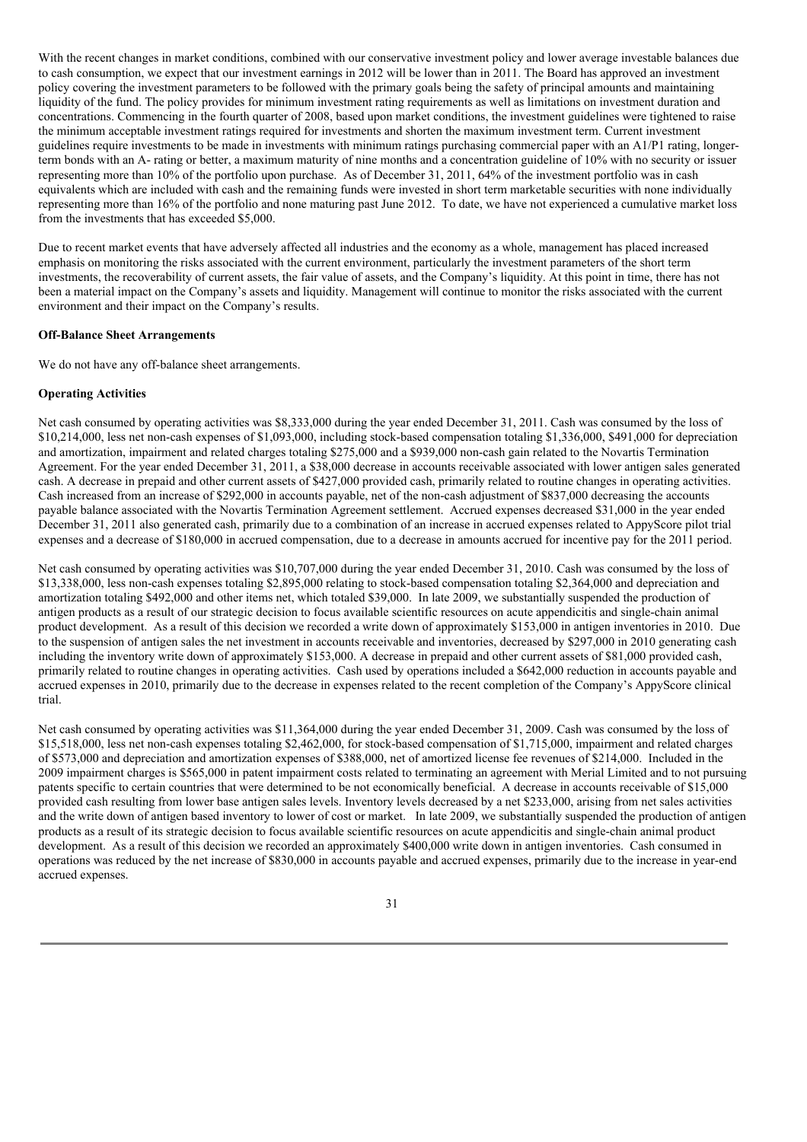With the recent changes in market conditions, combined with our conservative investment policy and lower average investable balances due to cash consumption, we expect that our investment earnings in 2012 will be lower than in 2011. The Board has approved an investment policy covering the investment parameters to be followed with the primary goals being the safety of principal amounts and maintaining liquidity of the fund. The policy provides for minimum investment rating requirements as well as limitations on investment duration and concentrations. Commencing in the fourth quarter of 2008, based upon market conditions, the investment guidelines were tightened to raise the minimum acceptable investment ratings required for investments and shorten the maximum investment term. Current investment guidelines require investments to be made in investments with minimum ratings purchasing commercial paper with an A1/P1 rating, longerterm bonds with an A- rating or better, a maximum maturity of nine months and a concentration guideline of 10% with no security or issuer representing more than 10% of the portfolio upon purchase. As of December 31, 2011, 64% of the investment portfolio was in cash equivalents which are included with cash and the remaining funds were invested in short term marketable securities with none individually representing more than 16% of the portfolio and none maturing past June 2012. To date, we have not experienced a cumulative market loss from the investments that has exceeded \$5,000.

Due to recent market events that have adversely affected all industries and the economy as a whole, management has placed increased emphasis on monitoring the risks associated with the current environment, particularly the investment parameters of the short term investments, the recoverability of current assets, the fair value of assets, and the Company's liquidity. At this point in time, there has not been a material impact on the Company's assets and liquidity. Management will continue to monitor the risks associated with the current environment and their impact on the Company's results.

## **Off-Balance Sheet Arrangements**

We do not have any off-balance sheet arrangements.

### **Operating Activities**

Net cash consumed by operating activities was \$8,333,000 during the year ended December 31, 2011. Cash was consumed by the loss of \$10,214,000, less net non-cash expenses of \$1,093,000, including stock-based compensation totaling \$1,336,000, \$491,000 for depreciation and amortization, impairment and related charges totaling \$275,000 and a \$939,000 non-cash gain related to the Novartis Termination Agreement. For the year ended December 31, 2011, a \$38,000 decrease in accounts receivable associated with lower antigen sales generated cash. A decrease in prepaid and other current assets of \$427,000 provided cash, primarily related to routine changes in operating activities. Cash increased from an increase of \$292,000 in accounts payable, net of the non-cash adjustment of \$837,000 decreasing the accounts payable balance associated with the Novartis Termination Agreement settlement. Accrued expenses decreased \$31,000 in the year ended December 31, 2011 also generated cash, primarily due to a combination of an increase in accrued expenses related to AppyScore pilot trial expenses and a decrease of \$180,000 in accrued compensation, due to a decrease in amounts accrued for incentive pay for the 2011 period.

Net cash consumed by operating activities was \$10,707,000 during the year ended December 31, 2010. Cash was consumed by the loss of \$13,338,000, less non-cash expenses totaling \$2,895,000 relating to stock-based compensation totaling \$2,364,000 and depreciation and amortization totaling \$492,000 and other items net, which totaled \$39,000. In late 2009, we substantially suspended the production of antigen products as a result of our strategic decision to focus available scientific resources on acute appendicitis and single-chain animal product development. As a result of this decision we recorded a write down of approximately \$153,000 in antigen inventories in 2010. Due to the suspension of antigen sales the net investment in accounts receivable and inventories, decreased by \$297,000 in 2010 generating cash including the inventory write down of approximately \$153,000. A decrease in prepaid and other current assets of \$81,000 provided cash, primarily related to routine changes in operating activities. Cash used by operations included a \$642,000 reduction in accounts payable and accrued expenses in 2010, primarily due to the decrease in expenses related to the recent completion of the Company's AppyScore clinical trial.

Net cash consumed by operating activities was \$11,364,000 during the year ended December 31, 2009. Cash was consumed by the loss of \$15,518,000, less net non-cash expenses totaling \$2,462,000, for stock-based compensation of \$1,715,000, impairment and related charges of \$573,000 and depreciation and amortization expenses of \$388,000, net of amortized license fee revenues of \$214,000. Included in the 2009 impairment charges is \$565,000 in patent impairment costs related to terminating an agreement with Merial Limited and to not pursuing patents specific to certain countries that were determined to be not economically beneficial. A decrease in accounts receivable of \$15,000 provided cash resulting from lower base antigen sales levels. Inventory levels decreased by a net \$233,000, arising from net sales activities and the write down of antigen based inventory to lower of cost or market. In late 2009, we substantially suspended the production of antigen products as a result of its strategic decision to focus available scientific resources on acute appendicitis and single-chain animal product development. As a result of this decision we recorded an approximately \$400,000 write down in antigen inventories. Cash consumed in operations was reduced by the net increase of \$830,000 in accounts payable and accrued expenses, primarily due to the increase in year-end accrued expenses.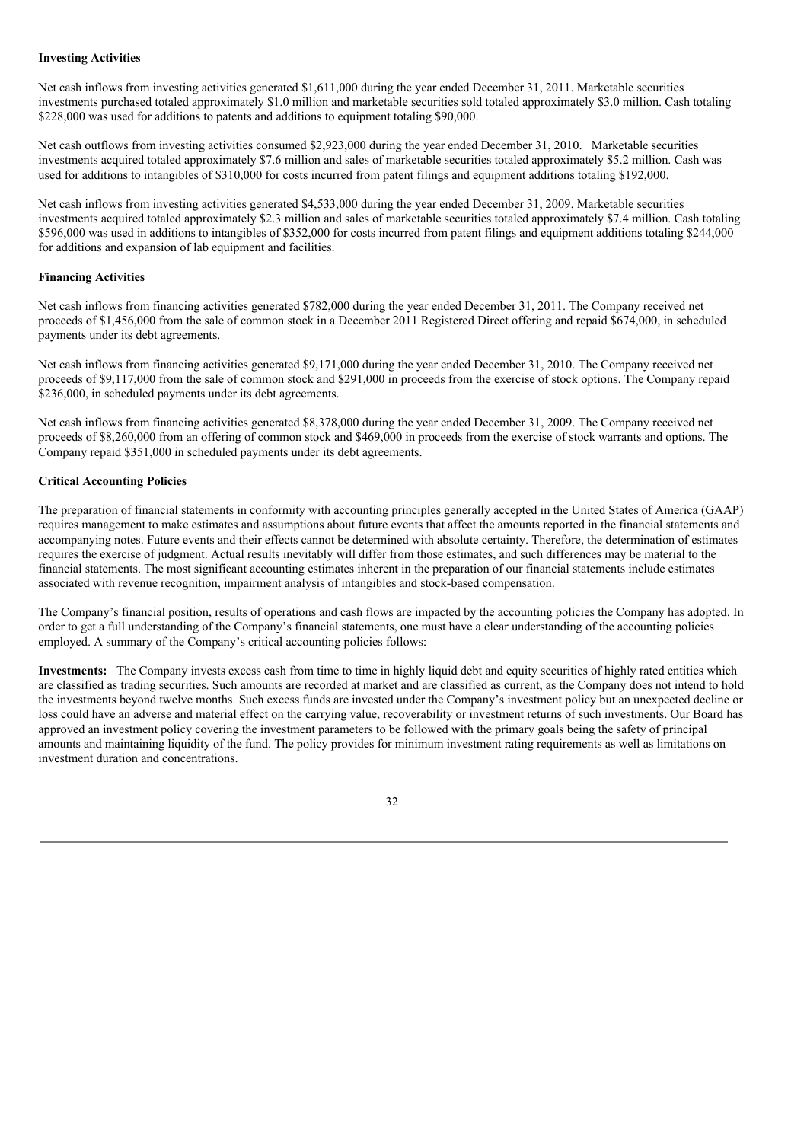### **Investing Activities**

Net cash inflows from investing activities generated \$1,611,000 during the year ended December 31, 2011. Marketable securities investments purchased totaled approximately \$1.0 million and marketable securities sold totaled approximately \$3.0 million. Cash totaling \$228,000 was used for additions to patents and additions to equipment totaling \$90,000.

Net cash outflows from investing activities consumed \$2,923,000 during the year ended December 31, 2010. Marketable securities investments acquired totaled approximately \$7.6 million and sales of marketable securities totaled approximately \$5.2 million. Cash was used for additions to intangibles of \$310,000 for costs incurred from patent filings and equipment additions totaling \$192,000.

Net cash inflows from investing activities generated \$4,533,000 during the year ended December 31, 2009. Marketable securities investments acquired totaled approximately \$2.3 million and sales of marketable securities totaled approximately \$7.4 million. Cash totaling \$596,000 was used in additions to intangibles of \$352,000 for costs incurred from patent filings and equipment additions totaling \$244,000 for additions and expansion of lab equipment and facilities.

## **Financing Activities**

Net cash inflows from financing activities generated \$782,000 during the year ended December 31, 2011. The Company received net proceeds of \$1,456,000 from the sale of common stock in a December 2011 Registered Direct offering and repaid \$674,000, in scheduled payments under its debt agreements.

Net cash inflows from financing activities generated \$9,171,000 during the year ended December 31, 2010. The Company received net proceeds of \$9,117,000 from the sale of common stock and \$291,000 in proceeds from the exercise of stock options. The Company repaid \$236,000, in scheduled payments under its debt agreements.

Net cash inflows from financing activities generated \$8,378,000 during the year ended December 31, 2009. The Company received net proceeds of \$8,260,000 from an offering of common stock and \$469,000 in proceeds from the exercise of stock warrants and options. The Company repaid \$351,000 in scheduled payments under its debt agreements.

# **Critical Accounting Policies**

The preparation of financial statements in conformity with accounting principles generally accepted in the United States of America (GAAP) requires management to make estimates and assumptions about future events that affect the amounts reported in the financial statements and accompanying notes. Future events and their effects cannot be determined with absolute certainty. Therefore, the determination of estimates requires the exercise of judgment. Actual results inevitably will differ from those estimates, and such differences may be material to the financial statements. The most significant accounting estimates inherent in the preparation of our financial statements include estimates associated with revenue recognition, impairment analysis of intangibles and stock-based compensation.

The Company's financial position, results of operations and cash flows are impacted by the accounting policies the Company has adopted. In order to get a full understanding of the Company's financial statements, one must have a clear understanding of the accounting policies employed. A summary of the Company's critical accounting policies follows:

**Investments:** The Company invests excess cash from time to time in highly liquid debt and equity securities of highly rated entities which are classified as trading securities. Such amounts are recorded at market and are classified as current, as the Company does not intend to hold the investments beyond twelve months. Such excess funds are invested under the Company's investment policy but an unexpected decline or loss could have an adverse and material effect on the carrying value, recoverability or investment returns of such investments. Our Board has approved an investment policy covering the investment parameters to be followed with the primary goals being the safety of principal amounts and maintaining liquidity of the fund. The policy provides for minimum investment rating requirements as well as limitations on investment duration and concentrations.

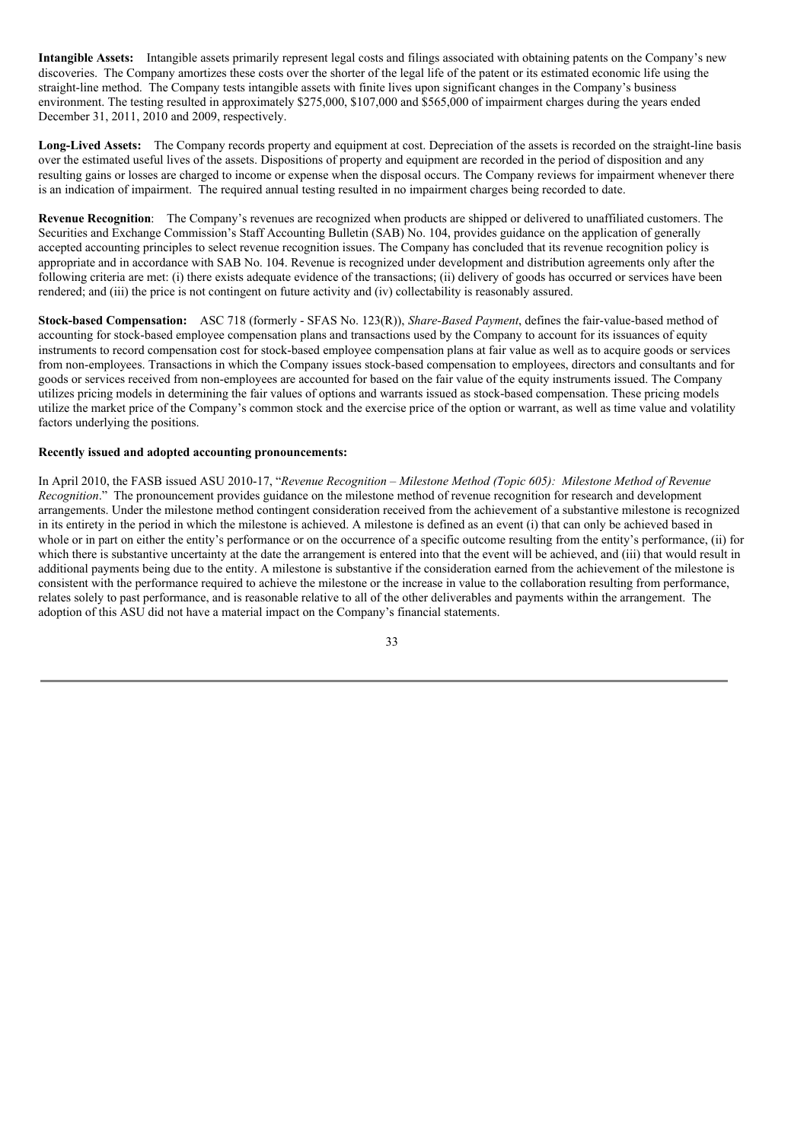**Intangible Assets:** Intangible assets primarily represent legal costs and filings associated with obtaining patents on the Company's new discoveries. The Company amortizes these costs over the shorter of the legal life of the patent or its estimated economic life using the straight-line method. The Company tests intangible assets with finite lives upon significant changes in the Company's business environment. The testing resulted in approximately \$275,000, \$107,000 and \$565,000 of impairment charges during the years ended December 31, 2011, 2010 and 2009, respectively.

**Long-Lived Assets:** The Company records property and equipment at cost. Depreciation of the assets is recorded on the straight-line basis over the estimated useful lives of the assets. Dispositions of property and equipment are recorded in the period of disposition and any resulting gains or losses are charged to income or expense when the disposal occurs. The Company reviews for impairment whenever there is an indication of impairment. The required annual testing resulted in no impairment charges being recorded to date.

**Revenue Recognition**: The Company's revenues are recognized when products are shipped or delivered to unaffiliated customers. The Securities and Exchange Commission's Staff Accounting Bulletin (SAB) No. 104, provides guidance on the application of generally accepted accounting principles to select revenue recognition issues. The Company has concluded that its revenue recognition policy is appropriate and in accordance with SAB No. 104. Revenue is recognized under development and distribution agreements only after the following criteria are met: (i) there exists adequate evidence of the transactions; (ii) delivery of goods has occurred or services have been rendered; and (iii) the price is not contingent on future activity and (iv) collectability is reasonably assured.

**Stock-based Compensation:** ASC 718 (formerly - SFAS No. 123(R)), *Share-Based Payment*, defines the fair-value-based method of accounting for stock-based employee compensation plans and transactions used by the Company to account for its issuances of equity instruments to record compensation cost for stock-based employee compensation plans at fair value as well as to acquire goods or services from non-employees. Transactions in which the Company issues stock-based compensation to employees, directors and consultants and for goods or services received from non-employees are accounted for based on the fair value of the equity instruments issued. The Company utilizes pricing models in determining the fair values of options and warrants issued as stock-based compensation. These pricing models utilize the market price of the Company's common stock and the exercise price of the option or warrant, as well as time value and volatility factors underlying the positions.

## **Recently issued and adopted accounting pronouncements:**

In April 2010, the FASB issued ASU 2010-17, "*Revenue Recognition – Milestone Method (Topic 605): Milestone Method of Revenue Recognition*." The pronouncement provides guidance on the milestone method of revenue recognition for research and development arrangements. Under the milestone method contingent consideration received from the achievement of a substantive milestone is recognized in its entirety in the period in which the milestone is achieved. A milestone is defined as an event (i) that can only be achieved based in whole or in part on either the entity's performance or on the occurrence of a specific outcome resulting from the entity's performance, (ii) for which there is substantive uncertainty at the date the arrangement is entered into that the event will be achieved, and (iii) that would result in additional payments being due to the entity. A milestone is substantive if the consideration earned from the achievement of the milestone is consistent with the performance required to achieve the milestone or the increase in value to the collaboration resulting from performance, relates solely to past performance, and is reasonable relative to all of the other deliverables and payments within the arrangement. The adoption of this ASU did not have a material impact on the Company's financial statements.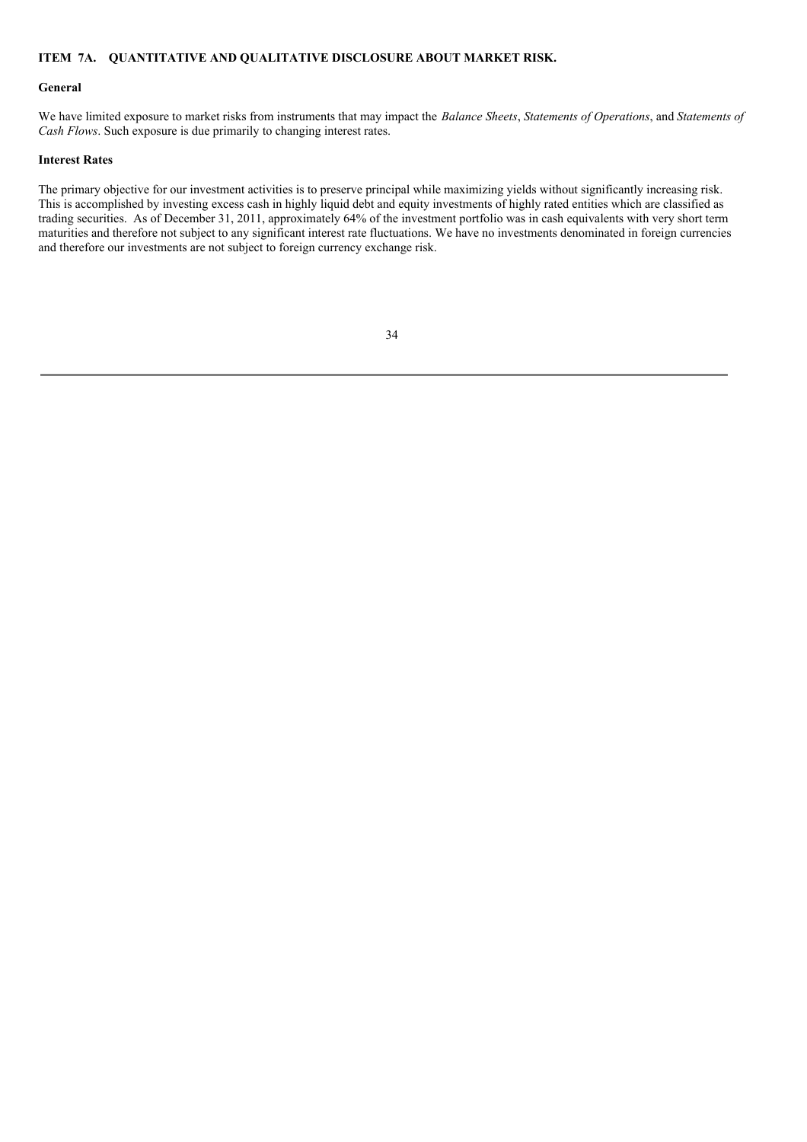## **ITEM 7A. QUANTITATIVE AND QUALITATIVE DISCLOSURE ABOUT MARKET RISK.**

### **General**

We have limited exposure to market risks from instruments that may impact the *Balance Sheets*, *Statements of Operations*, and *Statements of Cash Flows*. Such exposure is due primarily to changing interest rates.

## **Interest Rates**

The primary objective for our investment activities is to preserve principal while maximizing yields without significantly increasing risk. This is accomplished by investing excess cash in highly liquid debt and equity investments of highly rated entities which are classified as trading securities. As of December 31, 2011, approximately 64% of the investment portfolio was in cash equivalents with very short term maturities and therefore not subject to any significant interest rate fluctuations. We have no investments denominated in foreign currencies and therefore our investments are not subject to foreign currency exchange risk.

| ۰<br>٧<br>i<br>×<br>۰.<br>× |  |
|-----------------------------|--|
|                             |  |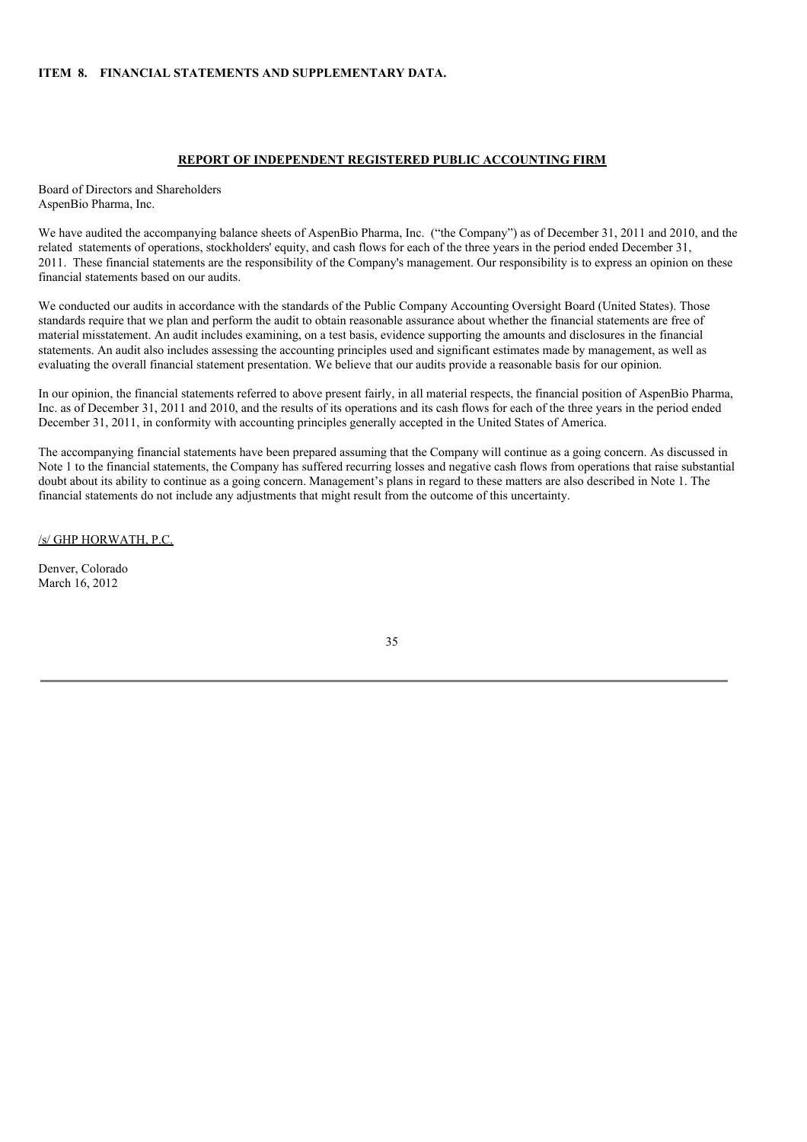### **ITEM 8. FINANCIAL STATEMENTS AND SUPPLEMENTARY DATA.**

## **REPORT OF INDEPENDENT REGISTERED PUBLIC ACCOUNTING FIRM**

Board of Directors and Shareholders AspenBio Pharma, Inc.

We have audited the accompanying balance sheets of AspenBio Pharma, Inc. ("the Company") as of December 31, 2011 and 2010, and the related statements of operations, stockholders' equity, and cash flows for each of the three years in the period ended December 31, 2011. These financial statements are the responsibility of the Company's management. Our responsibility is to express an opinion on these financial statements based on our audits.

We conducted our audits in accordance with the standards of the Public Company Accounting Oversight Board (United States). Those standards require that we plan and perform the audit to obtain reasonable assurance about whether the financial statements are free of material misstatement. An audit includes examining, on a test basis, evidence supporting the amounts and disclosures in the financial statements. An audit also includes assessing the accounting principles used and significant estimates made by management, as well as evaluating the overall financial statement presentation. We believe that our audits provide a reasonable basis for our opinion.

In our opinion, the financial statements referred to above present fairly, in all material respects, the financial position of AspenBio Pharma, Inc. as of December 31, 2011 and 2010, and the results of its operations and its cash flows for each of the three years in the period ended December 31, 2011, in conformity with accounting principles generally accepted in the United States of America.

The accompanying financial statements have been prepared assuming that the Company will continue as a going concern. As discussed in Note 1 to the financial statements, the Company has suffered recurring losses and negative cash flows from operations that raise substantial doubt about its ability to continue as a going concern. Management's plans in regard to these matters are also described in Note 1. The financial statements do not include any adjustments that might result from the outcome of this uncertainty.

/s/ GHP HORWATH, P.C.

Denver, Colorado March 16, 2012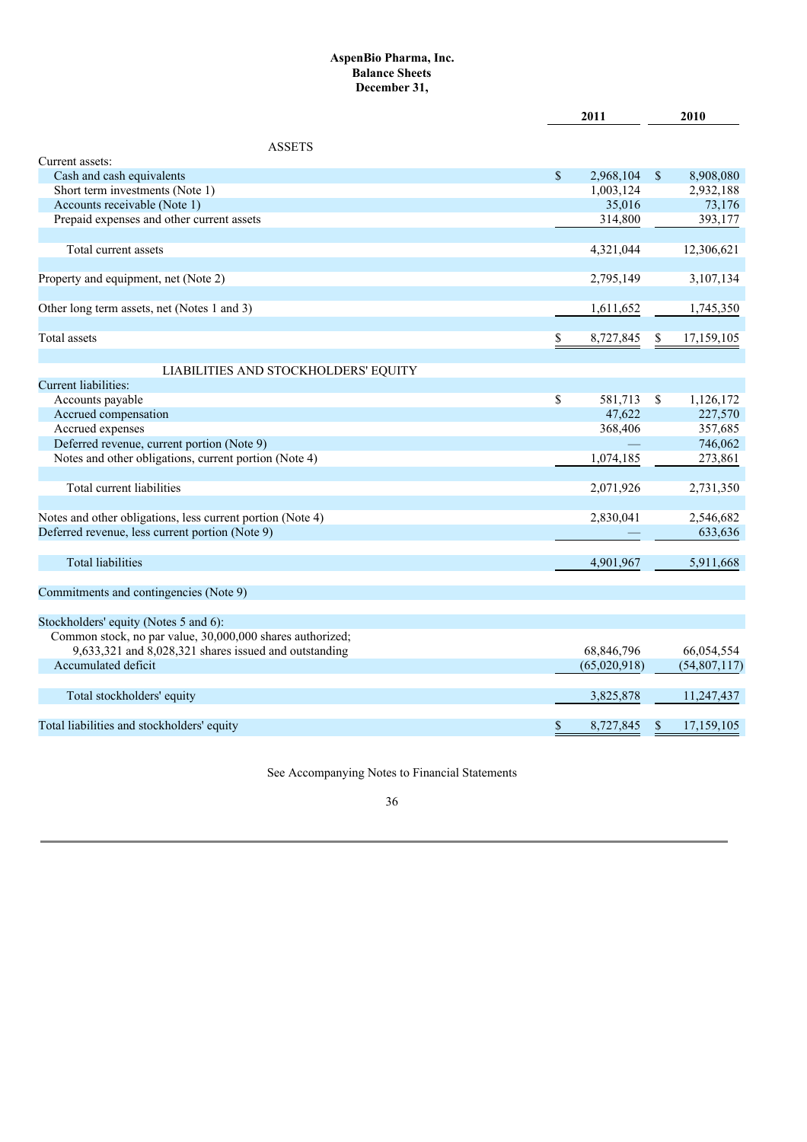# **AspenBio Pharma, Inc. Balance Sheets December 31,**

|                                                            | 2011            |              | 2010           |
|------------------------------------------------------------|-----------------|--------------|----------------|
| <b>ASSETS</b>                                              |                 |              |                |
| Current assets:                                            |                 |              |                |
| Cash and cash equivalents                                  | \$<br>2,968,104 | $\mathbb{S}$ | 8,908,080      |
| Short term investments (Note 1)                            | 1,003,124       |              | 2,932,188      |
| Accounts receivable (Note 1)                               | 35,016          |              | 73,176         |
| Prepaid expenses and other current assets                  | 314,800         |              | 393,177        |
| Total current assets                                       | 4,321,044       |              | 12,306,621     |
|                                                            |                 |              |                |
| Property and equipment, net (Note 2)                       | 2,795,149       |              | 3,107,134      |
| Other long term assets, net (Notes 1 and 3)                | 1,611,652       |              | 1,745,350      |
| Total assets                                               | \$<br>8,727,845 | S.           | 17,159,105     |
|                                                            |                 |              |                |
| LIABILITIES AND STOCKHOLDERS' EQUITY                       |                 |              |                |
| Current liabilities:                                       |                 |              |                |
| Accounts payable                                           | \$<br>581,713   | \$           | 1,126,172      |
| Accrued compensation                                       | 47.622          |              | 227,570        |
| Accrued expenses                                           | 368,406         |              | 357,685        |
| Deferred revenue, current portion (Note 9)                 |                 |              | 746,062        |
| Notes and other obligations, current portion (Note 4)      | 1,074,185       |              | 273,861        |
| Total current liabilities                                  | 2,071,926       |              | 2,731,350      |
|                                                            |                 |              |                |
| Notes and other obligations, less current portion (Note 4) | 2,830,041       |              | 2,546,682      |
| Deferred revenue, less current portion (Note 9)            |                 |              | 633,636        |
| <b>Total liabilities</b>                                   | 4,901,967       |              | 5,911,668      |
| Commitments and contingencies (Note 9)                     |                 |              |                |
|                                                            |                 |              |                |
| Stockholders' equity (Notes 5 and 6):                      |                 |              |                |
| Common stock, no par value, 30,000,000 shares authorized;  |                 |              |                |
| 9,633,321 and 8,028,321 shares issued and outstanding      | 68,846,796      |              | 66,054,554     |
| Accumulated deficit                                        | (65,020,918)    |              | (54, 807, 117) |
| Total stockholders' equity                                 | 3,825,878       |              | 11,247,437     |
| Total liabilities and stockholders' equity                 | \$<br>8,727,845 | \$           | 17,159,105     |
|                                                            |                 |              |                |

See Accompanying Notes to Financial Statements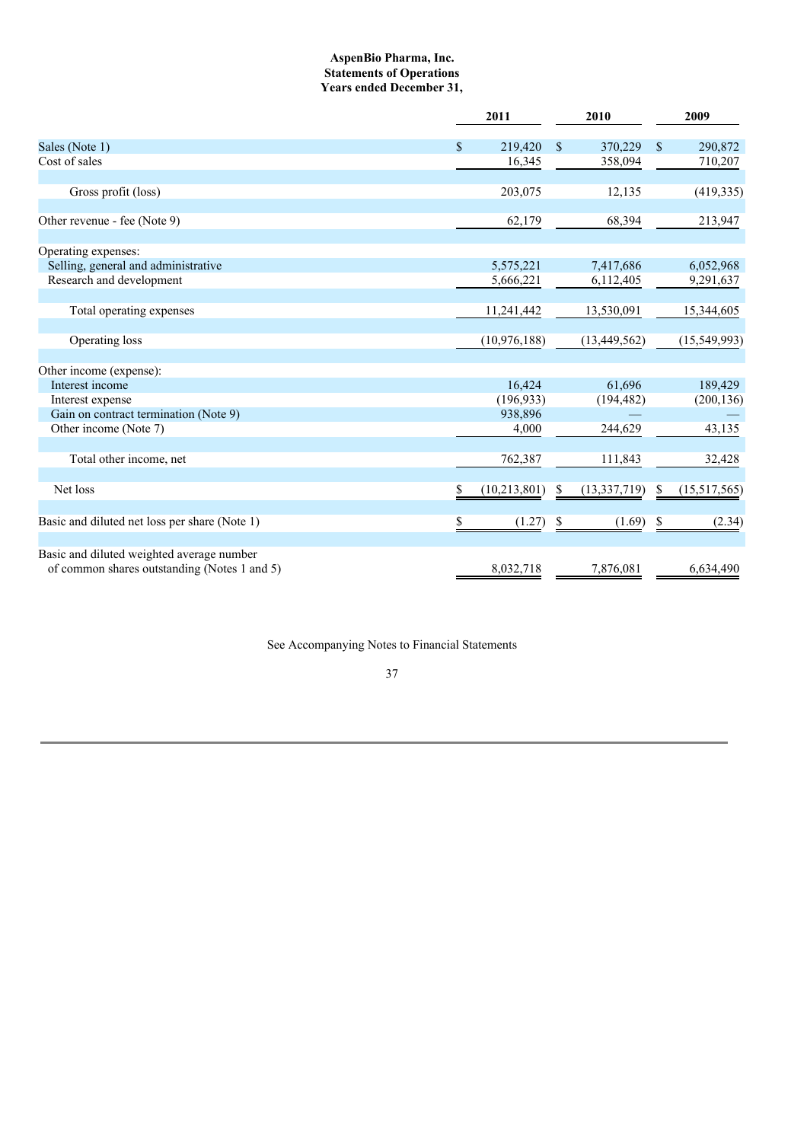## **AspenBio Pharma, Inc. Statements of Operations Years ended December 31,**

|                                                                                           | 2011                |               | 2010           |             | 2009         |
|-------------------------------------------------------------------------------------------|---------------------|---------------|----------------|-------------|--------------|
| Sales (Note 1)                                                                            | \$<br>219,420       | $\mathbf S$   | 370,229        | $\mathbf S$ | 290,872      |
| Cost of sales                                                                             | 16,345              |               | 358,094        |             | 710,207      |
|                                                                                           |                     |               |                |             |              |
| Gross profit (loss)                                                                       | 203,075             |               | 12,135         |             | (419, 335)   |
| Other revenue - fee (Note 9)                                                              | 62,179              |               | 68,394         |             | 213,947      |
|                                                                                           |                     |               |                |             |              |
| Operating expenses:                                                                       |                     |               |                |             |              |
| Selling, general and administrative                                                       | 5,575,221           |               | 7,417,686      |             | 6,052,968    |
| Research and development                                                                  | 5,666,221           |               | 6,112,405      |             | 9,291,637    |
|                                                                                           |                     |               |                |             |              |
| Total operating expenses                                                                  | 11,241,442          |               | 13,530,091     |             | 15,344,605   |
|                                                                                           |                     |               |                |             |              |
| Operating loss                                                                            | (10, 976, 188)      |               | (13, 449, 562) |             | (15,549,993) |
|                                                                                           |                     |               |                |             |              |
| Other income (expense):<br>Interest income                                                | 16,424              |               | 61,696         |             | 189,429      |
|                                                                                           | (196, 933)          |               |                |             |              |
| Interest expense<br>Gain on contract termination (Note 9)                                 | 938,896             |               | (194, 482)     |             | (200, 136)   |
| Other income (Note 7)                                                                     |                     | 4,000         | 244,629        |             | 43,135       |
|                                                                                           |                     |               |                |             |              |
| Total other income, net                                                                   | 762,387             |               | 111,843        |             | 32,428       |
|                                                                                           |                     |               |                |             |              |
| Net loss                                                                                  | S<br>(10, 213, 801) | \$            | (13, 337, 719) | \$          | (15,517,565) |
|                                                                                           |                     |               |                |             |              |
| Basic and diluted net loss per share (Note 1)                                             | \$                  | (1.27)<br>-\$ | (1.69)         | \$          | (2.34)       |
|                                                                                           |                     |               |                |             |              |
| Basic and diluted weighted average number<br>of common shares outstanding (Notes 1 and 5) | 8.032.718           |               | 7,876,081      |             | 6,634,490    |
|                                                                                           |                     |               |                |             |              |

See Accompanying Notes to Financial Statements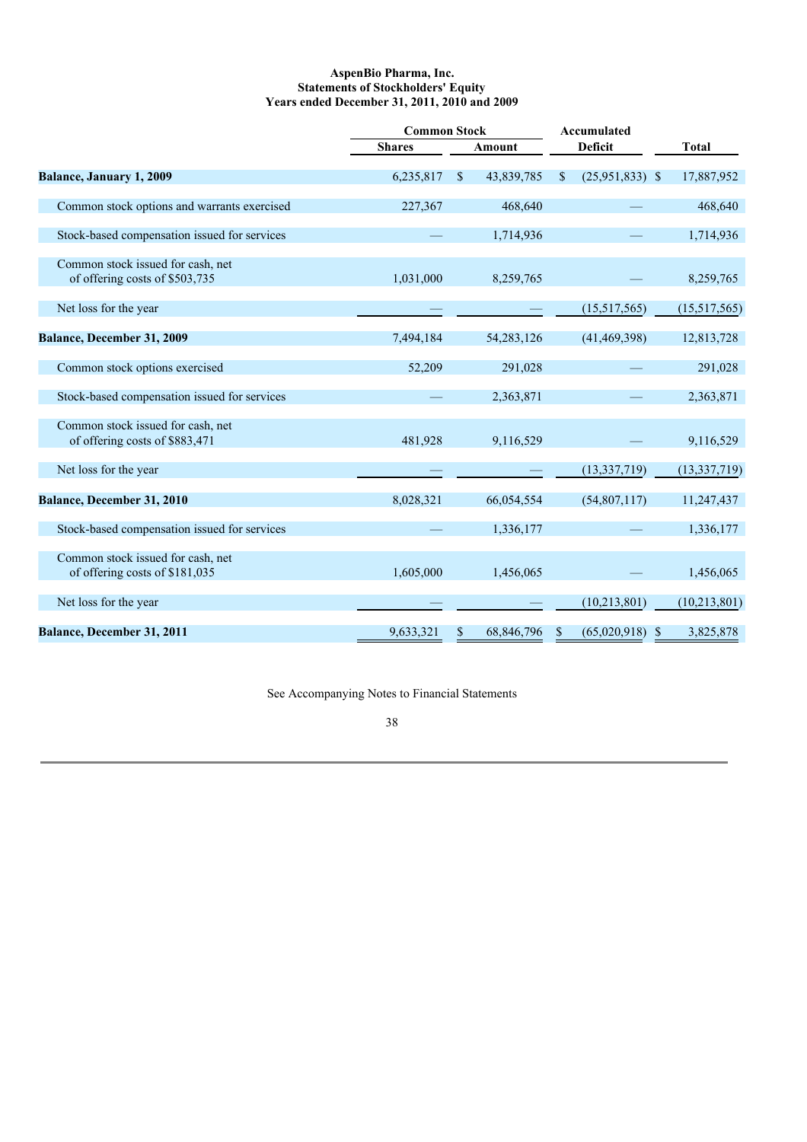### **AspenBio Pharma, Inc. Statements of Stockholders' Equity Years ended December 31, 2011, 2010 and 2009**

|                                                                     |               | <b>Common Stock</b> |              |               | <b>Accumulated</b> |                |
|---------------------------------------------------------------------|---------------|---------------------|--------------|---------------|--------------------|----------------|
|                                                                     | <b>Shares</b> |                     | Amount       |               | <b>Deficit</b>     | <b>Total</b>   |
| Balance, January 1, 2009                                            | 6,235,817     | \$.                 | 43,839,785   | <sup>\$</sup> | $(25,951,833)$ \$  | 17,887,952     |
| Common stock options and warrants exercised                         | 227,367       |                     | 468,640      |               |                    | 468,640        |
| Stock-based compensation issued for services                        |               |                     | 1,714,936    |               |                    | 1,714,936      |
| Common stock issued for cash, net<br>of offering costs of \$503,735 | 1,031,000     |                     | 8,259,765    |               |                    | 8,259,765      |
| Net loss for the year                                               |               |                     |              |               | (15,517,565)       | (15,517,565)   |
| Balance, December 31, 2009                                          | 7,494,184     |                     | 54, 283, 126 |               | (41, 469, 398)     | 12,813,728     |
| Common stock options exercised                                      | 52,209        |                     | 291,028      |               |                    | 291,028        |
| Stock-based compensation issued for services                        |               |                     | 2,363,871    |               |                    | 2,363,871      |
| Common stock issued for cash, net<br>of offering costs of \$883,471 | 481.928       |                     | 9,116,529    |               |                    | 9,116,529      |
| Net loss for the year                                               |               |                     |              |               | (13, 337, 719)     | (13, 337, 719) |
| Balance, December 31, 2010                                          | 8,028,321     |                     | 66,054,554   |               | (54, 807, 117)     | 11,247,437     |
| Stock-based compensation issued for services                        |               |                     | 1,336,177    |               |                    | 1,336,177      |
| Common stock issued for cash, net<br>of offering costs of \$181,035 | 1,605,000     |                     | 1,456,065    |               |                    | 1,456,065      |
| Net loss for the year                                               |               |                     |              |               | (10, 213, 801)     | (10, 213, 801) |
| Balance, December 31, 2011                                          | 9,633,321     | \$                  | 68,846,796   | <sup>\$</sup> | $(65,020,918)$ \$  | 3,825,878      |

See Accompanying Notes to Financial Statements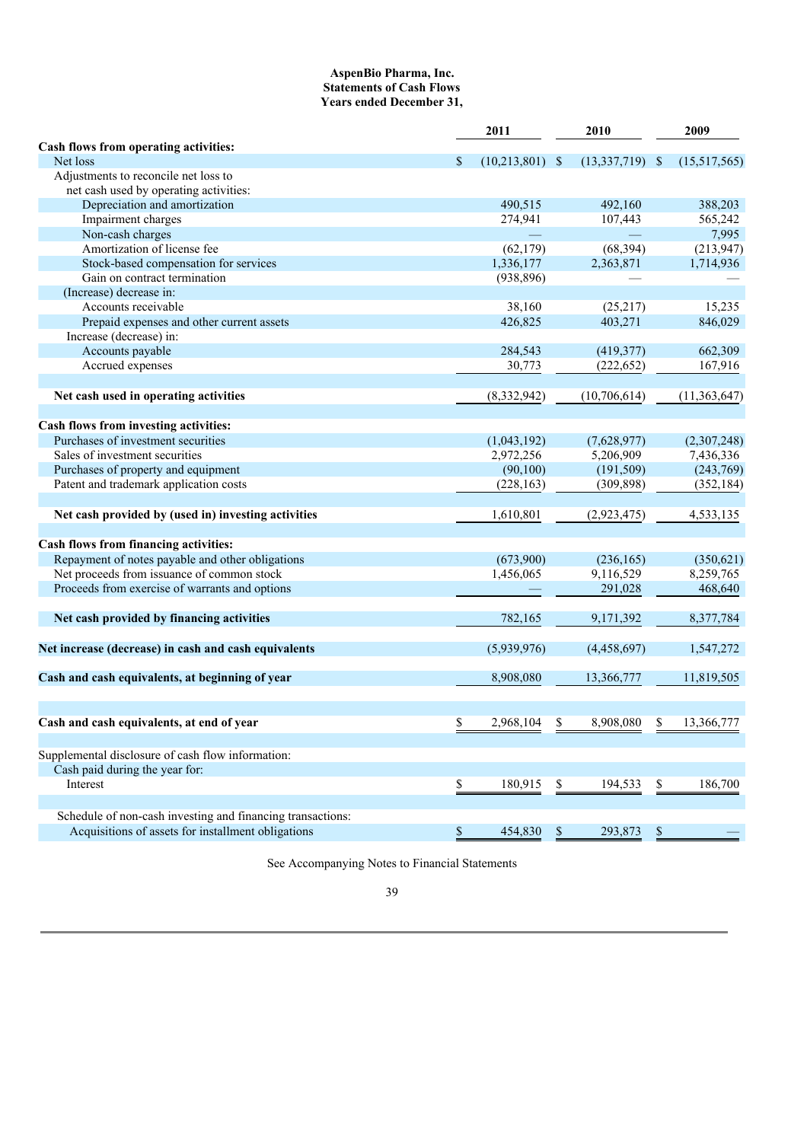## **AspenBio Pharma, Inc. Statements of Cash Flows Years ended December 31,**

|                                                            | 2011                 |               | 2010         |              | 2009         |
|------------------------------------------------------------|----------------------|---------------|--------------|--------------|--------------|
| Cash flows from operating activities:                      |                      |               |              |              |              |
| Net loss                                                   | \$<br>(10, 213, 801) | $\mathcal{S}$ | (13,337,719) | $\mathbb{S}$ | (15,517,565) |
| Adjustments to reconcile net loss to                       |                      |               |              |              |              |
| net cash used by operating activities:                     |                      |               |              |              |              |
| Depreciation and amortization                              | 490,515              |               | 492,160      |              | 388,203      |
| Impairment charges                                         | 274,941              |               | 107,443      |              | 565,242      |
| Non-cash charges                                           |                      |               |              |              | 7,995        |
| Amortization of license fee                                | (62, 179)            |               | (68, 394)    |              | (213, 947)   |
| Stock-based compensation for services                      | 1,336,177            |               | 2,363,871    |              | 1,714,936    |
| Gain on contract termination                               | (938, 896)           |               |              |              |              |
| (Increase) decrease in:                                    |                      |               |              |              |              |
| Accounts receivable                                        | 38,160               |               | (25, 217)    |              | 15,235       |
| Prepaid expenses and other current assets                  | 426,825              |               | 403,271      |              | 846,029      |
| Increase (decrease) in:                                    |                      |               |              |              |              |
| Accounts payable                                           | 284,543              |               | (419, 377)   |              | 662,309      |
| Accrued expenses                                           | 30,773               |               | (222, 652)   |              | 167,916      |
|                                                            |                      |               |              |              |              |
| Net cash used in operating activities                      | (8, 332, 942)        |               | (10,706,614) |              | (11,363,647) |
|                                                            |                      |               |              |              |              |
| Cash flows from investing activities:                      |                      |               |              |              |              |
| Purchases of investment securities                         |                      |               |              |              |              |
| Sales of investment securities                             | (1,043,192)          |               | (7,628,977)  |              | (2,307,248)  |
|                                                            | 2,972,256            |               | 5,206,909    |              | 7,436,336    |
| Purchases of property and equipment                        | (90, 100)            |               | (191, 509)   |              | (243,769)    |
| Patent and trademark application costs                     | (228, 163)           |               | (309, 898)   |              | (352, 184)   |
|                                                            |                      |               |              |              |              |
| Net cash provided by (used in) investing activities        | 1,610,801            |               | (2,923,475)  |              | 4,533,135    |
|                                                            |                      |               |              |              |              |
| Cash flows from financing activities:                      |                      |               |              |              |              |
| Repayment of notes payable and other obligations           | (673,900)            |               | (236, 165)   |              | (350, 621)   |
| Net proceeds from issuance of common stock                 | 1,456,065            |               | 9,116,529    |              | 8,259,765    |
| Proceeds from exercise of warrants and options             |                      |               | 291,028      |              | 468,640      |
|                                                            |                      |               |              |              |              |
| Net cash provided by financing activities                  | 782,165              |               | 9,171,392    |              | 8,377,784    |
|                                                            |                      |               |              |              |              |
| Net increase (decrease) in cash and cash equivalents       | (5,939,976)          |               | (4,458,697)  |              | 1,547,272    |
|                                                            |                      |               |              |              |              |
| Cash and cash equivalents, at beginning of year            | 8,908,080            |               | 13,366,777   |              | 11,819,505   |
|                                                            |                      |               |              |              |              |
|                                                            |                      |               |              |              |              |
| Cash and cash equivalents, at end of year                  | \$<br>2,968,104      | \$            | 8,908,080    | \$           | 13,366,777   |
|                                                            |                      |               |              |              |              |
|                                                            |                      |               |              |              |              |
| Supplemental disclosure of cash flow information:          |                      |               |              |              |              |
| Cash paid during the year for:                             |                      |               |              |              |              |
| Interest                                                   | \$<br>180,915        | \$            | 194,533      | \$           | 186,700      |
|                                                            |                      |               |              |              |              |
| Schedule of non-cash investing and financing transactions: |                      |               |              |              |              |
| Acquisitions of assets for installment obligations         | \$<br>454,830        | $\mathbb{S}$  | 293,873      | \$           |              |

See Accompanying Notes to Financial Statements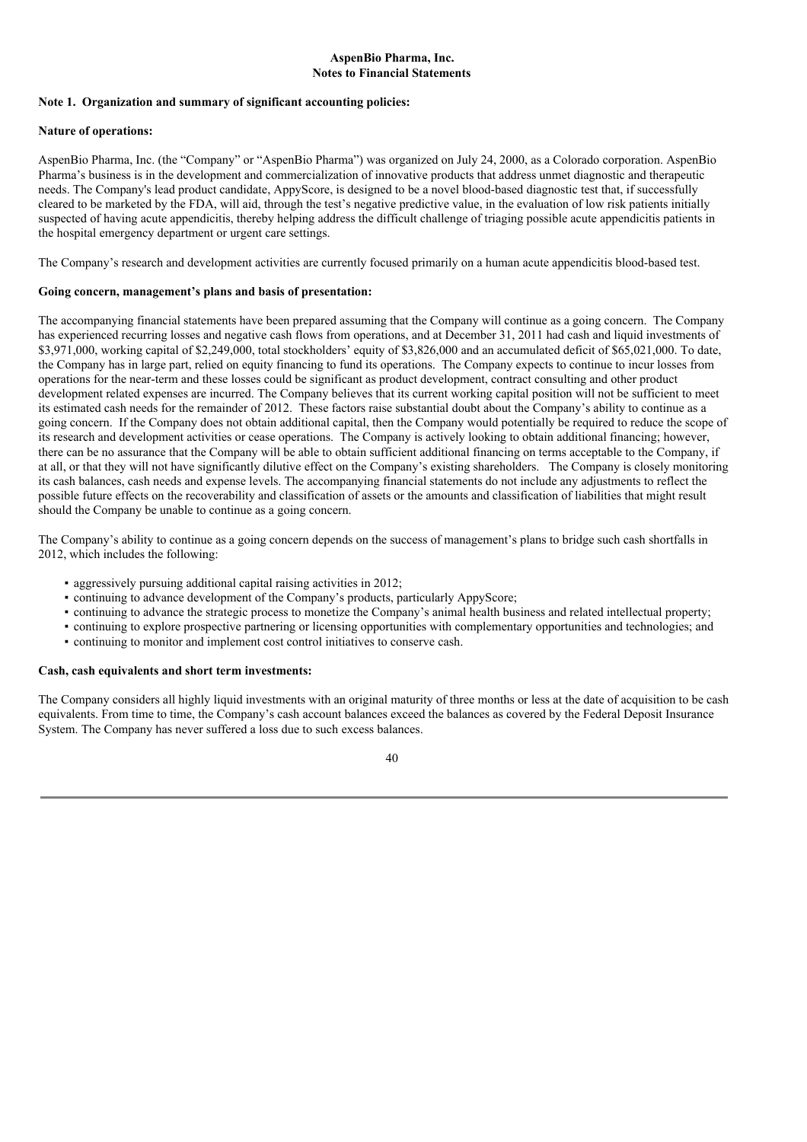### **AspenBio Pharma, Inc. Notes to Financial Statements**

### **Note 1. Organization and summary of significant accounting policies:**

## **Nature of operations:**

AspenBio Pharma, Inc. (the "Company" or "AspenBio Pharma") was organized on July 24, 2000, as a Colorado corporation. AspenBio Pharma's business is in the development and commercialization of innovative products that address unmet diagnostic and therapeutic needs. The Company's lead product candidate, AppyScore, is designed to be a novel blood-based diagnostic test that, if successfully cleared to be marketed by the FDA, will aid, through the test's negative predictive value, in the evaluation of low risk patients initially suspected of having acute appendicitis, thereby helping address the difficult challenge of triaging possible acute appendicitis patients in the hospital emergency department or urgent care settings.

The Company's research and development activities are currently focused primarily on a human acute appendicitis blood-based test.

## **Going concern, management's plans and basis of presentation:**

The accompanying financial statements have been prepared assuming that the Company will continue as a going concern. The Company has experienced recurring losses and negative cash flows from operations, and at December 31, 2011 had cash and liquid investments of \$3,971,000, working capital of \$2,249,000, total stockholders' equity of \$3,826,000 and an accumulated deficit of \$65,021,000. To date, the Company has in large part, relied on equity financing to fund its operations. The Company expects to continue to incur losses from operations for the near-term and these losses could be significant as product development, contract consulting and other product development related expenses are incurred. The Company believes that its current working capital position will not be sufficient to meet its estimated cash needs for the remainder of 2012. These factors raise substantial doubt about the Company's ability to continue as a going concern. If the Company does not obtain additional capital, then the Company would potentially be required to reduce the scope of its research and development activities or cease operations. The Company is actively looking to obtain additional financing; however, there can be no assurance that the Company will be able to obtain sufficient additional financing on terms acceptable to the Company, if at all, or that they will not have significantly dilutive effect on the Company's existing shareholders. The Company is closely monitoring its cash balances, cash needs and expense levels. The accompanying financial statements do not include any adjustments to reflect the possible future effects on the recoverability and classification of assets or the amounts and classification of liabilities that might result should the Company be unable to continue as a going concern.

The Company's ability to continue as a going concern depends on the success of management's plans to bridge such cash shortfalls in 2012, which includes the following:

- aggressively pursuing additional capital raising activities in 2012;
- continuing to advance development of the Company's products, particularly AppyScore;
- continuing to advance the strategic process to monetize the Company's animal health business and related intellectual property;
- continuing to explore prospective partnering or licensing opportunities with complementary opportunities and technologies; and
- continuing to monitor and implement cost control initiatives to conserve cash.

### **Cash, cash equivalents and short term investments:**

The Company considers all highly liquid investments with an original maturity of three months or less at the date of acquisition to be cash equivalents. From time to time, the Company's cash account balances exceed the balances as covered by the Federal Deposit Insurance System. The Company has never suffered a loss due to such excess balances.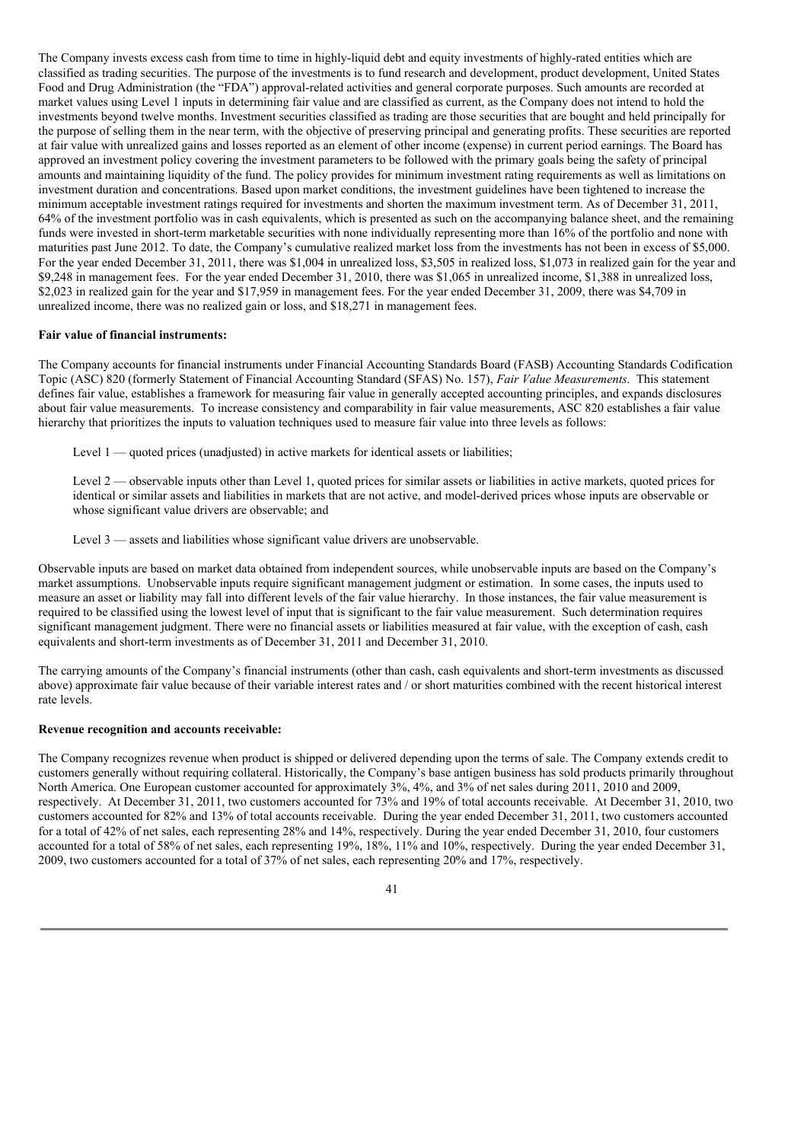The Company invests excess cash from time to time in highly-liquid debt and equity investments of highly-rated entities which are classified as trading securities. The purpose of the investments is to fund research and development, product development, United States Food and Drug Administration (the "FDA") approval-related activities and general corporate purposes. Such amounts are recorded at market values using Level 1 inputs in determining fair value and are classified as current, as the Company does not intend to hold the investments beyond twelve months. Investment securities classified as trading are those securities that are bought and held principally for the purpose of selling them in the near term, with the objective of preserving principal and generating profits. These securities are reported at fair value with unrealized gains and losses reported as an element of other income (expense) in current period earnings. The Board has approved an investment policy covering the investment parameters to be followed with the primary goals being the safety of principal amounts and maintaining liquidity of the fund. The policy provides for minimum investment rating requirements as well as limitations on investment duration and concentrations. Based upon market conditions, the investment guidelines have been tightened to increase the minimum acceptable investment ratings required for investments and shorten the maximum investment term. As of December 31, 2011, 64% of the investment portfolio was in cash equivalents, which is presented as such on the accompanying balance sheet, and the remaining funds were invested in short-term marketable securities with none individually representing more than 16% of the portfolio and none with maturities past June 2012. To date, the Company's cumulative realized market loss from the investments has not been in excess of \$5,000. For the year ended December 31, 2011, there was \$1,004 in unrealized loss, \$3,505 in realized loss, \$1,073 in realized gain for the year and \$9,248 in management fees. For the year ended December 31, 2010, there was \$1,065 in unrealized income, \$1,388 in unrealized loss, \$2,023 in realized gain for the year and \$17,959 in management fees. For the year ended December 31, 2009, there was \$4,709 in unrealized income, there was no realized gain or loss, and \$18,271 in management fees.

## **Fair value of financial instruments:**

The Company accounts for financial instruments under Financial Accounting Standards Board (FASB) Accounting Standards Codification Topic (ASC) 820 (formerly Statement of Financial Accounting Standard (SFAS) No. 157), *Fair Value Measurements*. This statement defines fair value, establishes a framework for measuring fair value in generally accepted accounting principles, and expands disclosures about fair value measurements. To increase consistency and comparability in fair value measurements, ASC 820 establishes a fair value hierarchy that prioritizes the inputs to valuation techniques used to measure fair value into three levels as follows:

Level 1 — quoted prices (unadjusted) in active markets for identical assets or liabilities;

Level 2 — observable inputs other than Level 1, quoted prices for similar assets or liabilities in active markets, quoted prices for identical or similar assets and liabilities in markets that are not active, and model-derived prices whose inputs are observable or whose significant value drivers are observable; and

Level 3 — assets and liabilities whose significant value drivers are unobservable.

Observable inputs are based on market data obtained from independent sources, while unobservable inputs are based on the Company's market assumptions. Unobservable inputs require significant management judgment or estimation. In some cases, the inputs used to measure an asset or liability may fall into different levels of the fair value hierarchy. In those instances, the fair value measurement is required to be classified using the lowest level of input that is significant to the fair value measurement. Such determination requires significant management judgment. There were no financial assets or liabilities measured at fair value, with the exception of cash, cash equivalents and short-term investments as of December 31, 2011 and December 31, 2010.

The carrying amounts of the Company's financial instruments (other than cash, cash equivalents and short-term investments as discussed above) approximate fair value because of their variable interest rates and / or short maturities combined with the recent historical interest rate levels.

#### **Revenue recognition and accounts receivable:**

The Company recognizes revenue when product is shipped or delivered depending upon the terms of sale. The Company extends credit to customers generally without requiring collateral. Historically, the Company's base antigen business has sold products primarily throughout North America. One European customer accounted for approximately 3%, 4%, and 3% of net sales during 2011, 2010 and 2009, respectively. At December 31, 2011, two customers accounted for 73% and 19% of total accounts receivable. At December 31, 2010, two customers accounted for 82% and 13% of total accounts receivable. During the year ended December 31, 2011, two customers accounted for a total of 42% of net sales, each representing 28% and 14%, respectively. During the year ended December 31, 2010, four customers accounted for a total of 58% of net sales, each representing 19%, 18%, 11% and 10%, respectively. During the year ended December 31, 2009, two customers accounted for a total of 37% of net sales, each representing 20% and 17%, respectively.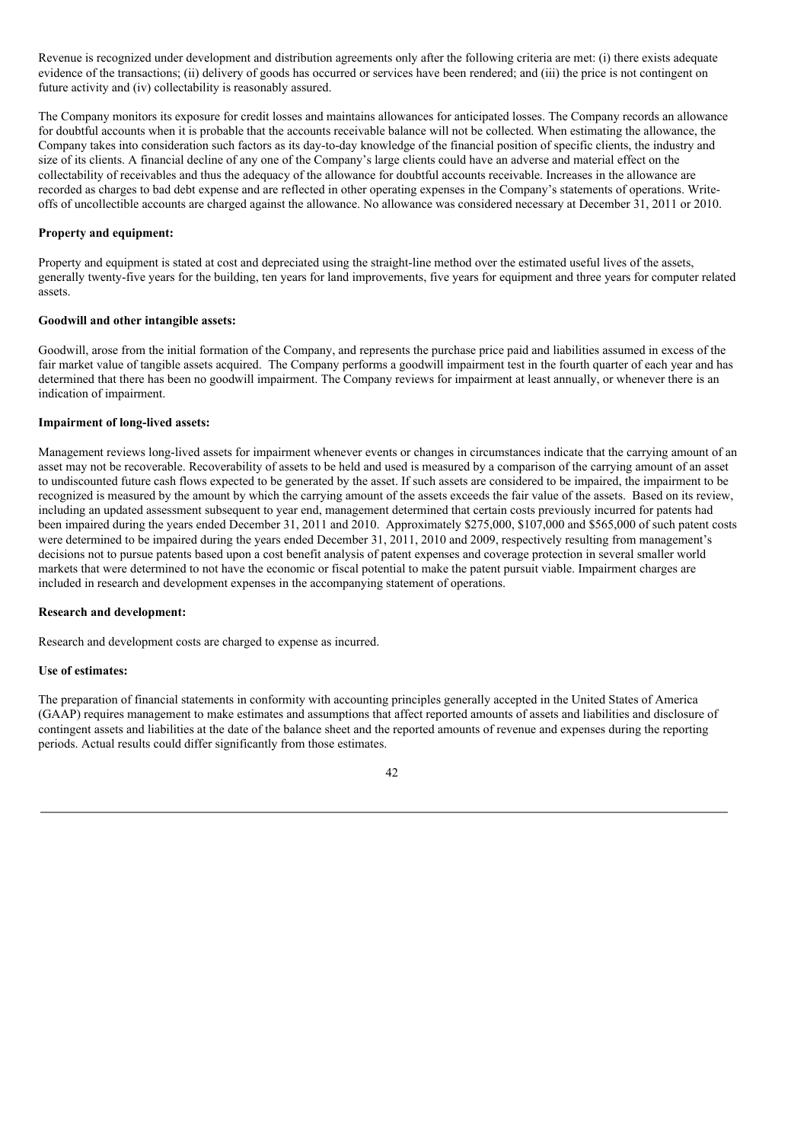Revenue is recognized under development and distribution agreements only after the following criteria are met: (i) there exists adequate evidence of the transactions; (ii) delivery of goods has occurred or services have been rendered; and (iii) the price is not contingent on future activity and (iv) collectability is reasonably assured.

The Company monitors its exposure for credit losses and maintains allowances for anticipated losses. The Company records an allowance for doubtful accounts when it is probable that the accounts receivable balance will not be collected. When estimating the allowance, the Company takes into consideration such factors as its day-to-day knowledge of the financial position of specific clients, the industry and size of its clients. A financial decline of any one of the Company's large clients could have an adverse and material effect on the collectability of receivables and thus the adequacy of the allowance for doubtful accounts receivable. Increases in the allowance are recorded as charges to bad debt expense and are reflected in other operating expenses in the Company's statements of operations. Writeoffs of uncollectible accounts are charged against the allowance. No allowance was considered necessary at December 31, 2011 or 2010.

## **Property and equipment:**

Property and equipment is stated at cost and depreciated using the straight-line method over the estimated useful lives of the assets, generally twenty-five years for the building, ten years for land improvements, five years for equipment and three years for computer related assets.

## **Goodwill and other intangible assets:**

Goodwill, arose from the initial formation of the Company, and represents the purchase price paid and liabilities assumed in excess of the fair market value of tangible assets acquired. The Company performs a goodwill impairment test in the fourth quarter of each year and has determined that there has been no goodwill impairment. The Company reviews for impairment at least annually, or whenever there is an indication of impairment.

## **Impairment of long-lived assets:**

Management reviews long-lived assets for impairment whenever events or changes in circumstances indicate that the carrying amount of an asset may not be recoverable. Recoverability of assets to be held and used is measured by a comparison of the carrying amount of an asset to undiscounted future cash flows expected to be generated by the asset. If such assets are considered to be impaired, the impairment to be recognized is measured by the amount by which the carrying amount of the assets exceeds the fair value of the assets. Based on its review, including an updated assessment subsequent to year end, management determined that certain costs previously incurred for patents had been impaired during the years ended December 31, 2011 and 2010. Approximately \$275,000, \$107,000 and \$565,000 of such patent costs were determined to be impaired during the years ended December 31, 2011, 2010 and 2009, respectively resulting from management's decisions not to pursue patents based upon a cost benefit analysis of patent expenses and coverage protection in several smaller world markets that were determined to not have the economic or fiscal potential to make the patent pursuit viable. Impairment charges are included in research and development expenses in the accompanying statement of operations.

#### **Research and development:**

Research and development costs are charged to expense as incurred.

#### **Use of estimates:**

The preparation of financial statements in conformity with accounting principles generally accepted in the United States of America (GAAP) requires management to make estimates and assumptions that affect reported amounts of assets and liabilities and disclosure of contingent assets and liabilities at the date of the balance sheet and the reported amounts of revenue and expenses during the reporting periods. Actual results could differ significantly from those estimates.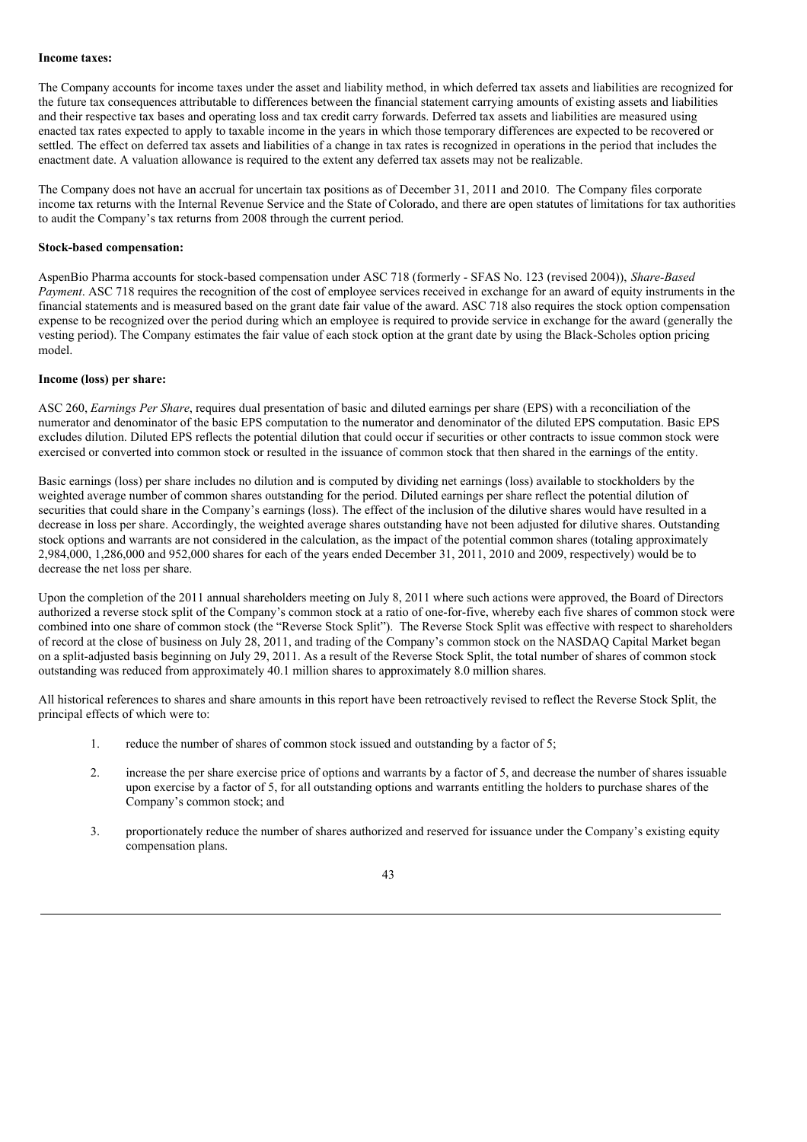### **Income taxes:**

The Company accounts for income taxes under the asset and liability method, in which deferred tax assets and liabilities are recognized for the future tax consequences attributable to differences between the financial statement carrying amounts of existing assets and liabilities and their respective tax bases and operating loss and tax credit carry forwards. Deferred tax assets and liabilities are measured using enacted tax rates expected to apply to taxable income in the years in which those temporary differences are expected to be recovered or settled. The effect on deferred tax assets and liabilities of a change in tax rates is recognized in operations in the period that includes the enactment date. A valuation allowance is required to the extent any deferred tax assets may not be realizable.

The Company does not have an accrual for uncertain tax positions as of December 31, 2011 and 2010. The Company files corporate income tax returns with the Internal Revenue Service and the State of Colorado, and there are open statutes of limitations for tax authorities to audit the Company's tax returns from 2008 through the current period.

#### **Stock-based compensation:**

AspenBio Pharma accounts for stock-based compensation under ASC 718 (formerly - SFAS No. 123 (revised 2004)), *Share-Based Payment*. ASC 718 requires the recognition of the cost of employee services received in exchange for an award of equity instruments in the financial statements and is measured based on the grant date fair value of the award. ASC 718 also requires the stock option compensation expense to be recognized over the period during which an employee is required to provide service in exchange for the award (generally the vesting period). The Company estimates the fair value of each stock option at the grant date by using the Black-Scholes option pricing model.

### **Income (loss) per share:**

ASC 260, *Earnings Per Share*, requires dual presentation of basic and diluted earnings per share (EPS) with a reconciliation of the numerator and denominator of the basic EPS computation to the numerator and denominator of the diluted EPS computation. Basic EPS excludes dilution. Diluted EPS reflects the potential dilution that could occur if securities or other contracts to issue common stock were exercised or converted into common stock or resulted in the issuance of common stock that then shared in the earnings of the entity.

Basic earnings (loss) per share includes no dilution and is computed by dividing net earnings (loss) available to stockholders by the weighted average number of common shares outstanding for the period. Diluted earnings per share reflect the potential dilution of securities that could share in the Company's earnings (loss). The effect of the inclusion of the dilutive shares would have resulted in a decrease in loss per share. Accordingly, the weighted average shares outstanding have not been adjusted for dilutive shares. Outstanding stock options and warrants are not considered in the calculation, as the impact of the potential common shares (totaling approximately 2,984,000, 1,286,000 and 952,000 shares for each of the years ended December 31, 2011, 2010 and 2009, respectively) would be to decrease the net loss per share.

Upon the completion of the 2011 annual shareholders meeting on July 8, 2011 where such actions were approved, the Board of Directors authorized a reverse stock split of the Company's common stock at a ratio of one-for-five, whereby each five shares of common stock were combined into one share of common stock (the "Reverse Stock Split"). The Reverse Stock Split was effective with respect to shareholders of record at the close of business on July 28, 2011, and trading of the Company's common stock on the NASDAQ Capital Market began on a split-adjusted basis beginning on July 29, 2011. As a result of the Reverse Stock Split, the total number of shares of common stock outstanding was reduced from approximately 40.1 million shares to approximately 8.0 million shares.

All historical references to shares and share amounts in this report have been retroactively revised to reflect the Reverse Stock Split, the principal effects of which were to:

- 1. reduce the number of shares of common stock issued and outstanding by a factor of 5;
- 2. increase the per share exercise price of options and warrants by a factor of 5, and decrease the number of shares issuable upon exercise by a factor of 5, for all outstanding options and warrants entitling the holders to purchase shares of the Company's common stock; and
- 3. proportionately reduce the number of shares authorized and reserved for issuance under the Company's existing equity compensation plans.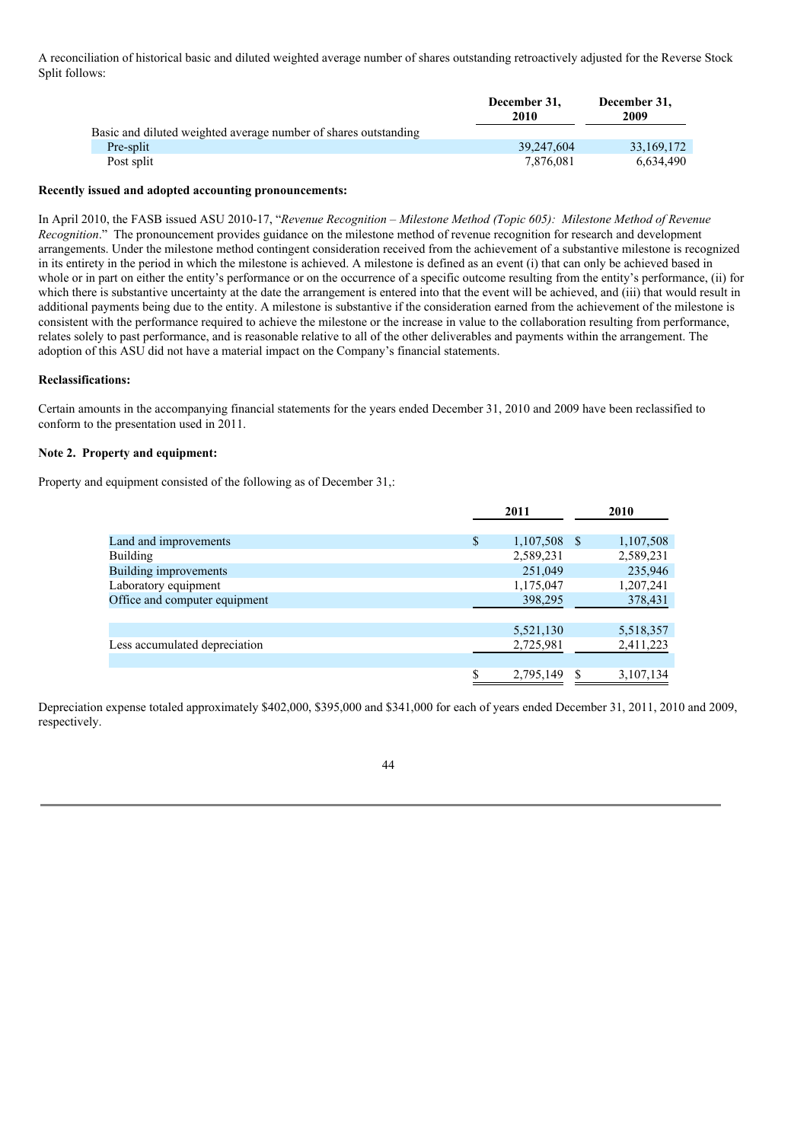A reconciliation of historical basic and diluted weighted average number of shares outstanding retroactively adjusted for the Reverse Stock Split follows:

|                                                                 | December 31,<br>2010 | December 31,<br>2009 |
|-----------------------------------------------------------------|----------------------|----------------------|
| Basic and diluted weighted average number of shares outstanding |                      |                      |
| Pre-split                                                       | 39.247.604           | 33,169,172           |
| Post split                                                      | 7.876.081            | 6.634.490            |

#### **Recently issued and adopted accounting pronouncements:**

In April 2010, the FASB issued ASU 2010-17, "*Revenue Recognition – Milestone Method (Topic 605): Milestone Method of Revenue Recognition*." The pronouncement provides guidance on the milestone method of revenue recognition for research and development arrangements. Under the milestone method contingent consideration received from the achievement of a substantive milestone is recognized in its entirety in the period in which the milestone is achieved. A milestone is defined as an event (i) that can only be achieved based in whole or in part on either the entity's performance or on the occurrence of a specific outcome resulting from the entity's performance, (ii) for which there is substantive uncertainty at the date the arrangement is entered into that the event will be achieved, and (iii) that would result in additional payments being due to the entity. A milestone is substantive if the consideration earned from the achievement of the milestone is consistent with the performance required to achieve the milestone or the increase in value to the collaboration resulting from performance, relates solely to past performance, and is reasonable relative to all of the other deliverables and payments within the arrangement. The adoption of this ASU did not have a material impact on the Company's financial statements.

#### **Reclassifications:**

Certain amounts in the accompanying financial statements for the years ended December 31, 2010 and 2009 have been reclassified to conform to the presentation used in 2011.

# **Note 2. Property and equipment:**

Property and equipment consisted of the following as of December 31,:

|                               | 2011            |      | 2010      |
|-------------------------------|-----------------|------|-----------|
| Land and improvements         | \$<br>1,107,508 | - \$ | 1,107,508 |
| <b>Building</b>               | 2,589,231       |      | 2,589,231 |
| <b>Building improvements</b>  | 251,049         |      | 235,946   |
| Laboratory equipment          | 1,175,047       |      | 1,207,241 |
| Office and computer equipment | 398,295         |      | 378,431   |
|                               |                 |      |           |
|                               | 5,521,130       |      | 5,518,357 |
| Less accumulated depreciation | 2,725,981       |      | 2,411,223 |
|                               |                 |      |           |
|                               | \$<br>2,795,149 | S    | 3,107,134 |

Depreciation expense totaled approximately \$402,000, \$395,000 and \$341,000 for each of years ended December 31, 2011, 2010 and 2009, respectively.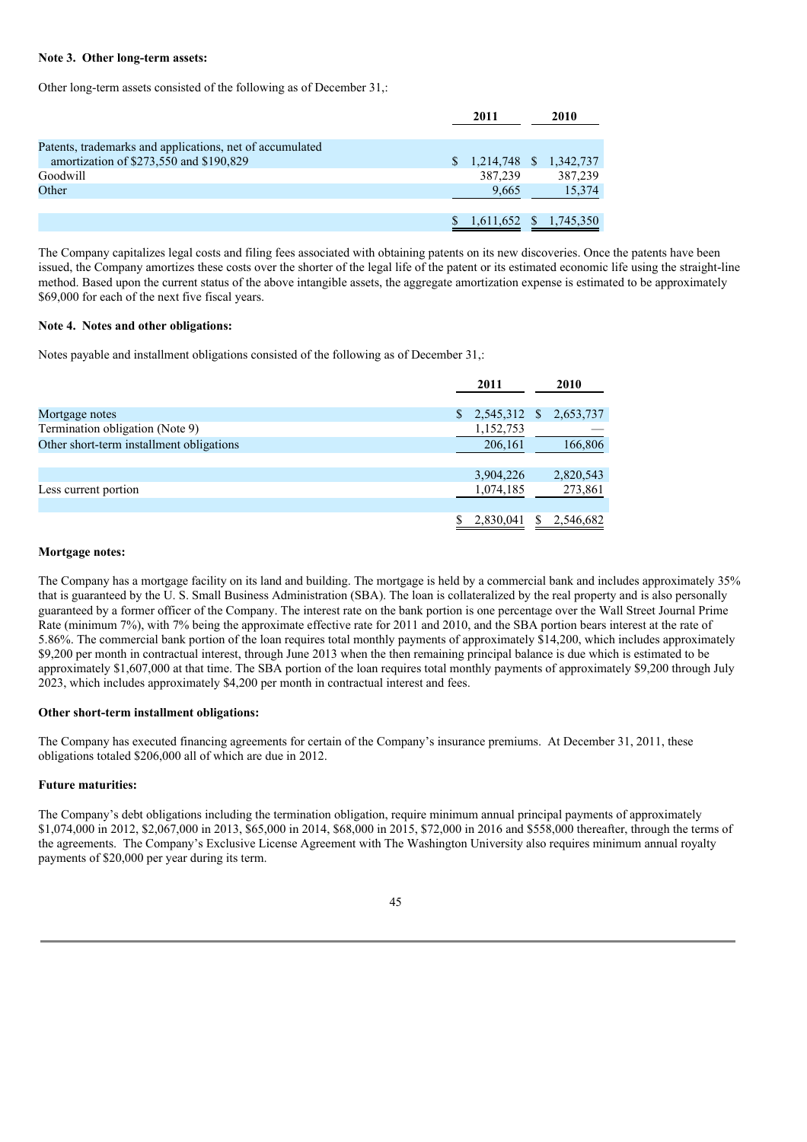### **Note 3. Other long-term assets:**

Other long-term assets consisted of the following as of December 31,:

|                                                          | 2011                      |  | 2010    |
|----------------------------------------------------------|---------------------------|--|---------|
| Patents, trademarks and applications, net of accumulated |                           |  |         |
| amortization of \$273,550 and \$190,829                  | $$1,214,748$ $$1,342,737$ |  |         |
| Goodwill                                                 | 387,239                   |  | 387,239 |
| Other                                                    | 9.665                     |  | 15,374  |
|                                                          |                           |  |         |
|                                                          | 1,611,652 \$ 1,745,350    |  |         |

The Company capitalizes legal costs and filing fees associated with obtaining patents on its new discoveries. Once the patents have been issued, the Company amortizes these costs over the shorter of the legal life of the patent or its estimated economic life using the straight-line method. Based upon the current status of the above intangible assets, the aggregate amortization expense is estimated to be approximately \$69,000 for each of the next five fiscal years.

### **Note 4. Notes and other obligations:**

Notes payable and installment obligations consisted of the following as of December 31,:

|                                          |    | 2011      |              | 2010      |
|------------------------------------------|----|-----------|--------------|-----------|
|                                          |    |           |              |           |
| Mortgage notes                           | S. | 2,545,312 | <sup>S</sup> | 2,653,737 |
| Termination obligation (Note 9)          |    | 1,152,753 |              |           |
| Other short-term installment obligations |    | 206,161   |              | 166,806   |
|                                          |    |           |              |           |
|                                          |    | 3,904,226 |              | 2,820,543 |
| Less current portion                     |    | 1,074,185 |              | 273,861   |
|                                          |    |           |              |           |
|                                          |    | 2,830,041 | S            | 2,546,682 |

#### **Mortgage notes:**

The Company has a mortgage facility on its land and building. The mortgage is held by a commercial bank and includes approximately 35% that is guaranteed by the U. S. Small Business Administration (SBA). The loan is collateralized by the real property and is also personally guaranteed by a former officer of the Company. The interest rate on the bank portion is one percentage over the Wall Street Journal Prime Rate (minimum 7%), with 7% being the approximate effective rate for 2011 and 2010, and the SBA portion bears interest at the rate of 5.86%. The commercial bank portion of the loan requires total monthly payments of approximately \$14,200, which includes approximately \$9,200 per month in contractual interest, through June 2013 when the then remaining principal balance is due which is estimated to be approximately \$1,607,000 at that time. The SBA portion of the loan requires total monthly payments of approximately \$9,200 through July 2023, which includes approximately \$4,200 per month in contractual interest and fees.

### **Other short-term installment obligations:**

The Company has executed financing agreements for certain of the Company's insurance premiums. At December 31, 2011, these obligations totaled \$206,000 all of which are due in 2012.

### **Future maturities:**

The Company's debt obligations including the termination obligation, require minimum annual principal payments of approximately \$1,074,000 in 2012, \$2,067,000 in 2013, \$65,000 in 2014, \$68,000 in 2015, \$72,000 in 2016 and \$558,000 thereafter, through the terms of the agreements. The Company's Exclusive License Agreement with The Washington University also requires minimum annual royalty payments of \$20,000 per year during its term.

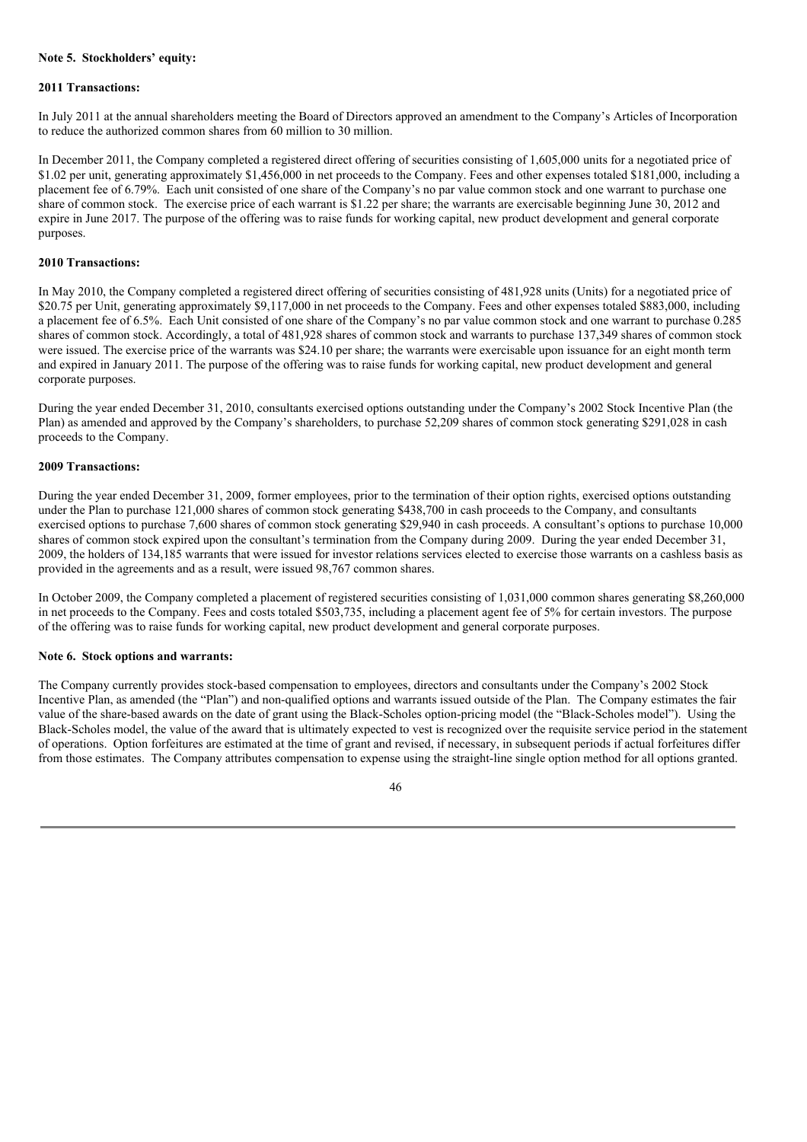### **Note 5. Stockholders' equity:**

#### **2011 Transactions:**

In July 2011 at the annual shareholders meeting the Board of Directors approved an amendment to the Company's Articles of Incorporation to reduce the authorized common shares from 60 million to 30 million.

In December 2011, the Company completed a registered direct offering of securities consisting of 1,605,000 units for a negotiated price of \$1.02 per unit, generating approximately \$1,456,000 in net proceeds to the Company. Fees and other expenses totaled \$181,000, including a placement fee of 6.79%. Each unit consisted of one share of the Company's no par value common stock and one warrant to purchase one share of common stock. The exercise price of each warrant is \$1.22 per share; the warrants are exercisable beginning June 30, 2012 and expire in June 2017. The purpose of the offering was to raise funds for working capital, new product development and general corporate purposes.

### **2010 Transactions:**

In May 2010, the Company completed a registered direct offering of securities consisting of 481,928 units (Units) for a negotiated price of \$20.75 per Unit, generating approximately \$9,117,000 in net proceeds to the Company. Fees and other expenses totaled \$883,000, including a placement fee of 6.5%. Each Unit consisted of one share of the Company's no par value common stock and one warrant to purchase 0.285 shares of common stock. Accordingly, a total of 481,928 shares of common stock and warrants to purchase 137,349 shares of common stock were issued. The exercise price of the warrants was \$24.10 per share; the warrants were exercisable upon issuance for an eight month term and expired in January 2011. The purpose of the offering was to raise funds for working capital, new product development and general corporate purposes.

During the year ended December 31, 2010, consultants exercised options outstanding under the Company's 2002 Stock Incentive Plan (the Plan) as amended and approved by the Company's shareholders, to purchase 52,209 shares of common stock generating \$291,028 in cash proceeds to the Company.

#### **2009 Transactions:**

During the year ended December 31, 2009, former employees, prior to the termination of their option rights, exercised options outstanding under the Plan to purchase 121,000 shares of common stock generating \$438,700 in cash proceeds to the Company, and consultants exercised options to purchase 7,600 shares of common stock generating \$29,940 in cash proceeds. A consultant's options to purchase 10,000 shares of common stock expired upon the consultant's termination from the Company during 2009. During the year ended December 31, 2009, the holders of 134,185 warrants that were issued for investor relations services elected to exercise those warrants on a cashless basis as provided in the agreements and as a result, were issued 98,767 common shares.

In October 2009, the Company completed a placement of registered securities consisting of 1,031,000 common shares generating \$8,260,000 in net proceeds to the Company. Fees and costs totaled \$503,735, including a placement agent fee of 5% for certain investors. The purpose of the offering was to raise funds for working capital, new product development and general corporate purposes.

### **Note 6. Stock options and warrants:**

The Company currently provides stock-based compensation to employees, directors and consultants under the Company's 2002 Stock Incentive Plan, as amended (the "Plan") and non-qualified options and warrants issued outside of the Plan. The Company estimates the fair value of the share-based awards on the date of grant using the Black-Scholes option-pricing model (the "Black-Scholes model"). Using the Black-Scholes model, the value of the award that is ultimately expected to vest is recognized over the requisite service period in the statement of operations. Option forfeitures are estimated at the time of grant and revised, if necessary, in subsequent periods if actual forfeitures differ from those estimates. The Company attributes compensation to expense using the straight-line single option method for all options granted.

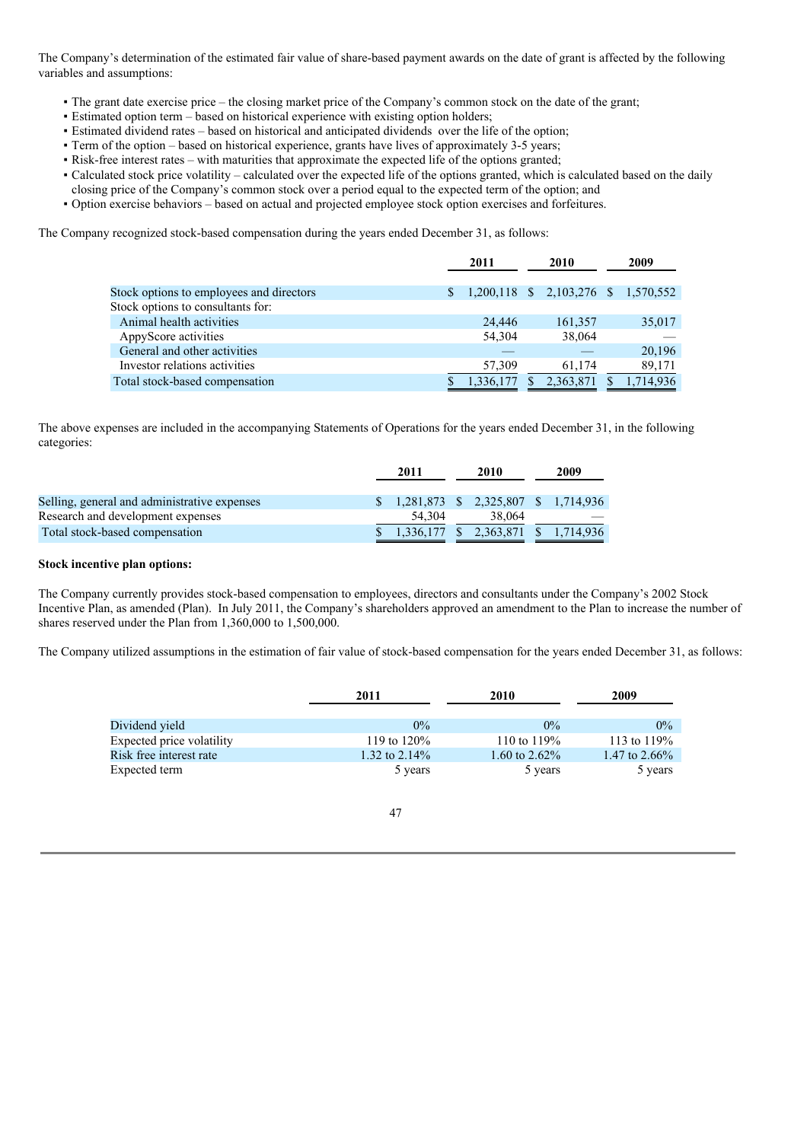The Company's determination of the estimated fair value of share-based payment awards on the date of grant is affected by the following variables and assumptions:

- The grant date exercise price the closing market price of the Company's common stock on the date of the grant;
- Estimated option term based on historical experience with existing option holders;
- Estimated dividend rates based on historical and anticipated dividends over the life of the option;
- **Term of the option based on historical experience, grants have lives of approximately 3-5 years;**
- Risk-free interest rates with maturities that approximate the expected life of the options granted;
- Calculated stock price volatility calculated over the expected life of the options granted, which is calculated based on the daily
- closing price of the Company's common stock over a period equal to the expected term of the option; and
- Option exercise behaviors based on actual and projected employee stock option exercises and forfeitures.

The Company recognized stock-based compensation during the years ended December 31, as follows:

|                                          | 2011 |                                     | 2010 |           | 2009      |
|------------------------------------------|------|-------------------------------------|------|-----------|-----------|
|                                          |      |                                     |      |           |           |
| Stock options to employees and directors |      | 1,200,118 \$ 2,103,276 \$ 1,570,552 |      |           |           |
| Stock options to consultants for:        |      |                                     |      |           |           |
| Animal health activities                 |      | 24,446                              |      | 161.357   | 35,017    |
| AppyScore activities                     |      | 54,304                              |      | 38,064    |           |
| General and other activities             |      |                                     |      |           | 20,196    |
| Investor relations activities            |      | 57,309                              |      | 61.174    | 89,171    |
| Total stock-based compensation           |      | 1,336,177                           |      | 2.363.871 | 1.714.936 |

The above expenses are included in the accompanying Statements of Operations for the years ended December 31, in the following categories:

|                                              | 2011                                           | 2010                   | 2009 |
|----------------------------------------------|------------------------------------------------|------------------------|------|
| Selling, general and administrative expenses | $$1,281,873 \quad $2,325,807 \quad $1,714,936$ |                        |      |
| Research and development expenses            | 54.304                                         | 38,064                 |      |
| Total stock-based compensation               | 1.336.177                                      | 2,363,871 \$ 1,714,936 |      |

### **Stock incentive plan options:**

The Company currently provides stock-based compensation to employees, directors and consultants under the Company's 2002 Stock Incentive Plan, as amended (Plan). In July 2011, the Company's shareholders approved an amendment to the Plan to increase the number of shares reserved under the Plan from 1,360,000 to 1,500,000.

The Company utilized assumptions in the estimation of fair value of stock-based compensation for the years ended December 31, as follows:

|                           | 2011             | 2010             | 2009             |
|---------------------------|------------------|------------------|------------------|
| Dividend yield            | $0\%$            | $0\%$            | $0\%$            |
| Expected price volatility | 119 to $120\%$   | 110 to $119\%$   | 113 to $119\%$   |
| Risk free interest rate   | 1.32 to $2.14\%$ | 1.60 to $2.62\%$ | 1.47 to $2.66\%$ |
| Expected term             | 5 years          | 5 years          | 5 years          |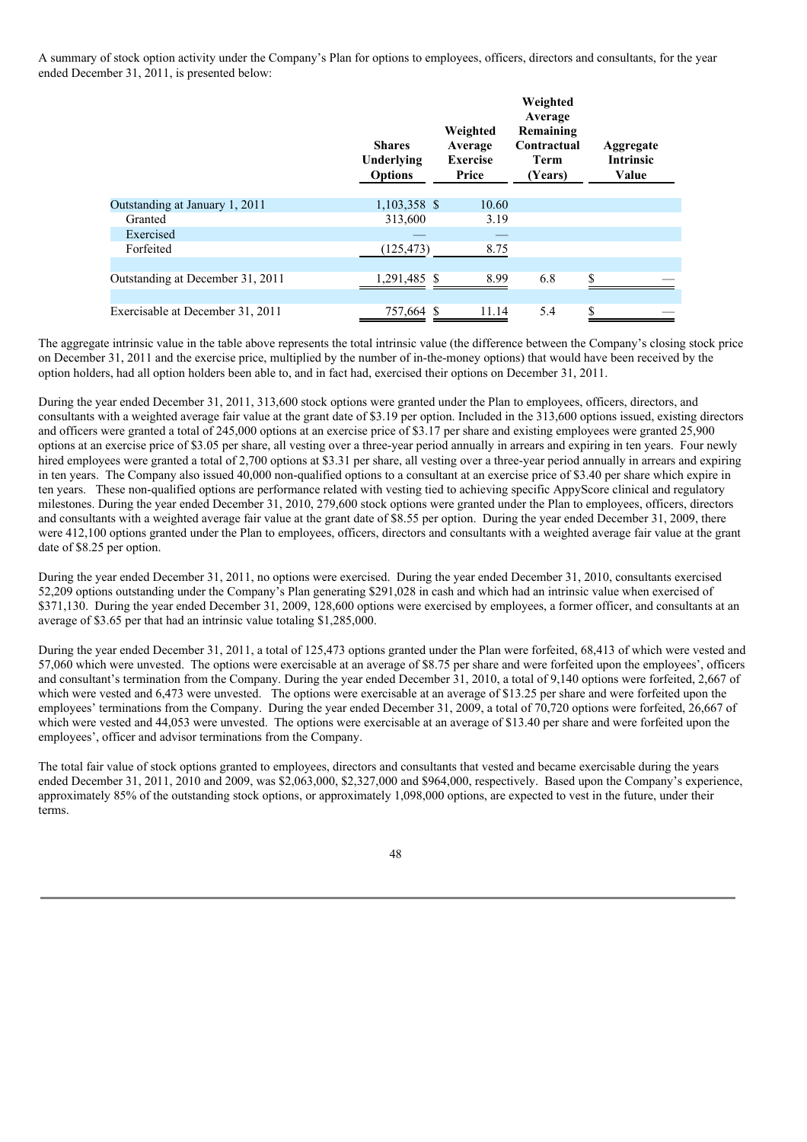A summary of stock option activity under the Company's Plan for options to employees, officers, directors and consultants, for the year ended December 31, 2011, is presented below:

|                                  | <b>Shares</b><br>Underlying<br><b>Options</b> | Weighted<br>Average<br><b>Exercise</b><br>Price | Weighted<br>Average<br>Remaining<br>Contractual<br><b>Term</b><br>(Years) | Aggregate<br><b>Intrinsic</b><br>Value |  |
|----------------------------------|-----------------------------------------------|-------------------------------------------------|---------------------------------------------------------------------------|----------------------------------------|--|
| Outstanding at January 1, 2011   | 1,103,358 \$                                  | 10.60                                           |                                                                           |                                        |  |
| Granted                          | 313,600                                       | 3.19                                            |                                                                           |                                        |  |
| Exercised                        |                                               |                                                 |                                                                           |                                        |  |
| Forfeited                        | (125, 473)                                    | 8.75                                            |                                                                           |                                        |  |
|                                  |                                               |                                                 |                                                                           |                                        |  |
| Outstanding at December 31, 2011 | 1,291,485 \$                                  | 8.99                                            | 6.8                                                                       | \$                                     |  |
| Exercisable at December 31, 2011 | 757,664 \$                                    | 11.14                                           | 5.4                                                                       | \$                                     |  |

The aggregate intrinsic value in the table above represents the total intrinsic value (the difference between the Company's closing stock price on December 31, 2011 and the exercise price, multiplied by the number of in-the-money options) that would have been received by the option holders, had all option holders been able to, and in fact had, exercised their options on December 31, 2011.

During the year ended December 31, 2011, 313,600 stock options were granted under the Plan to employees, officers, directors, and consultants with a weighted average fair value at the grant date of \$3.19 per option. Included in the 313,600 options issued, existing directors and officers were granted a total of 245,000 options at an exercise price of \$3.17 per share and existing employees were granted 25,900 options at an exercise price of \$3.05 per share, all vesting over a three-year period annually in arrears and expiring in ten years. Four newly hired employees were granted a total of 2,700 options at \$3.31 per share, all vesting over a three-year period annually in arrears and expiring in ten years. The Company also issued 40,000 non-qualified options to a consultant at an exercise price of \$3.40 per share which expire in ten years. These non-qualified options are performance related with vesting tied to achieving specific AppyScore clinical and regulatory milestones. During the year ended December 31, 2010, 279,600 stock options were granted under the Plan to employees, officers, directors and consultants with a weighted average fair value at the grant date of \$8.55 per option. During the year ended December 31, 2009, there were 412,100 options granted under the Plan to employees, officers, directors and consultants with a weighted average fair value at the grant date of \$8.25 per option.

During the year ended December 31, 2011, no options were exercised. During the year ended December 31, 2010, consultants exercised 52,209 options outstanding under the Company's Plan generating \$291,028 in cash and which had an intrinsic value when exercised of \$371,130. During the year ended December 31, 2009, 128,600 options were exercised by employees, a former officer, and consultants at an average of \$3.65 per that had an intrinsic value totaling \$1,285,000.

During the year ended December 31, 2011, a total of 125,473 options granted under the Plan were forfeited, 68,413 of which were vested and 57,060 which were unvested. The options were exercisable at an average of \$8.75 per share and were forfeited upon the employees', officers and consultant's termination from the Company. During the year ended December 31, 2010, a total of 9,140 options were forfeited, 2,667 of which were vested and 6,473 were unvested. The options were exercisable at an average of \$13.25 per share and were forfeited upon the employees' terminations from the Company. During the year ended December 31, 2009, a total of 70,720 options were forfeited, 26,667 of which were vested and 44,053 were unvested. The options were exercisable at an average of \$13.40 per share and were forfeited upon the employees', officer and advisor terminations from the Company.

The total fair value of stock options granted to employees, directors and consultants that vested and became exercisable during the years ended December 31, 2011, 2010 and 2009, was \$2,063,000, \$2,327,000 and \$964,000, respectively. Based upon the Company's experience, approximately 85% of the outstanding stock options, or approximately 1,098,000 options, are expected to vest in the future, under their terms.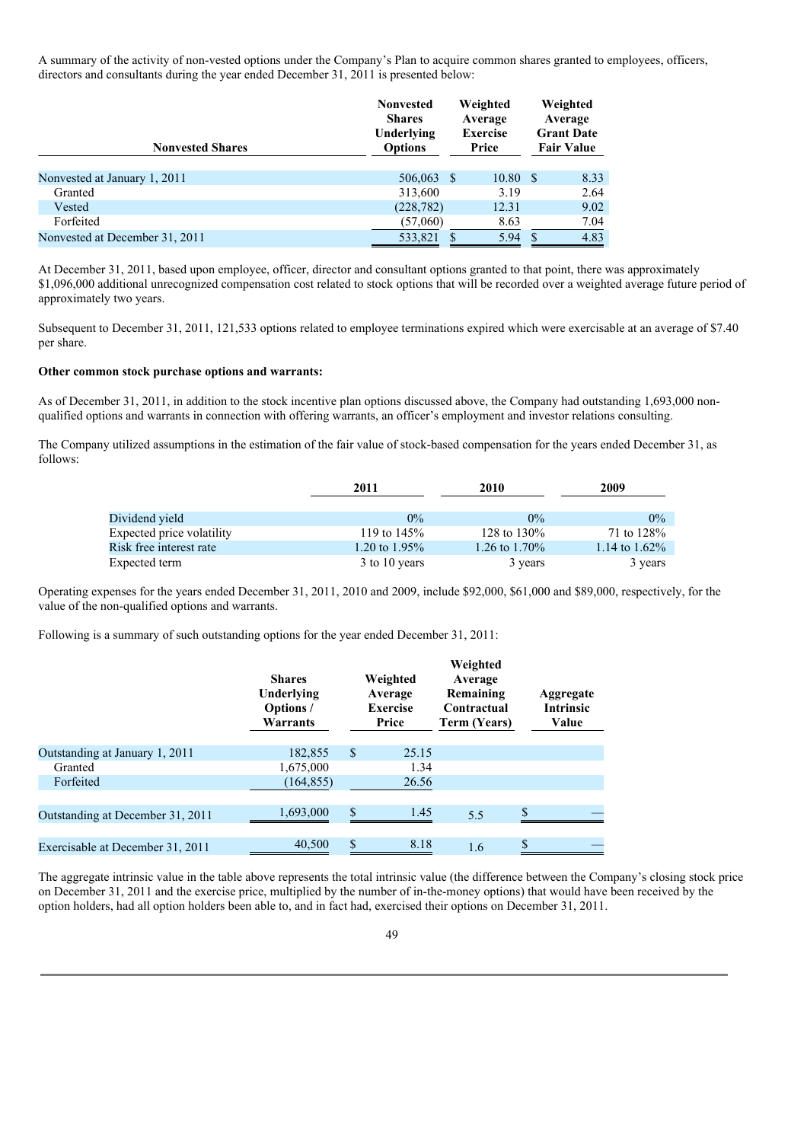A summary of the activity of non-vested options under the Company's Plan to acquire common shares granted to employees, officers, directors and consultants during the year ended December 31, 2011 is presented below:

| <b>Nonvested Shares</b>        | <b>Nonvested</b><br><b>Shares</b><br>Underlying<br><b>Options</b> | Weighted<br>Average<br><b>Exercise</b><br>Price | Weighted<br>Average<br><b>Grant Date</b><br><b>Fair Value</b> |      |
|--------------------------------|-------------------------------------------------------------------|-------------------------------------------------|---------------------------------------------------------------|------|
| Nonvested at January 1, 2011   | 506,063                                                           | 10.80<br>- \$                                   | - \$                                                          | 8.33 |
| Granted                        | 313,600                                                           | 3.19                                            |                                                               | 2.64 |
| Vested                         | (228, 782)                                                        | 12.31                                           |                                                               | 9.02 |
| Forfeited                      | (57,060)                                                          | 8.63                                            |                                                               | 7.04 |
| Nonvested at December 31, 2011 | 533,821                                                           | 5.94                                            | -S                                                            | 4.83 |

At December 31, 2011, based upon employee, officer, director and consultant options granted to that point, there was approximately \$1,096,000 additional unrecognized compensation cost related to stock options that will be recorded over a weighted average future period of approximately two years.

Subsequent to December 31, 2011, 121,533 options related to employee terminations expired which were exercisable at an average of \$7.40 per share.

#### **Other common stock purchase options and warrants:**

As of December 31, 2011, in addition to the stock incentive plan options discussed above, the Company had outstanding 1,693,000 nonqualified options and warrants in connection with offering warrants, an officer's employment and investor relations consulting.

The Company utilized assumptions in the estimation of the fair value of stock-based compensation for the years ended December 31, as follows:

|                           | 2011             | 2010           |                  |
|---------------------------|------------------|----------------|------------------|
|                           |                  |                |                  |
| Dividend yield            | $0\%$            | $0\%$          | $0\%$            |
| Expected price volatility | 119 to $145%$    | 128 to $130\%$ | 71 to 128%       |
| Risk free interest rate   | 1.20 to $1.95\%$ | 1.26 to 1.70\% | 1.14 to $1.62\%$ |
| Expected term             | 3 to 10 years    | 3 years        | 3 years          |

Operating expenses for the years ended December 31, 2011, 2010 and 2009, include \$92,000, \$61,000 and \$89,000, respectively, for the value of the non-qualified options and warrants.

Following is a summary of such outstanding options for the year ended December 31, 2011:

|                                  | <b>Shares</b><br>Underlying<br>Options /<br>Warrants | Weighted<br>Average<br><b>Exercise</b><br>Price | Weighted<br>Average<br>Remaining<br>Contractual<br>Term (Years) | Aggregate<br><b>Intrinsic</b><br>Value |
|----------------------------------|------------------------------------------------------|-------------------------------------------------|-----------------------------------------------------------------|----------------------------------------|
| Outstanding at January 1, 2011   | 182,855                                              | \$<br>25.15                                     |                                                                 |                                        |
| Granted                          | 1,675,000                                            | 1.34                                            |                                                                 |                                        |
| Forfeited                        | (164, 855)                                           | 26.56                                           |                                                                 |                                        |
| Outstanding at December 31, 2011 | 1,693,000                                            | \$<br>1.45                                      | 5.5                                                             | \$                                     |
| Exercisable at December 31, 2011 | 40,500                                               | \$<br>8.18                                      | 1.6                                                             | \$                                     |

The aggregate intrinsic value in the table above represents the total intrinsic value (the difference between the Company's closing stock price on December 31, 2011 and the exercise price, multiplied by the number of in-the-money options) that would have been received by the option holders, had all option holders been able to, and in fact had, exercised their options on December 31, 2011.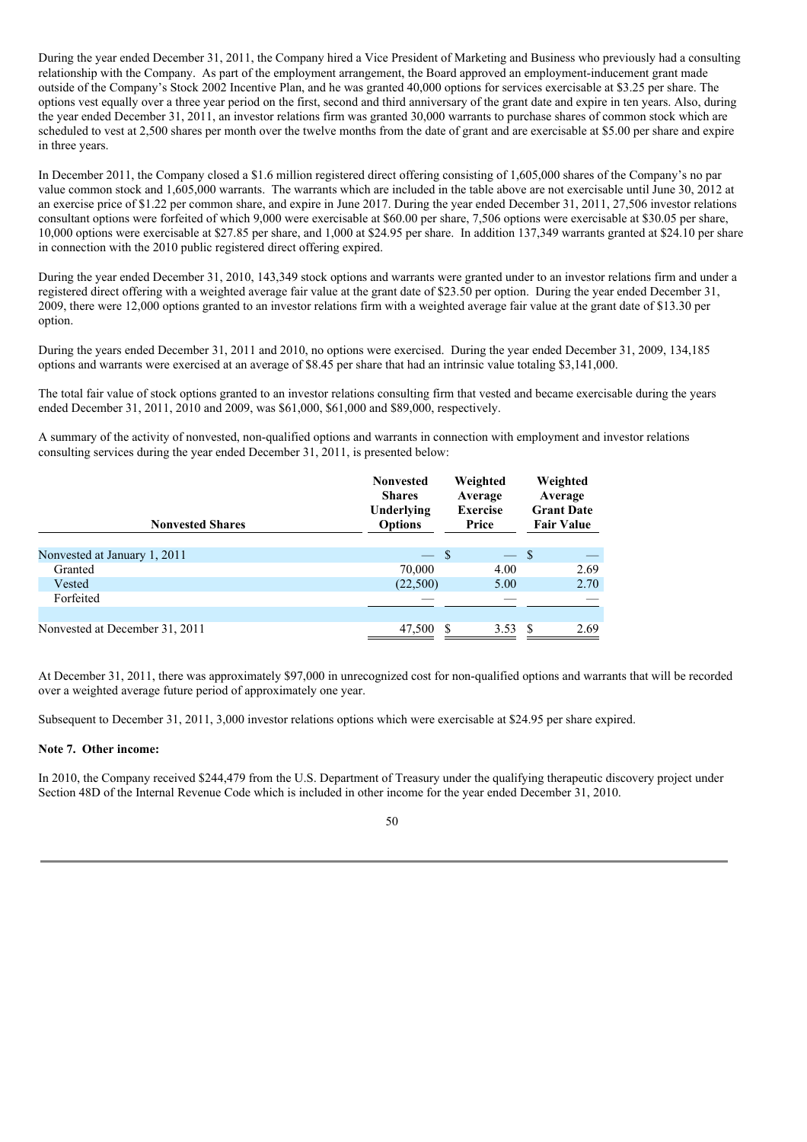During the year ended December 31, 2011, the Company hired a Vice President of Marketing and Business who previously had a consulting relationship with the Company. As part of the employment arrangement, the Board approved an employment-inducement grant made outside of the Company's Stock 2002 Incentive Plan, and he was granted 40,000 options for services exercisable at \$3.25 per share. The options vest equally over a three year period on the first, second and third anniversary of the grant date and expire in ten years. Also, during the year ended December 31, 2011, an investor relations firm was granted 30,000 warrants to purchase shares of common stock which are scheduled to vest at 2,500 shares per month over the twelve months from the date of grant and are exercisable at \$5.00 per share and expire in three years.

In December 2011, the Company closed a \$1.6 million registered direct offering consisting of 1,605,000 shares of the Company's no par value common stock and 1,605,000 warrants. The warrants which are included in the table above are not exercisable until June 30, 2012 at an exercise price of \$1.22 per common share, and expire in June 2017. During the year ended December 31, 2011, 27,506 investor relations consultant options were forfeited of which 9,000 were exercisable at \$60.00 per share, 7,506 options were exercisable at \$30.05 per share, 10,000 options were exercisable at \$27.85 per share, and 1,000 at \$24.95 per share. In addition 137,349 warrants granted at \$24.10 per share in connection with the 2010 public registered direct offering expired.

During the year ended December 31, 2010, 143,349 stock options and warrants were granted under to an investor relations firm and under a registered direct offering with a weighted average fair value at the grant date of \$23.50 per option. During the year ended December 31, 2009, there were 12,000 options granted to an investor relations firm with a weighted average fair value at the grant date of \$13.30 per option.

During the years ended December 31, 2011 and 2010, no options were exercised. During the year ended December 31, 2009, 134,185 options and warrants were exercised at an average of \$8.45 per share that had an intrinsic value totaling \$3,141,000.

The total fair value of stock options granted to an investor relations consulting firm that vested and became exercisable during the years ended December 31, 2011, 2010 and 2009, was \$61,000, \$61,000 and \$89,000, respectively.

A summary of the activity of nonvested, non-qualified options and warrants in connection with employment and investor relations consulting services during the year ended December 31, 2011, is presented below:

| <b>Nonvested Shares</b>        | <b>Nonvested</b><br><b>Shares</b><br>Underlying<br><b>Options</b> | Weighted<br>Average<br><b>Exercise</b><br>Price | Weighted<br>Average<br><b>Grant Date</b><br><b>Fair Value</b> |
|--------------------------------|-------------------------------------------------------------------|-------------------------------------------------|---------------------------------------------------------------|
| Nonvested at January 1, 2011   | $-$ \$                                                            | $-$ \$                                          |                                                               |
| Granted                        | 70,000                                                            | 4.00                                            | 2.69                                                          |
| Vested                         | (22,500)                                                          | 5.00                                            | 2.70                                                          |
| Forfeited                      |                                                                   |                                                 |                                                               |
|                                |                                                                   |                                                 |                                                               |
| Nonvested at December 31, 2011 | 47,500                                                            | 3.53                                            | 2.69                                                          |

At December 31, 2011, there was approximately \$97,000 in unrecognized cost for non-qualified options and warrants that will be recorded over a weighted average future period of approximately one year.

Subsequent to December 31, 2011, 3,000 investor relations options which were exercisable at \$24.95 per share expired.

### **Note 7. Other income:**

In 2010, the Company received \$244,479 from the U.S. Department of Treasury under the qualifying therapeutic discovery project under Section 48D of the Internal Revenue Code which is included in other income for the year ended December 31, 2010.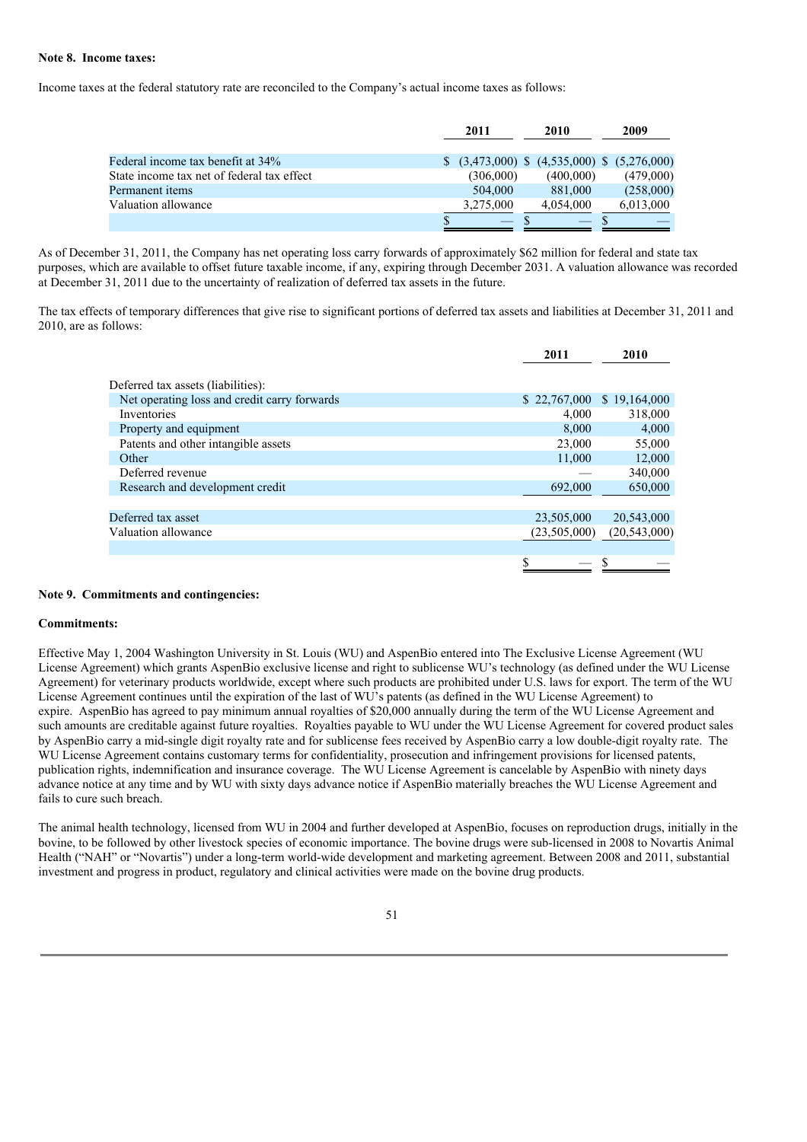### **Note 8. Income taxes:**

Income taxes at the federal statutory rate are reconciled to the Company's actual income taxes as follows:

|                                            | 2011 |           | 2010 |                                               | 2009 |           |
|--------------------------------------------|------|-----------|------|-----------------------------------------------|------|-----------|
| Federal income tax benefit at 34%          |      |           |      | $$$ (3,473,000) \$ (4,535,000) \$ (5,276,000) |      |           |
| State income tax net of federal tax effect |      | (306,000) |      | (400.000)                                     |      | (479,000) |
| Permanent items                            |      | 504,000   |      | 881,000                                       |      | (258,000) |
| Valuation allowance                        |      | 3,275,000 |      | 4,054,000                                     |      | 6,013,000 |
|                                            |      |           |      |                                               |      |           |

As of December 31, 2011, the Company has net operating loss carry forwards of approximately \$62 million for federal and state tax purposes, which are available to offset future taxable income, if any, expiring through December 2031. A valuation allowance was recorded at December 31, 2011 due to the uncertainty of realization of deferred tax assets in the future.

The tax effects of temporary differences that give rise to significant portions of deferred tax assets and liabilities at December 31, 2011 and 2010, are as follows:

|                                              | 2011         | 2010           |
|----------------------------------------------|--------------|----------------|
| Deferred tax assets (liabilities):           |              |                |
| Net operating loss and credit carry forwards | \$22,767,000 | \$19,164,000   |
| Inventories                                  | 4,000        | 318,000        |
| Property and equipment                       | 8,000        | 4,000          |
| Patents and other intangible assets          | 23,000       | 55,000         |
| Other                                        | 11,000       | 12,000         |
| Deferred revenue                             |              | 340,000        |
| Research and development credit              | 692,000      | 650,000        |
|                                              |              |                |
| Deferred tax asset                           | 23,505,000   | 20,543,000     |
| Valuation allowance                          | (23,505,000) | (20, 543, 000) |
|                                              |              |                |
|                                              | S            |                |
|                                              |              |                |

#### **Note 9. Commitments and contingencies:**

### **Commitments:**

Effective May 1, 2004 Washington University in St. Louis (WU) and AspenBio entered into The Exclusive License Agreement (WU License Agreement) which grants AspenBio exclusive license and right to sublicense WU's technology (as defined under the WU License Agreement) for veterinary products worldwide, except where such products are prohibited under U.S. laws for export. The term of the WU License Agreement continues until the expiration of the last of WU's patents (as defined in the WU License Agreement) to expire. AspenBio has agreed to pay minimum annual royalties of \$20,000 annually during the term of the WU License Agreement and such amounts are creditable against future royalties. Royalties payable to WU under the WU License Agreement for covered product sales by AspenBio carry a mid-single digit royalty rate and for sublicense fees received by AspenBio carry a low double-digit royalty rate. The WU License Agreement contains customary terms for confidentiality, prosecution and infringement provisions for licensed patents, publication rights, indemnification and insurance coverage. The WU License Agreement is cancelable by AspenBio with ninety days advance notice at any time and by WU with sixty days advance notice if AspenBio materially breaches the WU License Agreement and fails to cure such breach.

The animal health technology, licensed from WU in 2004 and further developed at AspenBio, focuses on reproduction drugs, initially in the bovine, to be followed by other livestock species of economic importance. The bovine drugs were sub-licensed in 2008 to Novartis Animal Health ("NAH" or "Novartis") under a long-term world-wide development and marketing agreement. Between 2008 and 2011, substantial investment and progress in product, regulatory and clinical activities were made on the bovine drug products.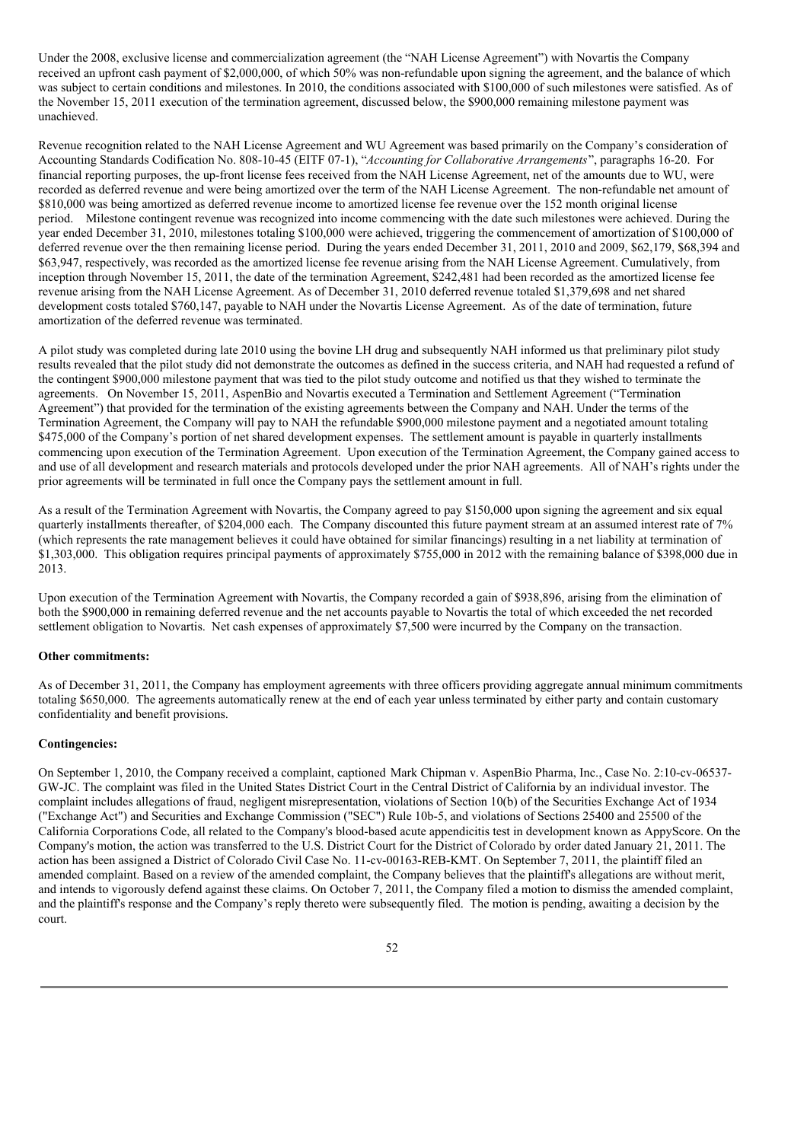Under the 2008, exclusive license and commercialization agreement (the "NAH License Agreement") with Novartis the Company received an upfront cash payment of \$2,000,000, of which 50% was non-refundable upon signing the agreement, and the balance of which was subject to certain conditions and milestones. In 2010, the conditions associated with \$100,000 of such milestones were satisfied. As of the November 15, 2011 execution of the termination agreement, discussed below, the \$900,000 remaining milestone payment was unachieved.

Revenue recognition related to the NAH License Agreement and WU Agreement was based primarily on the Company's consideration of Accounting Standards Codification No. 808-10-45 (EITF 07-1), "*Accounting for Collaborative Arrangements*", paragraphs 16-20. For financial reporting purposes, the up-front license fees received from the NAH License Agreement, net of the amounts due to WU, were recorded as deferred revenue and were being amortized over the term of the NAH License Agreement. The non-refundable net amount of \$810,000 was being amortized as deferred revenue income to amortized license fee revenue over the 152 month original license period. Milestone contingent revenue was recognized into income commencing with the date such milestones were achieved. During the year ended December 31, 2010, milestones totaling \$100,000 were achieved, triggering the commencement of amortization of \$100,000 of deferred revenue over the then remaining license period. During the years ended December 31, 2011, 2010 and 2009, \$62,179, \$68,394 and \$63,947, respectively, was recorded as the amortized license fee revenue arising from the NAH License Agreement. Cumulatively, from inception through November 15, 2011, the date of the termination Agreement, \$242,481 had been recorded as the amortized license fee revenue arising from the NAH License Agreement. As of December 31, 2010 deferred revenue totaled \$1,379,698 and net shared development costs totaled \$760,147, payable to NAH under the Novartis License Agreement. As of the date of termination, future amortization of the deferred revenue was terminated.

A pilot study was completed during late 2010 using the bovine LH drug and subsequently NAH informed us that preliminary pilot study results revealed that the pilot study did not demonstrate the outcomes as defined in the success criteria, and NAH had requested a refund of the contingent \$900,000 milestone payment that was tied to the pilot study outcome and notified us that they wished to terminate the agreements. On November 15, 2011, AspenBio and Novartis executed a Termination and Settlement Agreement ("Termination Agreement") that provided for the termination of the existing agreements between the Company and NAH. Under the terms of the Termination Agreement, the Company will pay to NAH the refundable \$900,000 milestone payment and a negotiated amount totaling \$475,000 of the Company's portion of net shared development expenses. The settlement amount is payable in quarterly installments commencing upon execution of the Termination Agreement. Upon execution of the Termination Agreement, the Company gained access to and use of all development and research materials and protocols developed under the prior NAH agreements. All of NAH's rights under the prior agreements will be terminated in full once the Company pays the settlement amount in full.

As a result of the Termination Agreement with Novartis, the Company agreed to pay \$150,000 upon signing the agreement and six equal quarterly installments thereafter, of \$204,000 each. The Company discounted this future payment stream at an assumed interest rate of 7% (which represents the rate management believes it could have obtained for similar financings) resulting in a net liability at termination of \$1,303,000. This obligation requires principal payments of approximately \$755,000 in 2012 with the remaining balance of \$398,000 due in 2013.

Upon execution of the Termination Agreement with Novartis, the Company recorded a gain of \$938,896, arising from the elimination of both the \$900,000 in remaining deferred revenue and the net accounts payable to Novartis the total of which exceeded the net recorded settlement obligation to Novartis. Net cash expenses of approximately \$7,500 were incurred by the Company on the transaction.

### **Other commitments:**

As of December 31, 2011, the Company has employment agreements with three officers providing aggregate annual minimum commitments totaling \$650,000. The agreements automatically renew at the end of each year unless terminated by either party and contain customary confidentiality and benefit provisions.

### **Contingencies:**

On September 1, 2010, the Company received a complaint, captioned Mark Chipman v. AspenBio Pharma, Inc., Case No. 2:10-cv-06537- GW-JC. The complaint was filed in the United States District Court in the Central District of California by an individual investor. The complaint includes allegations of fraud, negligent misrepresentation, violations of Section 10(b) of the Securities Exchange Act of 1934 ("Exchange Act") and Securities and Exchange Commission ("SEC") Rule 10b-5, and violations of Sections 25400 and 25500 of the California Corporations Code, all related to the Company's blood-based acute appendicitis test in development known as AppyScore. On the Company's motion, the action was transferred to the U.S. District Court for the District of Colorado by order dated January 21, 2011. The action has been assigned a District of Colorado Civil Case No. 11-cv-00163-REB-KMT. On September 7, 2011, the plaintiff filed an amended complaint. Based on a review of the amended complaint, the Company believes that the plaintiff's allegations are without merit, and intends to vigorously defend against these claims. On October 7, 2011, the Company filed a motion to dismiss the amended complaint, and the plaintiff's response and the Company's reply thereto were subsequently filed. The motion is pending, awaiting a decision by the court.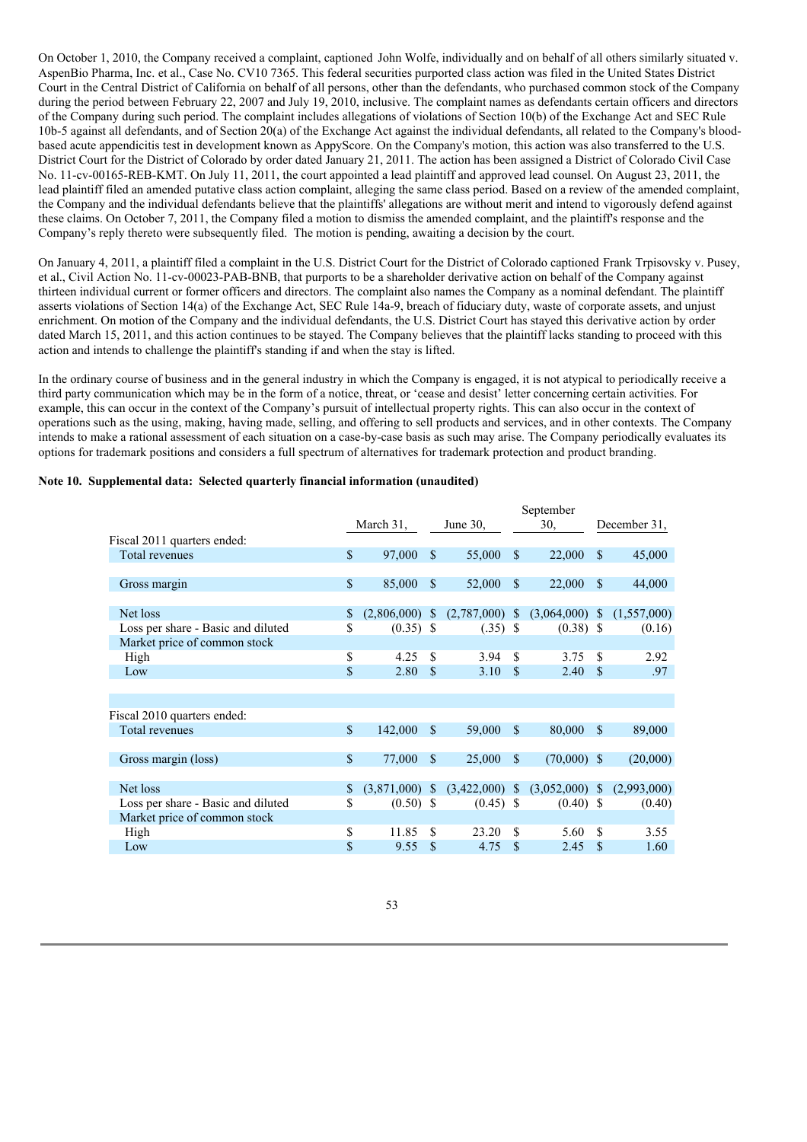On October 1, 2010, the Company received a complaint, captioned John Wolfe, individually and on behalf of all others similarly situated v. AspenBio Pharma, Inc. et al., Case No. CV10 7365. This federal securities purported class action was filed in the United States District Court in the Central District of California on behalf of all persons, other than the defendants, who purchased common stock of the Company during the period between February 22, 2007 and July 19, 2010, inclusive. The complaint names as defendants certain officers and directors of the Company during such period. The complaint includes allegations of violations of Section 10(b) of the Exchange Act and SEC Rule 10b-5 against all defendants, and of Section 20(a) of the Exchange Act against the individual defendants, all related to the Company's bloodbased acute appendicitis test in development known as AppyScore. On the Company's motion, this action was also transferred to the U.S. District Court for the District of Colorado by order dated January 21, 2011. The action has been assigned a District of Colorado Civil Case No. 11-cv-00165-REB-KMT. On July 11, 2011, the court appointed a lead plaintiff and approved lead counsel. On August 23, 2011, the lead plaintiff filed an amended putative class action complaint, alleging the same class period. Based on a review of the amended complaint, the Company and the individual defendants believe that the plaintiffs' allegations are without merit and intend to vigorously defend against these claims. On October 7, 2011, the Company filed a motion to dismiss the amended complaint, and the plaintiff's response and the Company's reply thereto were subsequently filed. The motion is pending, awaiting a decision by the court.

On January 4, 2011, a plaintiff filed a complaint in the U.S. District Court for the District of Colorado captioned Frank Trpisovsky v. Pusey, et al., Civil Action No. 11-cv-00023-PAB-BNB, that purports to be a shareholder derivative action on behalf of the Company against thirteen individual current or former officers and directors. The complaint also names the Company as a nominal defendant. The plaintiff asserts violations of Section 14(a) of the Exchange Act, SEC Rule 14a-9, breach of fiduciary duty, waste of corporate assets, and unjust enrichment. On motion of the Company and the individual defendants, the U.S. District Court has stayed this derivative action by order dated March 15, 2011, and this action continues to be stayed. The Company believes that the plaintiff lacks standing to proceed with this action and intends to challenge the plaintiff's standing if and when the stay is lifted.

In the ordinary course of business and in the general industry in which the Company is engaged, it is not atypical to periodically receive a third party communication which may be in the form of a notice, threat, or 'cease and desist' letter concerning certain activities. For example, this can occur in the context of the Company's pursuit of intellectual property rights. This can also occur in the context of operations such as the using, making, having made, selling, and offering to sell products and services, and in other contexts. The Company intends to make a rational assessment of each situation on a case-by-case basis as such may arise. The Company periodically evaluates its options for trademark positions and considers a full spectrum of alternatives for trademark protection and product branding.

| Note 10. Supplemental data: Selected quarterly financial information (unaudited) |  |  |  |  |  |
|----------------------------------------------------------------------------------|--|--|--|--|--|
|----------------------------------------------------------------------------------|--|--|--|--|--|

|                                    |              | March 31,        | June $30$ ,   |                  | September<br>30, |                  | December 31,  |             |
|------------------------------------|--------------|------------------|---------------|------------------|------------------|------------------|---------------|-------------|
| Fiscal 2011 quarters ended:        |              |                  |               |                  |                  |                  |               |             |
| Total revenues                     | \$           | 97,000           | $\mathcal{S}$ | 55,000           | $\mathcal{S}$    | 22,000           | $\mathcal{S}$ | 45,000      |
|                                    |              |                  |               |                  |                  |                  |               |             |
| Gross margin                       | $\mathbb{S}$ | 85,000           | $\mathbb{S}$  | 52,000           | <sup>\$</sup>    | 22,000           | <sup>\$</sup> | 44,000      |
|                                    |              |                  |               |                  |                  |                  |               |             |
| Net loss                           | \$           | $(2,806,000)$ \$ |               | $(2,787,000)$ \$ |                  | $(3,064,000)$ \$ |               | (1,557,000) |
| Loss per share - Basic and diluted | \$           | $(0.35)$ \$      |               | $(.35)$ \$       |                  | $(0.38)$ \$      |               | (0.16)      |
| Market price of common stock       |              |                  |               |                  |                  |                  |               |             |
| High                               | \$           | 4.25             | \$.           | 3.94             | <sup>\$</sup>    | 3.75             | \$.           | 2.92        |
| Low                                | $\mathbf{s}$ | 2.80             | \$.           | 3.10             | $\mathcal{S}$    | 2.40             | $\mathcal{S}$ | .97         |
|                                    |              |                  |               |                  |                  |                  |               |             |
|                                    |              |                  |               |                  |                  |                  |               |             |
| Fiscal 2010 quarters ended:        |              |                  |               |                  |                  |                  |               |             |
| Total revenues                     | \$           | 142,000          | <sup>\$</sup> | 59,000           | $\mathcal{S}$    | 80,000           | $\mathcal{S}$ | 89,000      |
|                                    |              |                  |               |                  |                  |                  |               |             |
| Gross margin (loss)                | $\mathbb{S}$ | 77,000           | \$            | 25,000           | $\mathbf S$      | (70,000)         | <sup>\$</sup> | (20,000)    |
|                                    |              |                  |               |                  |                  |                  |               |             |
| Net loss                           | \$           | $(3,871,000)$ \$ |               | $(3,422,000)$ \$ |                  | $(3,052,000)$ \$ |               | (2,993,000) |
| Loss per share - Basic and diluted | \$           | $(0.50)$ \$      |               | $(0.45)$ \$      |                  | $(0.40)$ \$      |               | (0.40)      |
| Market price of common stock       |              |                  |               |                  |                  |                  |               |             |
| High                               | \$           | 11.85            | \$.           | 23.20            | \$.              | 5.60             | \$            | 3.55        |
| Low                                | \$           | 9.55             | \$            | 4.75             | \$               | 2.45             | \$            | 1.60        |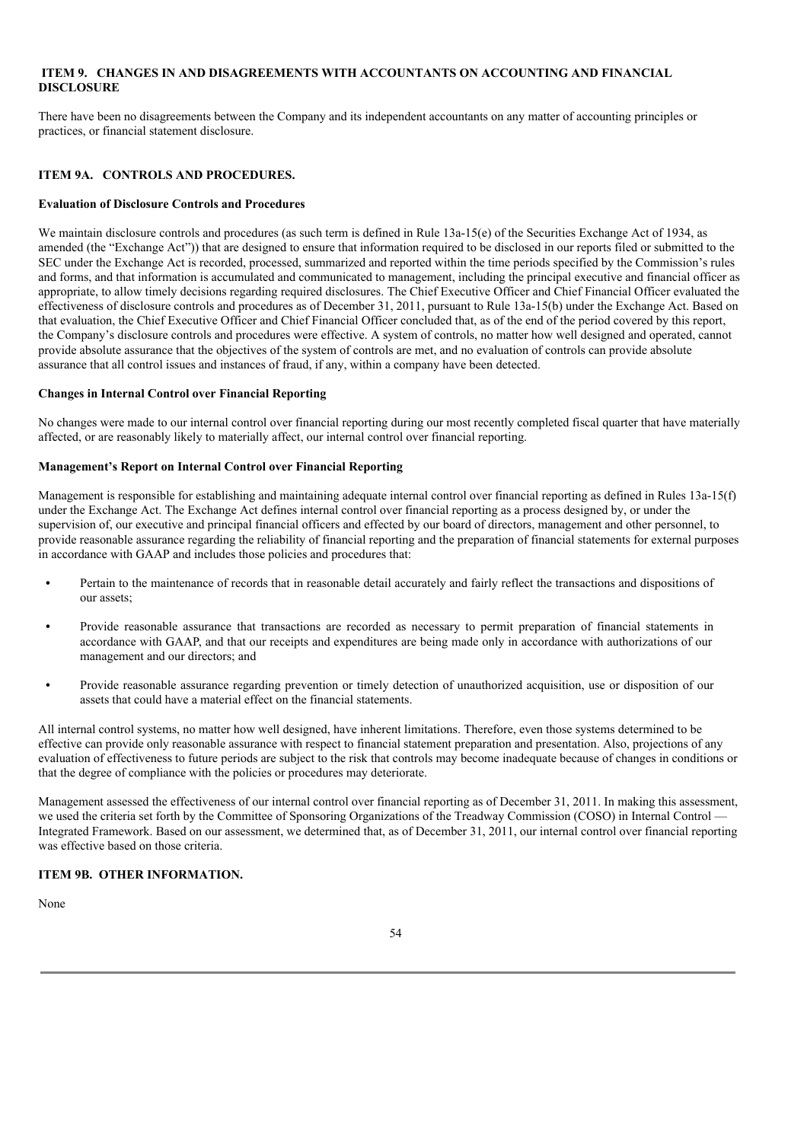## **ITEM 9. CHANGES IN AND DISAGREEMENTS WITH ACCOUNTANTS ON ACCOUNTING AND FINANCIAL DISCLOSURE**

There have been no disagreements between the Company and its independent accountants on any matter of accounting principles or practices, or financial statement disclosure.

## **ITEM 9A. CONTROLS AND PROCEDURES.**

#### **Evaluation of Disclosure Controls and Procedures**

We maintain disclosure controls and procedures (as such term is defined in Rule 13a-15(e) of the Securities Exchange Act of 1934, as amended (the "Exchange Act")) that are designed to ensure that information required to be disclosed in our reports filed or submitted to the SEC under the Exchange Act is recorded, processed, summarized and reported within the time periods specified by the Commission's rules and forms, and that information is accumulated and communicated to management, including the principal executive and financial officer as appropriate, to allow timely decisions regarding required disclosures. The Chief Executive Officer and Chief Financial Officer evaluated the effectiveness of disclosure controls and procedures as of December 31, 2011, pursuant to Rule 13a-15(b) under the Exchange Act. Based on that evaluation, the Chief Executive Officer and Chief Financial Officer concluded that, as of the end of the period covered by this report, the Company's disclosure controls and procedures were effective. A system of controls, no matter how well designed and operated, cannot provide absolute assurance that the objectives of the system of controls are met, and no evaluation of controls can provide absolute assurance that all control issues and instances of fraud, if any, within a company have been detected.

## **Changes in Internal Control over Financial Reporting**

No changes were made to our internal control over financial reporting during our most recently completed fiscal quarter that have materially affected, or are reasonably likely to materially affect, our internal control over financial reporting.

#### **Management's Report on Internal Control over Financial Reporting**

Management is responsible for establishing and maintaining adequate internal control over financial reporting as defined in Rules 13a-15(f) under the Exchange Act. The Exchange Act defines internal control over financial reporting as a process designed by, or under the supervision of, our executive and principal financial officers and effected by our board of directors, management and other personnel, to provide reasonable assurance regarding the reliability of financial reporting and the preparation of financial statements for external purposes in accordance with GAAP and includes those policies and procedures that:

- **•** Pertain to the maintenance of records that in reasonable detail accurately and fairly reflect the transactions and dispositions of our assets;
- **•** Provide reasonable assurance that transactions are recorded as necessary to permit preparation of financial statements in accordance with GAAP, and that our receipts and expenditures are being made only in accordance with authorizations of our management and our directors; and
- **•** Provide reasonable assurance regarding prevention or timely detection of unauthorized acquisition, use or disposition of our assets that could have a material effect on the financial statements.

All internal control systems, no matter how well designed, have inherent limitations. Therefore, even those systems determined to be effective can provide only reasonable assurance with respect to financial statement preparation and presentation. Also, projections of any evaluation of effectiveness to future periods are subject to the risk that controls may become inadequate because of changes in conditions or that the degree of compliance with the policies or procedures may deteriorate.

Management assessed the effectiveness of our internal control over financial reporting as of December 31, 2011. In making this assessment, we used the criteria set forth by the Committee of Sponsoring Organizations of the Treadway Commission (COSO) in Internal Control — Integrated Framework. Based on our assessment, we determined that, as of December 31, 2011, our internal control over financial reporting was effective based on those criteria.

# **ITEM 9B. OTHER INFORMATION.**

None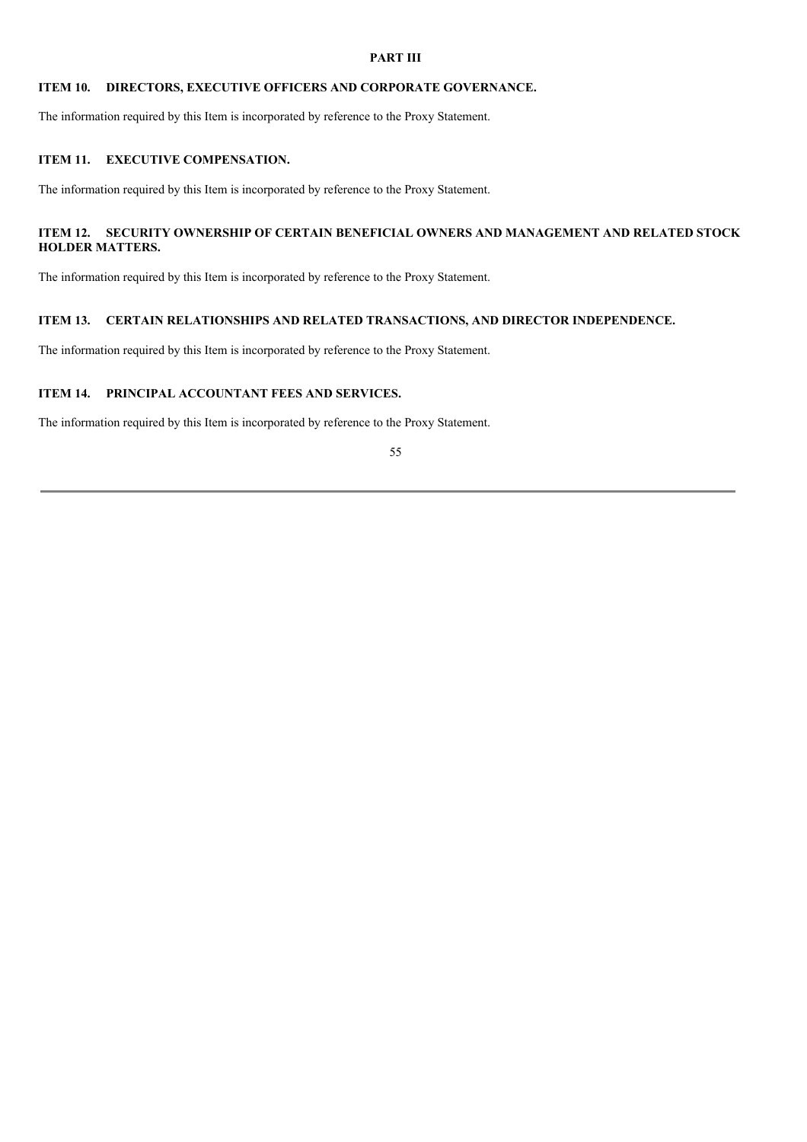## **PART III**

# **ITEM 10. DIRECTORS, EXECUTIVE OFFICERS AND CORPORATE GOVERNANCE.**

The information required by this Item is incorporated by reference to the Proxy Statement.

## **ITEM 11. EXECUTIVE COMPENSATION.**

The information required by this Item is incorporated by reference to the Proxy Statement.

# **ITEM 12. SECURITY OWNERSHIP OF CERTAIN BENEFICIAL OWNERS AND MANAGEMENT AND RELATED STOCK HOLDER MATTERS.**

The information required by this Item is incorporated by reference to the Proxy Statement.

# **ITEM 13. CERTAIN RELATIONSHIPS AND RELATED TRANSACTIONS, AND DIRECTOR INDEPENDENCE.**

The information required by this Item is incorporated by reference to the Proxy Statement.

# **ITEM 14. PRINCIPAL ACCOUNTANT FEES AND SERVICES.**

The information required by this Item is incorporated by reference to the Proxy Statement.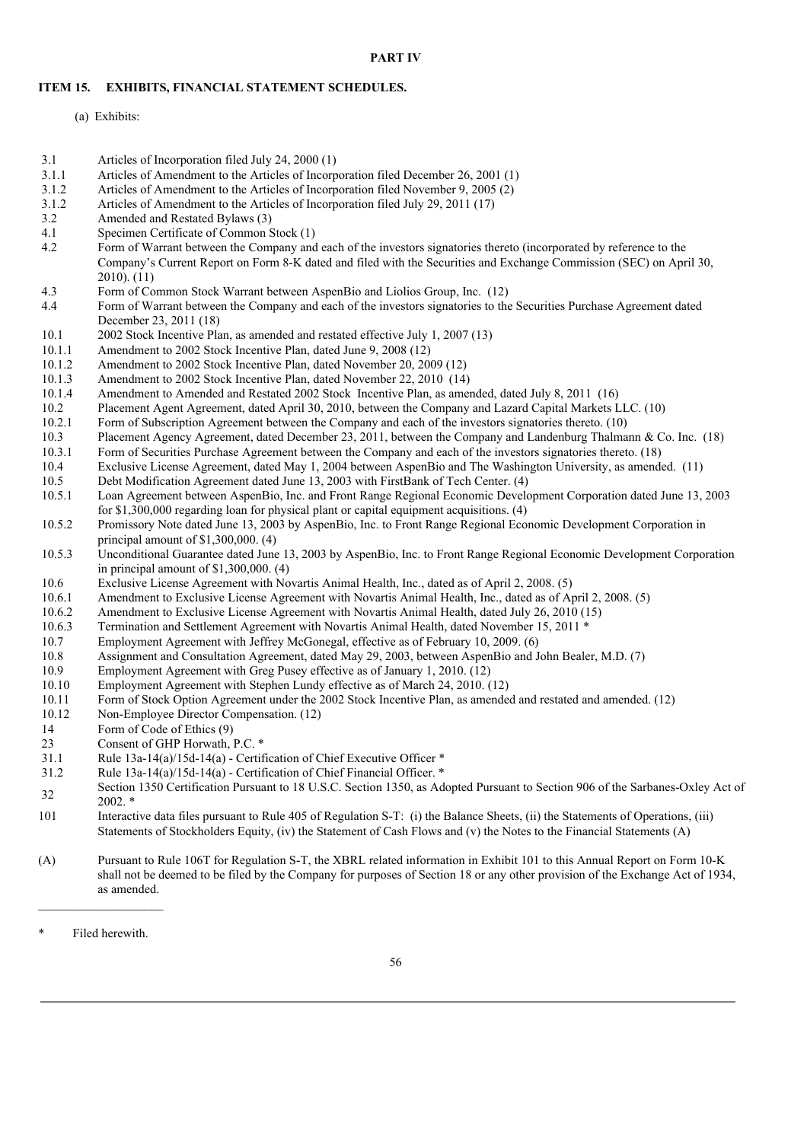### **PART IV**

### **ITEM 15. EXHIBITS, FINANCIAL STATEMENT SCHEDULES.**

- (a) Exhibits:
- 3.1 Articles of Incorporation filed July 24, 2000 (1)
- 3.1.1 Articles of Amendment to the Articles of Incorporation filed December 26, 2001 (1)
- 3.1.2 Articles of Amendment to the Articles of Incorporation filed November 9, 2005 (2)
- 3.1.2 Articles of Amendment to the Articles of Incorporation filed July 29, 2011 (17)<br>3.2 Amended and Restated Bylaws (3)
- Amended and Restated Bylaws (3)
- 4.1 Specimen Certificate of Common Stock (1)
- 4.2 Form of Warrant between the Company and each of the investors signatories thereto (incorporated by reference to the Company's Current Report on Form 8-K dated and filed with the Securities and Exchange Commission (SEC) on April 30, 2010). (11)
- 4.3 Form of Common Stock Warrant between AspenBio and Liolios Group, Inc. (12)
- 4.4 Form of Warrant between the Company and each of the investors signatories to the Securities Purchase Agreement dated December 23, 2011 (18)
- 10.1 2002 Stock Incentive Plan, as amended and restated effective July 1, 2007 (13)
- 10.1.1 Amendment to 2002 Stock Incentive Plan, dated June 9, 2008 (12)
- 10.1.2 Amendment to 2002 Stock Incentive Plan, dated November 20, 2009 (12)
- 10.1.3 Amendment to 2002 Stock Incentive Plan, dated November 22, 2010 (14) 10.1.4 Amendment to Amended and Restated 2002 Stock Incentive Plan, as amen
- Amendment to Amended and Restated 2002 Stock Incentive Plan, as amended, dated July 8, 2011 (16)
- 10.2 Placement Agent Agreement, dated April 30, 2010, between the Company and Lazard Capital Markets LLC. (10)
- 10.2.1 Form of Subscription Agreement between the Company and each of the investors signatories thereto. (10)
- 10.3 Placement Agency Agreement, dated December 23, 2011, between the Company and Landenburg Thalmann & Co. Inc. (18)
- 10.3.1 Form of Securities Purchase Agreement between the Company and each of the investors signatories thereto. (18)
- 10.4 Exclusive License Agreement, dated May 1, 2004 between AspenBio and The Washington University, as amended. (11) 10.5 Debt Modification Agreement dated June 13, 2003 with FirstBank of Tech Center. (4)
- Debt Modification Agreement dated June 13, 2003 with FirstBank of Tech Center. (4)
- 10.5.1 Loan Agreement between AspenBio, Inc. and Front Range Regional Economic Development Corporation dated June 13, 2003 for \$1,300,000 regarding loan for physical plant or capital equipment acquisitions. (4)
- 10.5.2 Promissory Note dated June 13, 2003 by AspenBio, Inc. to Front Range Regional Economic Development Corporation in principal amount of \$1,300,000. (4)
- 10.5.3 Unconditional Guarantee dated June 13, 2003 by AspenBio, Inc. to Front Range Regional Economic Development Corporation in principal amount of \$1,300,000. (4)
- 10.6 Exclusive License Agreement with Novartis Animal Health, Inc., dated as of April 2, 2008. (5)
- 10.6.1 Amendment to Exclusive License Agreement with Novartis Animal Health, Inc., dated as of April 2, 2008. (5)
- 10.6.2 Amendment to Exclusive License Agreement with Novartis Animal Health, dated July 26, 2010 (15)
- 10.6.3 Termination and Settlement Agreement with Novartis Animal Health, dated November 15, 2011 \*
- 10.7 Employment Agreement with Jeffrey McGonegal, effective as of February 10, 2009. (6)
- 10.8 Assignment and Consultation Agreement, dated May 29, 2003, between AspenBio and John Bealer, M.D. (7)
- 10.9 Employment Agreement with Greg Pusey effective as of January 1, 2010. (12)
- 10.10 Employment Agreement with Stephen Lundy effective as of March 24, 2010. (12)
- 10.11 Form of Stock Option Agreement under the 2002 Stock Incentive Plan, as amended and restated and amended. (12)
- 10.12 Non-Employee Director Compensation. (12)
- 14 Form of Code of Ethics (9)
- 23 Consent of GHP Horwath, P.C. \*
- 31.1 Rule 13a-14(a)/15d-14(a) Certification of Chief Executive Officer \*
- 31.2 Rule 13a-14(a)/15d-14(a) Certification of Chief Financial Officer. \*
- 32 Section 1350 Certification Pursuant to 18 U.S.C. Section 1350, as Adopted Pursuant to Section 906 of the Sarbanes-Oxley Act of 2002. \*
- 101 Interactive data files pursuant to Rule 405 of Regulation S-T: (i) the Balance Sheets, (ii) the Statements of Operations, (iii) Statements of Stockholders Equity, (iv) the Statement of Cash Flows and (v) the Notes to the Financial Statements (A)
- (A) Pursuant to Rule 106T for Regulation S-T, the XBRL related information in Exhibit 101 to this Annual Report on Form 10-K shall not be deemed to be filed by the Company for purposes of Section 18 or any other provision of the Exchange Act of 1934, as amended.

Filed herewith.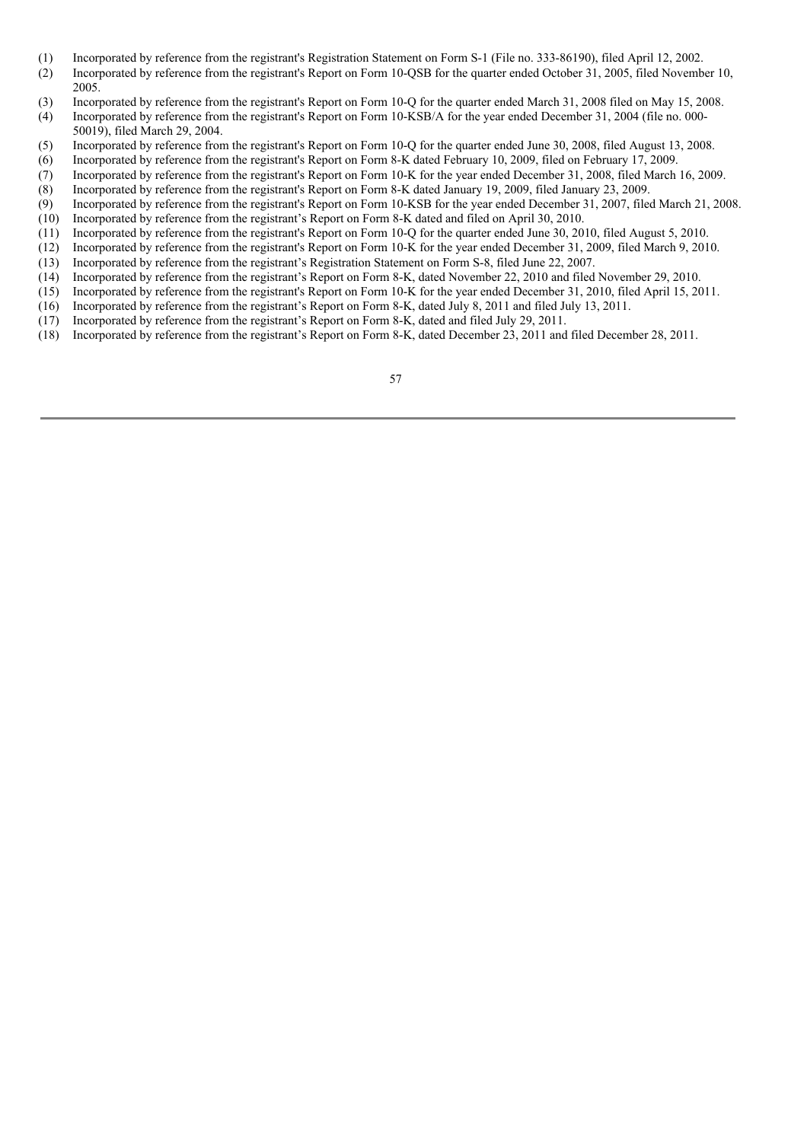- (1) Incorporated by reference from the registrant's Registration Statement on Form S-1 (File no. 333-86190), filed April 12, 2002.
- (2) Incorporated by reference from the registrant's Report on Form 10-QSB for the quarter ended October 31, 2005, filed November 10, 2005.
- (3) Incorporated by reference from the registrant's Report on Form 10-Q for the quarter ended March 31, 2008 filed on May 15, 2008.
- (4) Incorporated by reference from the registrant's Report on Form 10-KSB/A for the year ended December 31, 2004 (file no. 000- 50019), filed March 29, 2004.
- (5) Incorporated by reference from the registrant's Report on Form 10-Q for the quarter ended June 30, 2008, filed August 13, 2008.
- (6) Incorporated by reference from the registrant's Report on Form 8-K dated February 10, 2009, filed on February 17, 2009.
- (7) Incorporated by reference from the registrant's Report on Form 10-K for the year ended December 31, 2008, filed March 16, 2009.
- (8) Incorporated by reference from the registrant's Report on Form 8-K dated January 19, 2009, filed January 23, 2009.
- (9) Incorporated by reference from the registrant's Report on Form 10-KSB for the year ended December 31, 2007, filed March 21, 2008. (10) Incorporated by reference from the registrant's Report on Form 8-K dated and filed on April 30, 2010.
- (11) Incorporated by reference from the registrant's Report on Form 10-Q for the quarter ended June 30, 2010, filed August 5, 2010.
- (12) Incorporated by reference from the registrant's Report on Form 10-K for the year ended December 31, 2009, filed March 9, 2010.
- (13) Incorporated by reference from the registrant's Registration Statement on Form S-8, filed June 22, 2007.
- (14) Incorporated by reference from the registrant's Report on Form 8-K, dated November 22, 2010 and filed November 29, 2010.
- (15) Incorporated by reference from the registrant's Report on Form 10-K for the year ended December 31, 2010, filed April 15, 2011.
- (16) Incorporated by reference from the registrant's Report on Form 8-K, dated July 8, 2011 and filed July 13, 2011.
- (17) Incorporated by reference from the registrant's Report on Form 8-K, dated and filed July 29, 2011.
- (18) Incorporated by reference from the registrant's Report on Form 8-K, dated December 23, 2011 and filed December 28, 2011.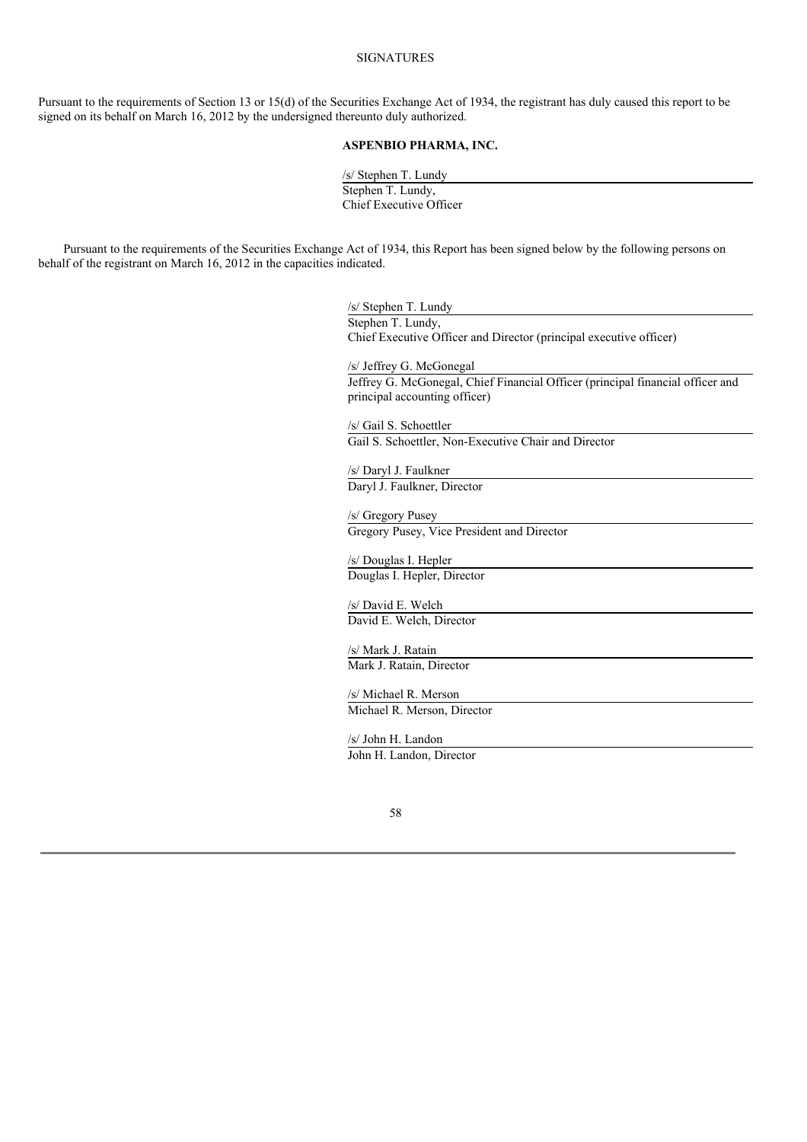## SIGNATURES

Pursuant to the requirements of Section 13 or 15(d) of the Securities Exchange Act of 1934, the registrant has duly caused this report to be signed on its behalf on March 16, 2012 by the undersigned thereunto duly authorized.

## **ASPENBIO PHARMA, INC.**

/s/ Stephen T. Lundy Stephen T. Lundy, Chief Executive Officer

Pursuant to the requirements of the Securities Exchange Act of 1934, this Report has been signed below by the following persons on behalf of the registrant on March 16, 2012 in the capacities indicated.

> /s/ Stephen T. Lundy Stephen T. Lundy, Chief Executive Officer and Director (principal executive officer) /s/ Jeffrey G. McGonegal Jeffrey G. McGonegal, Chief Financial Officer (principal financial officer and principal accounting officer) /s/ Gail S. Schoettler Gail S. Schoettler, Non-Executive Chair and Director /s/ Daryl J. Faulkner Daryl J. Faulkner, Director /s/ Gregory Pusey Gregory Pusey, Vice President and Director

/s/ Douglas I. Hepler Douglas I. Hepler, Director

/s/ David E. Welch David E. Welch, Director

/s/ Mark J. Ratain Mark J. Ratain, Director

/s/ Michael R. Merson Michael R. Merson, Director

/s/ John H. Landon John H. Landon, Director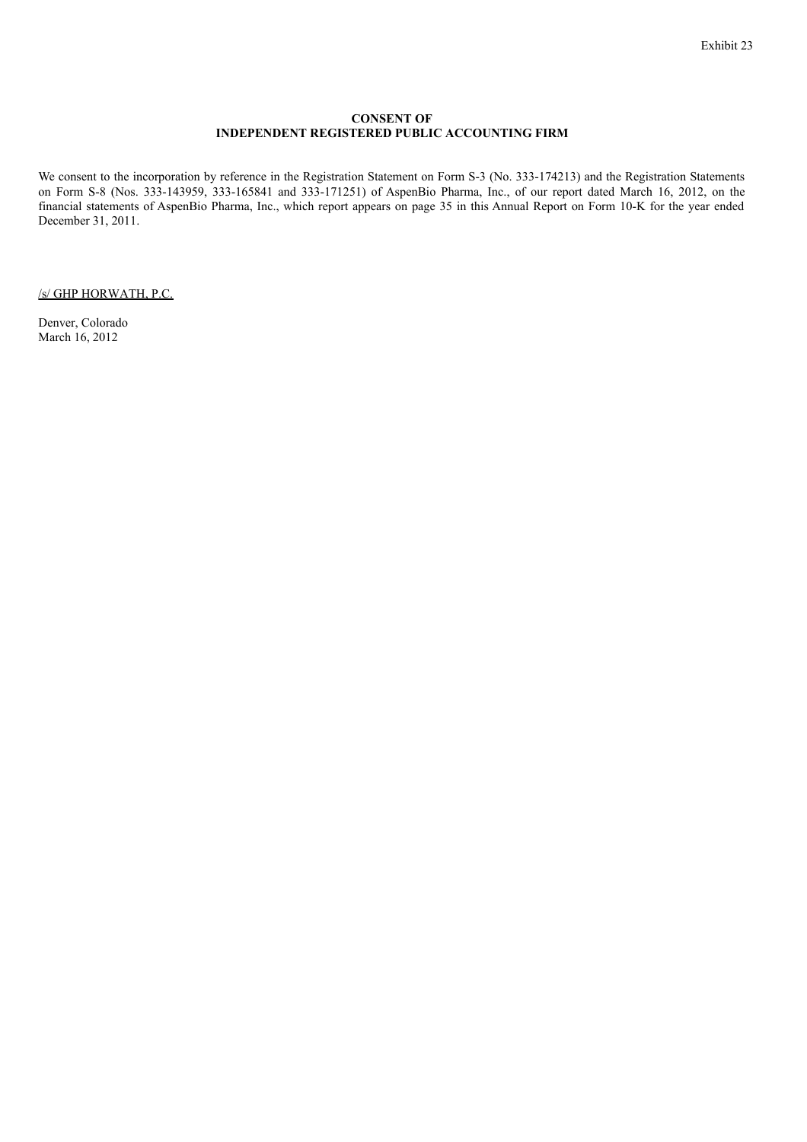### **CONSENT OF INDEPENDENT REGISTERED PUBLIC ACCOUNTING FIRM**

We consent to the incorporation by reference in the Registration Statement on Form S-3 (No. 333-174213) and the Registration Statements on Form S-8 (Nos. 333-143959, 333-165841 and 333-171251) of AspenBio Pharma, Inc., of our report dated March 16, 2012, on the financial statements of AspenBio Pharma, Inc., which report appears on page 35 in this Annual Report on Form 10-K for the year ended December 31, 2011.

/s/ GHP HORWATH, P.C.

Denver, Colorado March 16, 2012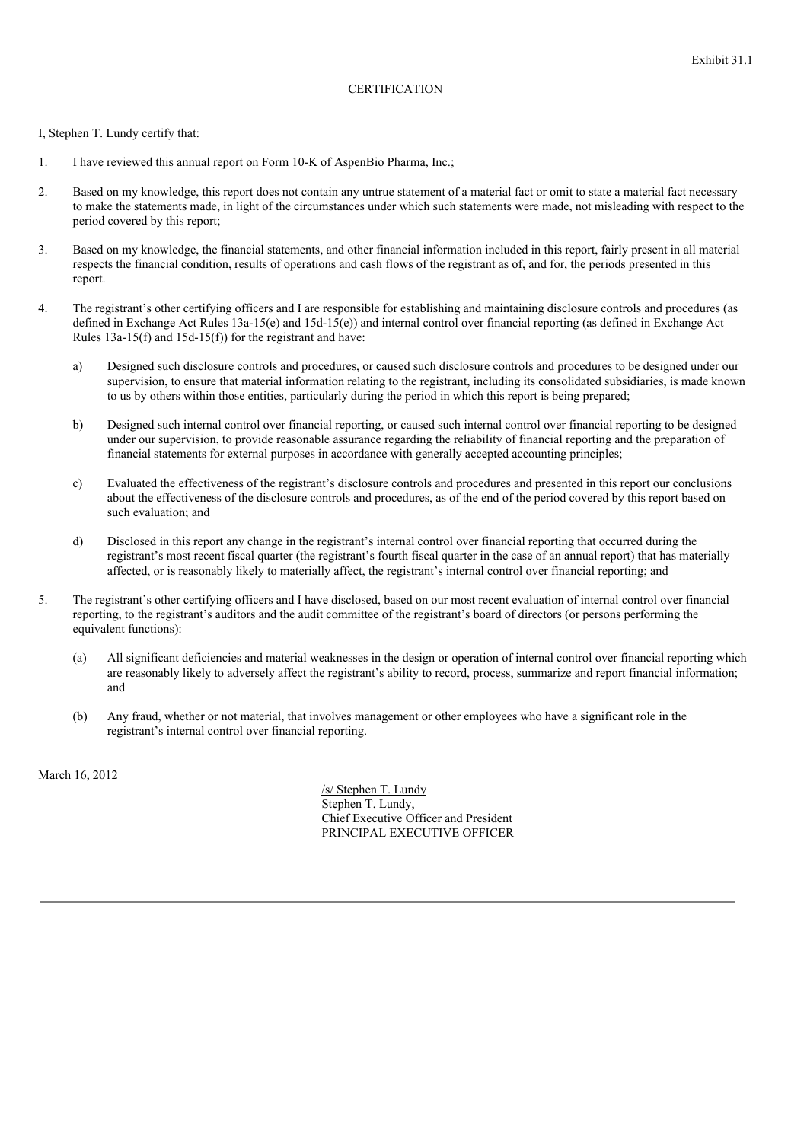# **CERTIFICATION**

I, Stephen T. Lundy certify that:

- 1. I have reviewed this annual report on Form 10-K of AspenBio Pharma, Inc.;
- 2. Based on my knowledge, this report does not contain any untrue statement of a material fact or omit to state a material fact necessary to make the statements made, in light of the circumstances under which such statements were made, not misleading with respect to the period covered by this report;
- 3. Based on my knowledge, the financial statements, and other financial information included in this report, fairly present in all material respects the financial condition, results of operations and cash flows of the registrant as of, and for, the periods presented in this report.
- 4. The registrant's other certifying officers and I are responsible for establishing and maintaining disclosure controls and procedures (as defined in Exchange Act Rules 13a-15(e) and 15d-15(e)) and internal control over financial reporting (as defined in Exchange Act Rules 13a-15(f) and 15d-15(f)) for the registrant and have:
	- a) Designed such disclosure controls and procedures, or caused such disclosure controls and procedures to be designed under our supervision, to ensure that material information relating to the registrant, including its consolidated subsidiaries, is made known to us by others within those entities, particularly during the period in which this report is being prepared;
	- b) Designed such internal control over financial reporting, or caused such internal control over financial reporting to be designed under our supervision, to provide reasonable assurance regarding the reliability of financial reporting and the preparation of financial statements for external purposes in accordance with generally accepted accounting principles;
	- c) Evaluated the effectiveness of the registrant's disclosure controls and procedures and presented in this report our conclusions about the effectiveness of the disclosure controls and procedures, as of the end of the period covered by this report based on such evaluation; and
	- d) Disclosed in this report any change in the registrant's internal control over financial reporting that occurred during the registrant's most recent fiscal quarter (the registrant's fourth fiscal quarter in the case of an annual report) that has materially affected, or is reasonably likely to materially affect, the registrant's internal control over financial reporting; and
- 5. The registrant's other certifying officers and I have disclosed, based on our most recent evaluation of internal control over financial reporting, to the registrant's auditors and the audit committee of the registrant's board of directors (or persons performing the equivalent functions):
	- (a) All significant deficiencies and material weaknesses in the design or operation of internal control over financial reporting which are reasonably likely to adversely affect the registrant's ability to record, process, summarize and report financial information; and
	- (b) Any fraud, whether or not material, that involves management or other employees who have a significant role in the registrant's internal control over financial reporting.

March 16, 2012

/s/ Stephen T. Lundy Stephen T. Lundy, Chief Executive Officer and President PRINCIPAL EXECUTIVE OFFICER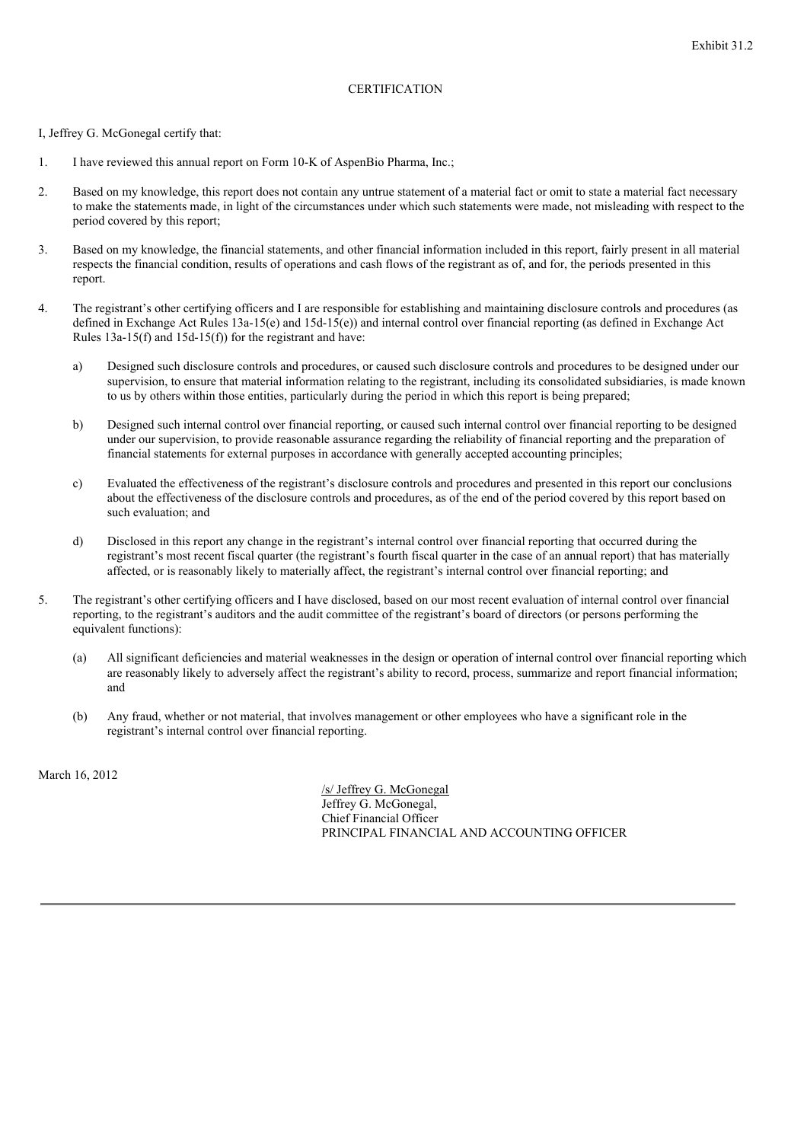# **CERTIFICATION**

I, Jeffrey G. McGonegal certify that:

- 1. I have reviewed this annual report on Form 10-K of AspenBio Pharma, Inc.;
- 2. Based on my knowledge, this report does not contain any untrue statement of a material fact or omit to state a material fact necessary to make the statements made, in light of the circumstances under which such statements were made, not misleading with respect to the period covered by this report;
- 3. Based on my knowledge, the financial statements, and other financial information included in this report, fairly present in all material respects the financial condition, results of operations and cash flows of the registrant as of, and for, the periods presented in this report.
- 4. The registrant's other certifying officers and I are responsible for establishing and maintaining disclosure controls and procedures (as defined in Exchange Act Rules 13a-15(e) and 15d-15(e)) and internal control over financial reporting (as defined in Exchange Act Rules 13a-15(f) and 15d-15(f)) for the registrant and have:
	- a) Designed such disclosure controls and procedures, or caused such disclosure controls and procedures to be designed under our supervision, to ensure that material information relating to the registrant, including its consolidated subsidiaries, is made known to us by others within those entities, particularly during the period in which this report is being prepared;
	- b) Designed such internal control over financial reporting, or caused such internal control over financial reporting to be designed under our supervision, to provide reasonable assurance regarding the reliability of financial reporting and the preparation of financial statements for external purposes in accordance with generally accepted accounting principles;
	- c) Evaluated the effectiveness of the registrant's disclosure controls and procedures and presented in this report our conclusions about the effectiveness of the disclosure controls and procedures, as of the end of the period covered by this report based on such evaluation; and
	- d) Disclosed in this report any change in the registrant's internal control over financial reporting that occurred during the registrant's most recent fiscal quarter (the registrant's fourth fiscal quarter in the case of an annual report) that has materially affected, or is reasonably likely to materially affect, the registrant's internal control over financial reporting; and
- 5. The registrant's other certifying officers and I have disclosed, based on our most recent evaluation of internal control over financial reporting, to the registrant's auditors and the audit committee of the registrant's board of directors (or persons performing the equivalent functions):
	- (a) All significant deficiencies and material weaknesses in the design or operation of internal control over financial reporting which are reasonably likely to adversely affect the registrant's ability to record, process, summarize and report financial information; and
	- (b) Any fraud, whether or not material, that involves management or other employees who have a significant role in the registrant's internal control over financial reporting.

March 16, 2012

/s/ Jeffrey G. McGonegal Jeffrey G. McGonegal, Chief Financial Officer PRINCIPAL FINANCIAL AND ACCOUNTING OFFICER